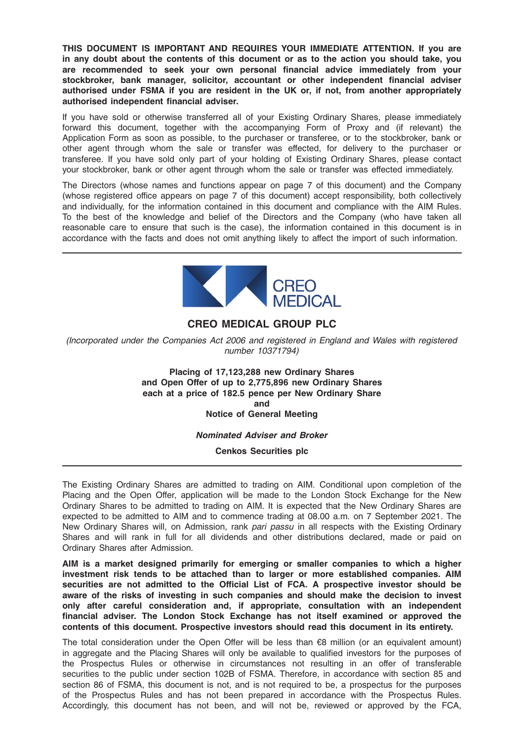THIS DOCUMENT IS IMPORTANT AND REQUIRES YOUR IMMEDIATE ATTENTION. If you are in any doubt about the contents of this document or as to the action you should take, you are recommended to seek your own personal financial advice immediately from your stockbroker, bank manager, solicitor, accountant or other independent financial adviser authorised under FSMA if you are resident in the UK or, if not, from another appropriately authorised independent financial adviser.

If you have sold or otherwise transferred all of your Existing Ordinary Shares, please immediately forward this document, together with the accompanying Form of Proxy and (if relevant) the Application Form as soon as possible, to the purchaser or transferee, or to the stockbroker, bank or other agent through whom the sale or transfer was effected, for delivery to the purchaser or transferee. If you have sold only part of your holding of Existing Ordinary Shares, please contact your stockbroker, bank or other agent through whom the sale or transfer was effected immediately.

The Directors (whose names and functions appear on page 7 of this document) and the Company (whose registered office appears on page 7 of this document) accept responsibility, both collectively and individually, for the information contained in this document and compliance with the AIM Rules. To the best of the knowledge and belief of the Directors and the Company (who have taken all reasonable care to ensure that such is the case), the information contained in this document is in accordance with the facts and does not omit anything likely to affect the import of such information.



# CREO MEDICAL GROUP PLC

(Incorporated under the Companies Act 2006 and registered in England and Wales with registered number 10371794)

> Placing of 17,123,288 new Ordinary Shares and Open Offer of up to 2,775,896 new Ordinary Shares each at a price of 182.5 pence per New Ordinary Share and Notice of General Meeting

#### Nominated Adviser and Broker

Cenkos Securities plc

The Existing Ordinary Shares are admitted to trading on AIM. Conditional upon completion of the Placing and the Open Offer, application will be made to the London Stock Exchange for the New Ordinary Shares to be admitted to trading on AIM. It is expected that the New Ordinary Shares are expected to be admitted to AIM and to commence trading at 08.00 a.m. on 7 September 2021. The New Ordinary Shares will, on Admission, rank pari passu in all respects with the Existing Ordinary Shares and will rank in full for all dividends and other distributions declared, made or paid on Ordinary Shares after Admission.

AIM is a market designed primarily for emerging or smaller companies to which a higher investment risk tends to be attached than to larger or more established companies. AIM securities are not admitted to the Official List of FCA. A prospective investor should be aware of the risks of investing in such companies and should make the decision to invest only after careful consideration and, if appropriate, consultation with an independent financial adviser. The London Stock Exchange has not itself examined or approved the contents of this document. Prospective investors should read this document in its entirety.

The total consideration under the Open Offer will be less than €8 million (or an equivalent amount) in aggregate and the Placing Shares will only be available to qualified investors for the purposes of the Prospectus Rules or otherwise in circumstances not resulting in an offer of transferable securities to the public under section 102B of FSMA. Therefore, in accordance with section 85 and section 86 of FSMA, this document is not, and is not required to be, a prospectus for the purposes of the Prospectus Rules and has not been prepared in accordance with the Prospectus Rules. Accordingly, this document has not been, and will not be, reviewed or approved by the FCA,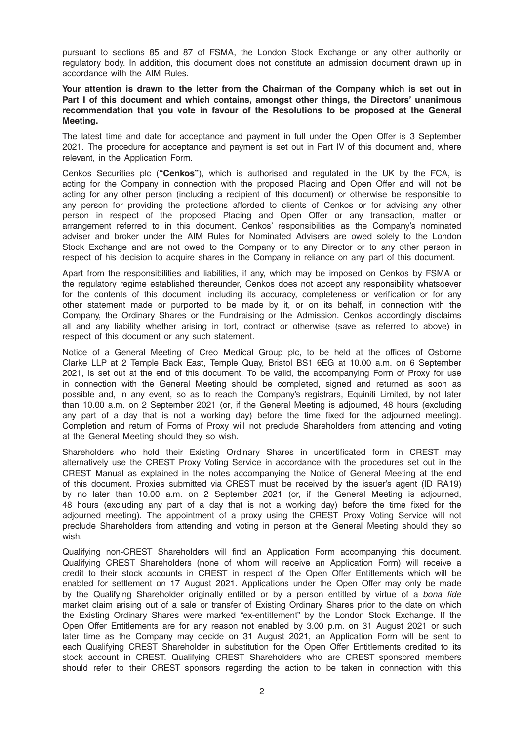pursuant to sections 85 and 87 of FSMA, the London Stock Exchange or any other authority or regulatory body. In addition, this document does not constitute an admission document drawn up in accordance with the AIM Rules.

### Your attention is drawn to the letter from the Chairman of the Company which is set out in Part I of this document and which contains, amongst other things, the Directors' unanimous recommendation that you vote in favour of the Resolutions to be proposed at the General Meeting.

The latest time and date for acceptance and payment in full under the Open Offer is 3 September 2021. The procedure for acceptance and payment is set out in Part IV of this document and, where relevant, in the Application Form.

Cenkos Securities plc ("Cenkos"), which is authorised and regulated in the UK by the FCA, is acting for the Company in connection with the proposed Placing and Open Offer and will not be acting for any other person (including a recipient of this document) or otherwise be responsible to any person for providing the protections afforded to clients of Cenkos or for advising any other person in respect of the proposed Placing and Open Offer or any transaction, matter or arrangement referred to in this document. Cenkos' responsibilities as the Company's nominated adviser and broker under the AIM Rules for Nominated Advisers are owed solely to the London Stock Exchange and are not owed to the Company or to any Director or to any other person in respect of his decision to acquire shares in the Company in reliance on any part of this document.

Apart from the responsibilities and liabilities, if any, which may be imposed on Cenkos by FSMA or the regulatory regime established thereunder, Cenkos does not accept any responsibility whatsoever for the contents of this document, including its accuracy, completeness or verification or for any other statement made or purported to be made by it, or on its behalf, in connection with the Company, the Ordinary Shares or the Fundraising or the Admission. Cenkos accordingly disclaims all and any liability whether arising in tort, contract or otherwise (save as referred to above) in respect of this document or any such statement.

Notice of a General Meeting of Creo Medical Group plc, to be held at the offices of Osborne Clarke LLP at 2 Temple Back East, Temple Quay, Bristol BS1 6EG at 10.00 a.m. on 6 September 2021, is set out at the end of this document. To be valid, the accompanying Form of Proxy for use in connection with the General Meeting should be completed, signed and returned as soon as possible and, in any event, so as to reach the Company's registrars, Equiniti Limited, by not later than 10.00 a.m. on 2 September 2021 (or, if the General Meeting is adjourned, 48 hours (excluding any part of a day that is not a working day) before the time fixed for the adjourned meeting). Completion and return of Forms of Proxy will not preclude Shareholders from attending and voting at the General Meeting should they so wish.

Shareholders who hold their Existing Ordinary Shares in uncertificated form in CREST may alternatively use the CREST Proxy Voting Service in accordance with the procedures set out in the CREST Manual as explained in the notes accompanying the Notice of General Meeting at the end of this document. Proxies submitted via CREST must be received by the issuer's agent (ID RA19) by no later than 10.00 a.m. on 2 September 2021 (or, if the General Meeting is adjourned, 48 hours (excluding any part of a day that is not a working day) before the time fixed for the adjourned meeting). The appointment of a proxy using the CREST Proxy Voting Service will not preclude Shareholders from attending and voting in person at the General Meeting should they so wish.

Qualifying non-CREST Shareholders will find an Application Form accompanying this document. Qualifying CREST Shareholders (none of whom will receive an Application Form) will receive a credit to their stock accounts in CREST in respect of the Open Offer Entitlements which will be enabled for settlement on 17 August 2021. Applications under the Open Offer may only be made by the Qualifying Shareholder originally entitled or by a person entitled by virtue of a bona fide market claim arising out of a sale or transfer of Existing Ordinary Shares prior to the date on which the Existing Ordinary Shares were marked "ex-entitlement" by the London Stock Exchange. If the Open Offer Entitlements are for any reason not enabled by 3.00 p.m. on 31 August 2021 or such later time as the Company may decide on 31 August 2021, an Application Form will be sent to each Qualifying CREST Shareholder in substitution for the Open Offer Entitlements credited to its stock account in CREST. Qualifying CREST Shareholders who are CREST sponsored members should refer to their CREST sponsors regarding the action to be taken in connection with this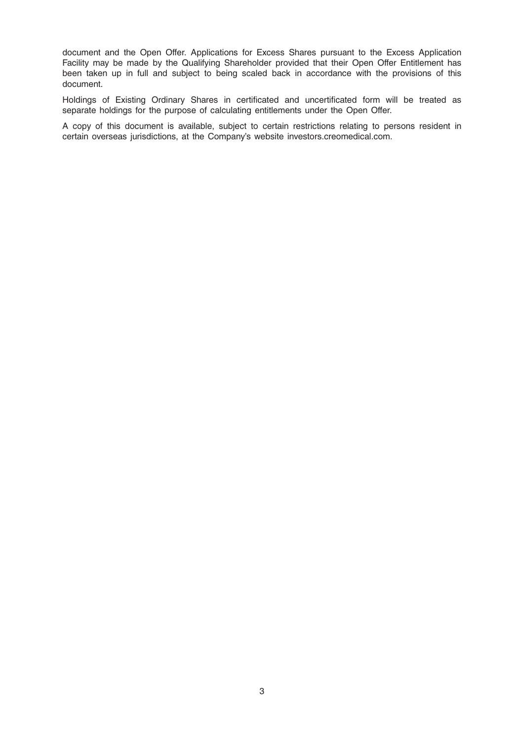document and the Open Offer. Applications for Excess Shares pursuant to the Excess Application Facility may be made by the Qualifying Shareholder provided that their Open Offer Entitlement has been taken up in full and subject to being scaled back in accordance with the provisions of this document.

Holdings of Existing Ordinary Shares in certificated and uncertificated form will be treated as separate holdings for the purpose of calculating entitlements under the Open Offer.

A copy of this document is available, subject to certain restrictions relating to persons resident in certain overseas jurisdictions, at the Company's website investors.creomedical.com.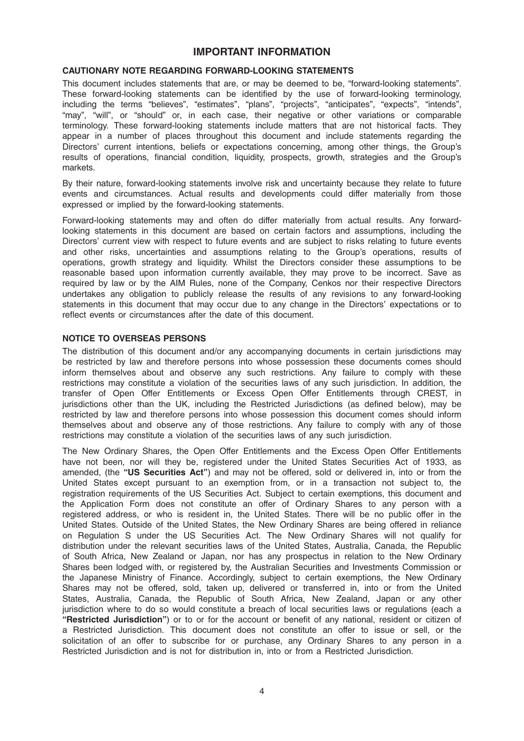# IMPORTANT INFORMATION

# CAUTIONARY NOTE REGARDING FORWARD-LOOKING STATEMENTS

This document includes statements that are, or may be deemed to be, "forward-looking statements". These forward-looking statements can be identified by the use of forward-looking terminology, including the terms "believes", "estimates", "plans", "projects", "anticipates", "expects", "intends", "may", "will", or "should" or, in each case, their negative or other variations or comparable terminology. These forward-looking statements include matters that are not historical facts. They appear in a number of places throughout this document and include statements regarding the Directors' current intentions, beliefs or expectations concerning, among other things, the Group's results of operations, financial condition, liquidity, prospects, growth, strategies and the Group's markets.

By their nature, forward-looking statements involve risk and uncertainty because they relate to future events and circumstances. Actual results and developments could differ materially from those expressed or implied by the forward-looking statements.

Forward-looking statements may and often do differ materially from actual results. Any forwardlooking statements in this document are based on certain factors and assumptions, including the Directors' current view with respect to future events and are subject to risks relating to future events and other risks, uncertainties and assumptions relating to the Group's operations, results of operations, growth strategy and liquidity. Whilst the Directors consider these assumptions to be reasonable based upon information currently available, they may prove to be incorrect. Save as required by law or by the AIM Rules, none of the Company, Cenkos nor their respective Directors undertakes any obligation to publicly release the results of any revisions to any forward-looking statements in this document that may occur due to any change in the Directors' expectations or to reflect events or circumstances after the date of this document.

#### NOTICE TO OVERSEAS PERSONS

The distribution of this document and/or any accompanying documents in certain jurisdictions may be restricted by law and therefore persons into whose possession these documents comes should inform themselves about and observe any such restrictions. Any failure to comply with these restrictions may constitute a violation of the securities laws of any such jurisdiction. In addition, the transfer of Open Offer Entitlements or Excess Open Offer Entitlements through CREST, in jurisdictions other than the UK, including the Restricted Jurisdictions (as defined below), may be restricted by law and therefore persons into whose possession this document comes should inform themselves about and observe any of those restrictions. Any failure to comply with any of those restrictions may constitute a violation of the securities laws of any such jurisdiction.

The New Ordinary Shares, the Open Offer Entitlements and the Excess Open Offer Entitlements have not been, nor will they be, registered under the United States Securities Act of 1933, as amended, (the "US Securities Act") and may not be offered, sold or delivered in, into or from the United States except pursuant to an exemption from, or in a transaction not subject to, the registration requirements of the US Securities Act. Subject to certain exemptions, this document and the Application Form does not constitute an offer of Ordinary Shares to any person with a registered address, or who is resident in, the United States. There will be no public offer in the United States. Outside of the United States, the New Ordinary Shares are being offered in reliance on Regulation S under the US Securities Act. The New Ordinary Shares will not qualify for distribution under the relevant securities laws of the United States, Australia, Canada, the Republic of South Africa, New Zealand or Japan, nor has any prospectus in relation to the New Ordinary Shares been lodged with, or registered by, the Australian Securities and Investments Commission or the Japanese Ministry of Finance. Accordingly, subject to certain exemptions, the New Ordinary Shares may not be offered, sold, taken up, delivered or transferred in, into or from the United States, Australia, Canada, the Republic of South Africa, New Zealand, Japan or any other jurisdiction where to do so would constitute a breach of local securities laws or regulations (each a "Restricted Jurisdiction") or to or for the account or benefit of any national, resident or citizen of a Restricted Jurisdiction. This document does not constitute an offer to issue or sell, or the solicitation of an offer to subscribe for or purchase, any Ordinary Shares to any person in a Restricted Jurisdiction and is not for distribution in, into or from a Restricted Jurisdiction.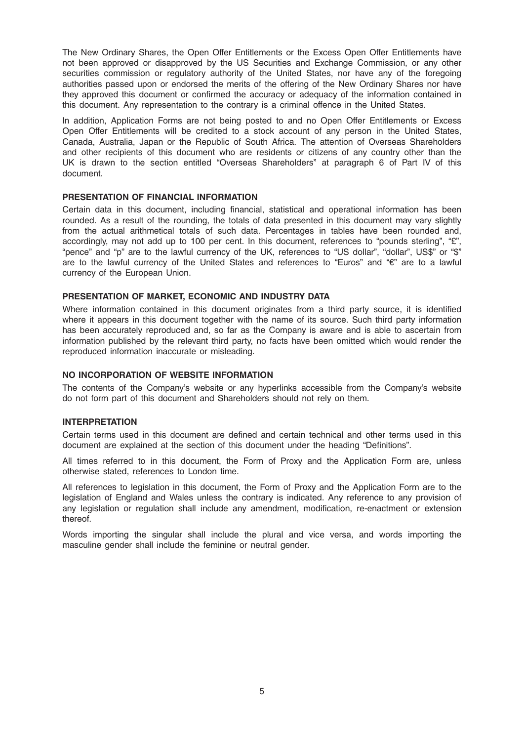The New Ordinary Shares, the Open Offer Entitlements or the Excess Open Offer Entitlements have not been approved or disapproved by the US Securities and Exchange Commission, or any other securities commission or regulatory authority of the United States, nor have any of the foregoing authorities passed upon or endorsed the merits of the offering of the New Ordinary Shares nor have they approved this document or confirmed the accuracy or adequacy of the information contained in this document. Any representation to the contrary is a criminal offence in the United States.

In addition, Application Forms are not being posted to and no Open Offer Entitlements or Excess Open Offer Entitlements will be credited to a stock account of any person in the United States, Canada, Australia, Japan or the Republic of South Africa. The attention of Overseas Shareholders and other recipients of this document who are residents or citizens of any country other than the UK is drawn to the section entitled "Overseas Shareholders" at paragraph 6 of Part IV of this document.

#### PRESENTATION OF FINANCIAL INFORMATION

Certain data in this document, including financial, statistical and operational information has been rounded. As a result of the rounding, the totals of data presented in this document may vary slightly from the actual arithmetical totals of such data. Percentages in tables have been rounded and, accordingly, may not add up to 100 per cent. In this document, references to "pounds sterling", "£", "pence" and "p" are to the lawful currency of the UK, references to "US dollar", "dollar", US\$" or "\$" are to the lawful currency of the United States and references to "Euros" and "€" are to a lawful currency of the European Union.

#### PRESENTATION OF MARKET, ECONOMIC AND INDUSTRY DATA

Where information contained in this document originates from a third party source, it is identified where it appears in this document together with the name of its source. Such third party information has been accurately reproduced and, so far as the Company is aware and is able to ascertain from information published by the relevant third party, no facts have been omitted which would render the reproduced information inaccurate or misleading.

# NO INCORPORATION OF WEBSITE INFORMATION

The contents of the Company's website or any hyperlinks accessible from the Company's website do not form part of this document and Shareholders should not rely on them.

#### INTERPRETATION

Certain terms used in this document are defined and certain technical and other terms used in this document are explained at the section of this document under the heading "Definitions".

All times referred to in this document, the Form of Proxy and the Application Form are, unless otherwise stated, references to London time.

All references to legislation in this document, the Form of Proxy and the Application Form are to the legislation of England and Wales unless the contrary is indicated. Any reference to any provision of any legislation or regulation shall include any amendment, modification, re-enactment or extension thereof.

Words importing the singular shall include the plural and vice versa, and words importing the masculine gender shall include the feminine or neutral gender.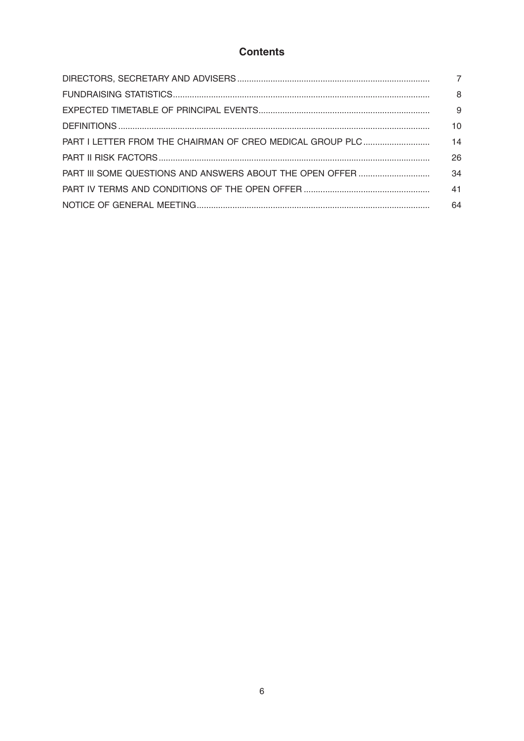# **Contents**

| 8  |
|----|
| 9  |
| 10 |
| 14 |
| 26 |
| 34 |
| 41 |
| 64 |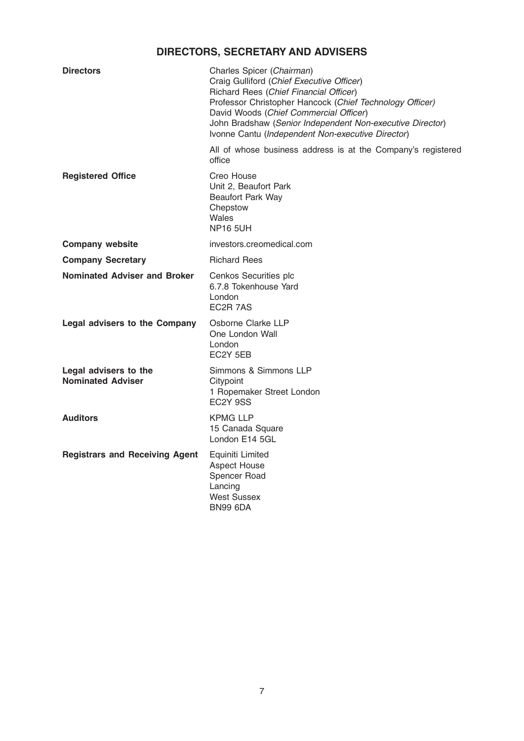# DIRECTORS, SECRETARY AND ADVISERS

| <b>Directors</b>                                  | Charles Spicer (Chairman)<br>Craig Gulliford (Chief Executive Officer)<br>Richard Rees (Chief Financial Officer)<br>Professor Christopher Hancock (Chief Technology Officer)<br>David Woods (Chief Commercial Officer)<br>John Bradshaw (Senior Independent Non-executive Director)<br>Ivonne Cantu (Independent Non-executive Director) |
|---------------------------------------------------|------------------------------------------------------------------------------------------------------------------------------------------------------------------------------------------------------------------------------------------------------------------------------------------------------------------------------------------|
|                                                   | All of whose business address is at the Company's registered<br>office                                                                                                                                                                                                                                                                   |
| <b>Registered Office</b>                          | Creo House<br>Unit 2, Beaufort Park<br><b>Beaufort Park Way</b><br>Chepstow<br>Wales<br><b>NP16 5UH</b>                                                                                                                                                                                                                                  |
| <b>Company website</b>                            | investors.creomedical.com                                                                                                                                                                                                                                                                                                                |
| <b>Company Secretary</b>                          | <b>Richard Rees</b>                                                                                                                                                                                                                                                                                                                      |
| <b>Nominated Adviser and Broker</b>               | Cenkos Securities plc<br>6.7.8 Tokenhouse Yard<br>London<br>EC <sub>2</sub> R 7AS                                                                                                                                                                                                                                                        |
| Legal advisers to the Company                     | Osborne Clarke LLP<br>One London Wall<br>London<br>EC2Y 5EB                                                                                                                                                                                                                                                                              |
| Legal advisers to the<br><b>Nominated Adviser</b> | Simmons & Simmons LLP<br>Citypoint<br>1 Ropemaker Street London<br>EC <sub>2</sub> Y 9SS                                                                                                                                                                                                                                                 |
| <b>Auditors</b>                                   | <b>KPMG LLP</b><br>15 Canada Square<br>London E14 5GL                                                                                                                                                                                                                                                                                    |
| <b>Registrars and Receiving Agent</b>             | Equiniti Limited<br><b>Aspect House</b><br>Spencer Road<br>Lancing<br><b>West Sussex</b><br><b>BN99 6DA</b>                                                                                                                                                                                                                              |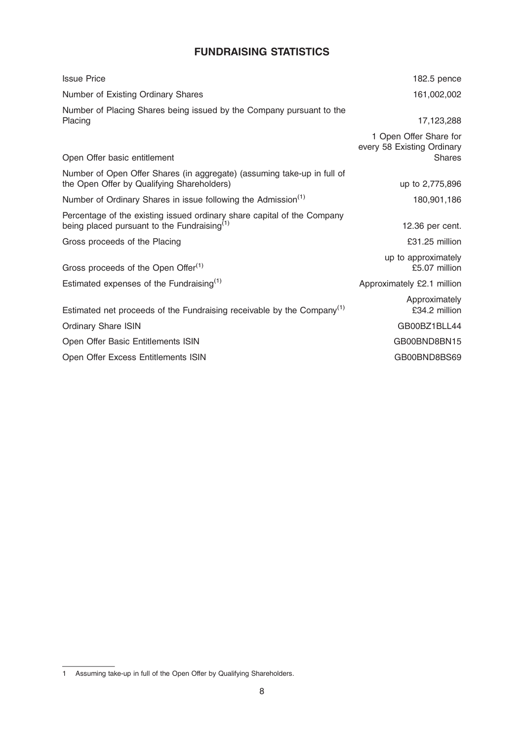# FUNDRAISING STATISTICS

| <b>Issue Price</b>                                                                                                        | 182.5 pence                                                           |
|---------------------------------------------------------------------------------------------------------------------------|-----------------------------------------------------------------------|
| Number of Existing Ordinary Shares                                                                                        | 161,002,002                                                           |
| Number of Placing Shares being issued by the Company pursuant to the<br>Placing                                           | 17,123,288                                                            |
| Open Offer basic entitlement                                                                                              | 1 Open Offer Share for<br>every 58 Existing Ordinary<br><b>Shares</b> |
| Number of Open Offer Shares (in aggregate) (assuming take-up in full of<br>the Open Offer by Qualifying Shareholders)     | up to 2,775,896                                                       |
| Number of Ordinary Shares in issue following the Admission <sup>(1)</sup>                                                 | 180,901,186                                                           |
| Percentage of the existing issued ordinary share capital of the Company<br>being placed pursuant to the Fundraising $(1)$ | 12.36 per cent.                                                       |
| Gross proceeds of the Placing                                                                                             | £31.25 million                                                        |
| Gross proceeds of the Open Offer <sup>(1)</sup>                                                                           | up to approximately<br>£5.07 million                                  |
| Estimated expenses of the Fundraising <sup>(1)</sup>                                                                      | Approximately £2.1 million                                            |
| Estimated net proceeds of the Fundraising receivable by the Company <sup>(1)</sup>                                        | Approximately<br>£34.2 million                                        |
| <b>Ordinary Share ISIN</b>                                                                                                | GB00BZ1BLL44                                                          |
| Open Offer Basic Entitlements ISIN                                                                                        | GB00BND8BN15                                                          |
| Open Offer Excess Entitlements ISIN                                                                                       | GB00BND8BS69                                                          |

<sup>1</sup> Assuming take-up in full of the Open Offer by Qualifying Shareholders.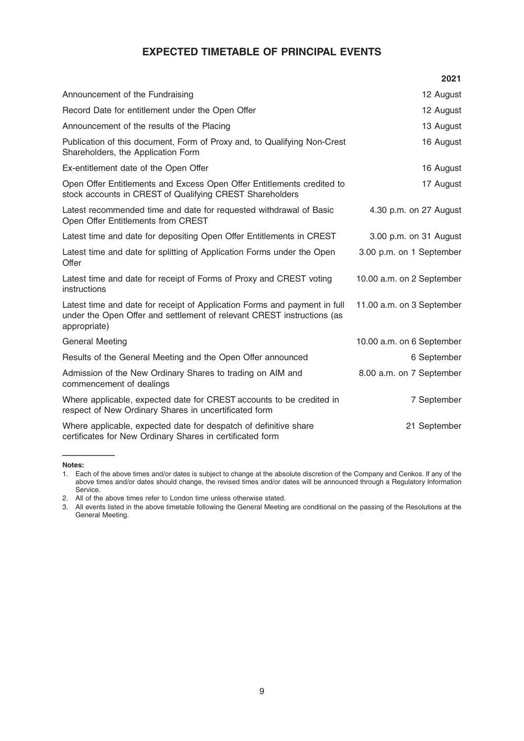# EXPECTED TIMETABLE OF PRINCIPAL EVENTS

|                                                                                                                                                                     | 2021                      |
|---------------------------------------------------------------------------------------------------------------------------------------------------------------------|---------------------------|
| Announcement of the Fundraising                                                                                                                                     | 12 August                 |
| Record Date for entitlement under the Open Offer                                                                                                                    | 12 August                 |
| Announcement of the results of the Placing                                                                                                                          | 13 August                 |
| Publication of this document, Form of Proxy and, to Qualifying Non-Crest<br>Shareholders, the Application Form                                                      | 16 August                 |
| Ex-entitlement date of the Open Offer                                                                                                                               | 16 August                 |
| Open Offer Entitlements and Excess Open Offer Entitlements credited to<br>stock accounts in CREST of Qualifying CREST Shareholders                                  | 17 August                 |
| Latest recommended time and date for requested withdrawal of Basic<br>Open Offer Entitlements from CREST                                                            | 4.30 p.m. on 27 August    |
| Latest time and date for depositing Open Offer Entitlements in CREST                                                                                                | 3.00 p.m. on 31 August    |
| Latest time and date for splitting of Application Forms under the Open<br>Offer                                                                                     | 3.00 p.m. on 1 September  |
| Latest time and date for receipt of Forms of Proxy and CREST voting<br>instructions                                                                                 | 10.00 a.m. on 2 September |
| Latest time and date for receipt of Application Forms and payment in full<br>under the Open Offer and settlement of relevant CREST instructions (as<br>appropriate) | 11.00 a.m. on 3 September |
| General Meeting                                                                                                                                                     | 10.00 a.m. on 6 September |
| Results of the General Meeting and the Open Offer announced                                                                                                         | 6 September               |
| Admission of the New Ordinary Shares to trading on AIM and<br>commencement of dealings                                                                              | 8.00 a.m. on 7 September  |
| Where applicable, expected date for CREST accounts to be credited in<br>respect of New Ordinary Shares in uncertificated form                                       | 7 September               |
| Where applicable, expected date for despatch of definitive share<br>certificates for New Ordinary Shares in certificated form                                       | 21 September              |

Notes:

—————

<sup>1.</sup> Each of the above times and/or dates is subject to change at the absolute discretion of the Company and Cenkos. If any of the above times and/or dates should change, the revised times and/or dates will be announced through a Regulatory Information Service.

<sup>2.</sup> All of the above times refer to London time unless otherwise stated.

<sup>3.</sup> All events listed in the above timetable following the General Meeting are conditional on the passing of the Resolutions at the **General Meeting.**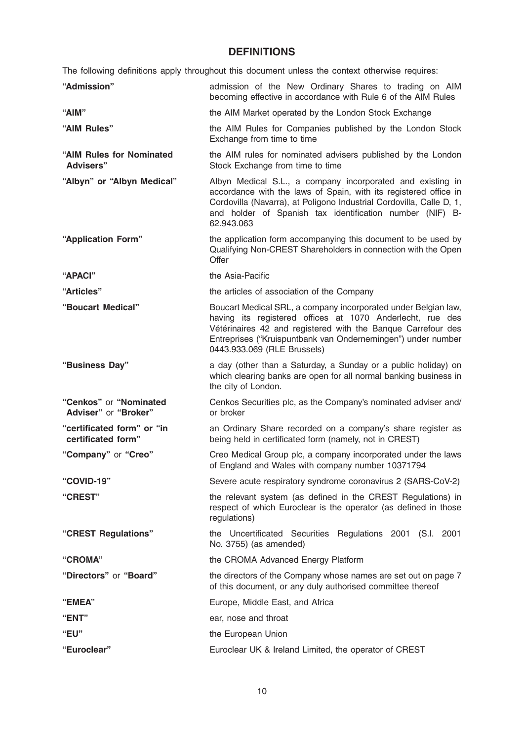# **DEFINITIONS**

The following definitions apply throughout this document unless the context otherwise requires:

| "Admission"                                      | admission of the New Ordinary Shares to trading on AIM<br>becoming effective in accordance with Rule 6 of the AIM Rules                                                                                                                                                                    |
|--------------------------------------------------|--------------------------------------------------------------------------------------------------------------------------------------------------------------------------------------------------------------------------------------------------------------------------------------------|
| "AIM"                                            | the AIM Market operated by the London Stock Exchange                                                                                                                                                                                                                                       |
| "AIM Rules"                                      | the AIM Rules for Companies published by the London Stock<br>Exchange from time to time                                                                                                                                                                                                    |
| "AIM Rules for Nominated<br><b>Advisers"</b>     | the AIM rules for nominated advisers published by the London<br>Stock Exchange from time to time                                                                                                                                                                                           |
| "Albyn" or "Albyn Medical"                       | Albyn Medical S.L., a company incorporated and existing in<br>accordance with the laws of Spain, with its registered office in<br>Cordovilla (Navarra), at Poligono Industrial Cordovilla, Calle D, 1,<br>and holder of Spanish tax identification number (NIF) B-<br>62.943.063           |
| "Application Form"                               | the application form accompanying this document to be used by<br>Qualifying Non-CREST Shareholders in connection with the Open<br>Offer                                                                                                                                                    |
| "APACI"                                          | the Asia-Pacific                                                                                                                                                                                                                                                                           |
| "Articles"                                       | the articles of association of the Company                                                                                                                                                                                                                                                 |
| "Boucart Medical"                                | Boucart Medical SRL, a company incorporated under Belgian law,<br>having its registered offices at 1070 Anderlecht, rue des<br>Vétérinaires 42 and registered with the Banque Carrefour des<br>Entreprises ("Kruispuntbank van Ondernemingen") under number<br>0443.933.069 (RLE Brussels) |
| "Business Day"                                   | a day (other than a Saturday, a Sunday or a public holiday) on<br>which clearing banks are open for all normal banking business in<br>the city of London.                                                                                                                                  |
| "Cenkos" or "Nominated<br>Adviser" or "Broker"   | Cenkos Securities plc, as the Company's nominated adviser and/<br>or broker                                                                                                                                                                                                                |
| "certificated form" or "in<br>certificated form" | an Ordinary Share recorded on a company's share register as<br>being held in certificated form (namely, not in CREST)                                                                                                                                                                      |
| "Company" or "Creo"                              | Creo Medical Group plc, a company incorporated under the laws<br>of England and Wales with company number 10371794                                                                                                                                                                         |
| "COVID-19"                                       | Severe acute respiratory syndrome coronavirus 2 (SARS-CoV-2)                                                                                                                                                                                                                               |
| "CREST"                                          | the relevant system (as defined in the CREST Regulations) in<br>respect of which Euroclear is the operator (as defined in those<br>regulations)                                                                                                                                            |
| "CREST Regulations"                              | the Uncertificated Securities Regulations 2001 (S.I. 2001<br>No. 3755) (as amended)                                                                                                                                                                                                        |
| "CROMA"                                          | the CROMA Advanced Energy Platform                                                                                                                                                                                                                                                         |
| "Directors" or "Board"                           | the directors of the Company whose names are set out on page 7<br>of this document, or any duly authorised committee thereof                                                                                                                                                               |
| "EMEA"                                           | Europe, Middle East, and Africa                                                                                                                                                                                                                                                            |
| "ENT"                                            | ear, nose and throat                                                                                                                                                                                                                                                                       |
| "EU"                                             | the European Union                                                                                                                                                                                                                                                                         |
| "Euroclear"                                      | Euroclear UK & Ireland Limited, the operator of CREST                                                                                                                                                                                                                                      |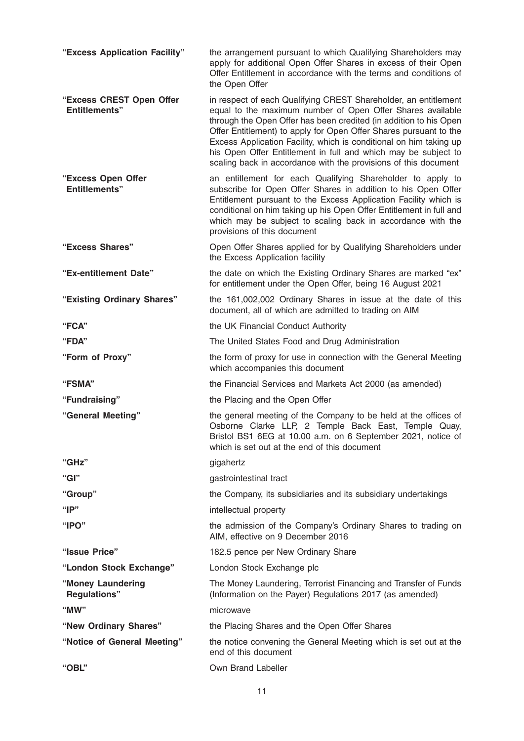| "Excess Application Facility"                    | the arrangement pursuant to which Qualifying Shareholders may<br>apply for additional Open Offer Shares in excess of their Open<br>Offer Entitlement in accordance with the terms and conditions of<br>the Open Offer                                                                                                                                                                                                                                                              |
|--------------------------------------------------|------------------------------------------------------------------------------------------------------------------------------------------------------------------------------------------------------------------------------------------------------------------------------------------------------------------------------------------------------------------------------------------------------------------------------------------------------------------------------------|
| "Excess CREST Open Offer<br><b>Entitlements"</b> | in respect of each Qualifying CREST Shareholder, an entitlement<br>equal to the maximum number of Open Offer Shares available<br>through the Open Offer has been credited (in addition to his Open<br>Offer Entitlement) to apply for Open Offer Shares pursuant to the<br>Excess Application Facility, which is conditional on him taking up<br>his Open Offer Entitlement in full and which may be subject to<br>scaling back in accordance with the provisions of this document |
| "Excess Open Offer<br><b>Entitlements"</b>       | an entitlement for each Qualifying Shareholder to apply to<br>subscribe for Open Offer Shares in addition to his Open Offer<br>Entitlement pursuant to the Excess Application Facility which is<br>conditional on him taking up his Open Offer Entitlement in full and<br>which may be subject to scaling back in accordance with the<br>provisions of this document                                                                                                               |
| "Excess Shares"                                  | Open Offer Shares applied for by Qualifying Shareholders under<br>the Excess Application facility                                                                                                                                                                                                                                                                                                                                                                                  |
| "Ex-entitlement Date"                            | the date on which the Existing Ordinary Shares are marked "ex"<br>for entitlement under the Open Offer, being 16 August 2021                                                                                                                                                                                                                                                                                                                                                       |
| "Existing Ordinary Shares"                       | the 161,002,002 Ordinary Shares in issue at the date of this<br>document, all of which are admitted to trading on AIM                                                                                                                                                                                                                                                                                                                                                              |
| "FCA"                                            | the UK Financial Conduct Authority                                                                                                                                                                                                                                                                                                                                                                                                                                                 |
| "FDA"                                            | The United States Food and Drug Administration                                                                                                                                                                                                                                                                                                                                                                                                                                     |
| "Form of Proxy"                                  | the form of proxy for use in connection with the General Meeting<br>which accompanies this document                                                                                                                                                                                                                                                                                                                                                                                |
| "FSMA"                                           | the Financial Services and Markets Act 2000 (as amended)                                                                                                                                                                                                                                                                                                                                                                                                                           |
| "Fundraising"                                    | the Placing and the Open Offer                                                                                                                                                                                                                                                                                                                                                                                                                                                     |
| "General Meeting"                                | the general meeting of the Company to be held at the offices of<br>Osborne Clarke LLP, 2 Temple Back East, Temple Quay,<br>Bristol BS1 6EG at 10.00 a.m. on 6 September 2021, notice of<br>which is set out at the end of this document                                                                                                                                                                                                                                            |
| "GHz"                                            | gigahertz                                                                                                                                                                                                                                                                                                                                                                                                                                                                          |
| "Gl"                                             | gastrointestinal tract                                                                                                                                                                                                                                                                                                                                                                                                                                                             |
| "Group"                                          | the Company, its subsidiaries and its subsidiary undertakings                                                                                                                                                                                                                                                                                                                                                                                                                      |
| " $IP"$                                          | intellectual property                                                                                                                                                                                                                                                                                                                                                                                                                                                              |
| " $IPO"$                                         | the admission of the Company's Ordinary Shares to trading on<br>AIM, effective on 9 December 2016                                                                                                                                                                                                                                                                                                                                                                                  |
| "Issue Price"                                    | 182.5 pence per New Ordinary Share                                                                                                                                                                                                                                                                                                                                                                                                                                                 |
| "London Stock Exchange"                          | London Stock Exchange plc                                                                                                                                                                                                                                                                                                                                                                                                                                                          |
| "Money Laundering<br><b>Regulations"</b>         | The Money Laundering, Terrorist Financing and Transfer of Funds<br>(Information on the Payer) Regulations 2017 (as amended)                                                                                                                                                                                                                                                                                                                                                        |
| " $MW"$                                          | microwave                                                                                                                                                                                                                                                                                                                                                                                                                                                                          |
| "New Ordinary Shares"                            | the Placing Shares and the Open Offer Shares                                                                                                                                                                                                                                                                                                                                                                                                                                       |
| "Notice of General Meeting"                      | the notice convening the General Meeting which is set out at the<br>end of this document                                                                                                                                                                                                                                                                                                                                                                                           |
| "OBL"                                            | Own Brand Labeller                                                                                                                                                                                                                                                                                                                                                                                                                                                                 |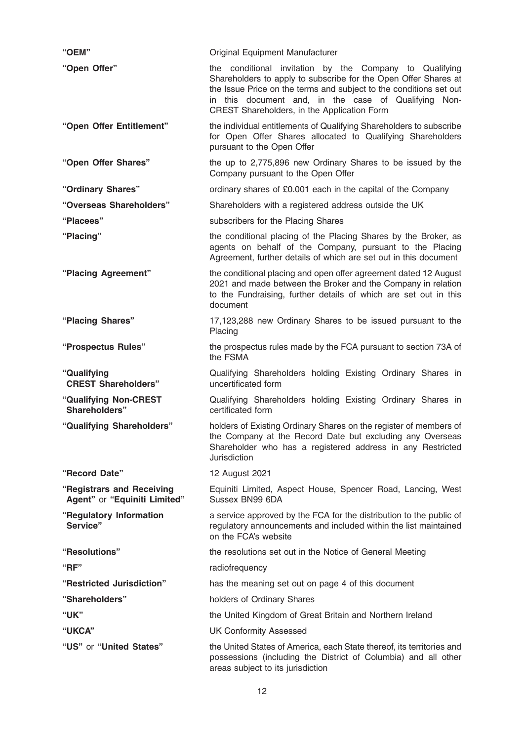| "OEM"                                                     | Original Equipment Manufacturer                                                                                                                                                                                                                                                                         |
|-----------------------------------------------------------|---------------------------------------------------------------------------------------------------------------------------------------------------------------------------------------------------------------------------------------------------------------------------------------------------------|
| "Open Offer"                                              | the conditional invitation by the Company to Qualifying<br>Shareholders to apply to subscribe for the Open Offer Shares at<br>the Issue Price on the terms and subject to the conditions set out<br>in this document and, in the case of Qualifying Non-<br>CREST Shareholders, in the Application Form |
| "Open Offer Entitlement"                                  | the individual entitlements of Qualifying Shareholders to subscribe<br>for Open Offer Shares allocated to Qualifying Shareholders<br>pursuant to the Open Offer                                                                                                                                         |
| "Open Offer Shares"                                       | the up to 2,775,896 new Ordinary Shares to be issued by the<br>Company pursuant to the Open Offer                                                                                                                                                                                                       |
| "Ordinary Shares"                                         | ordinary shares of £0.001 each in the capital of the Company                                                                                                                                                                                                                                            |
| "Overseas Shareholders"                                   | Shareholders with a registered address outside the UK                                                                                                                                                                                                                                                   |
| "Placees"                                                 | subscribers for the Placing Shares                                                                                                                                                                                                                                                                      |
| "Placing"                                                 | the conditional placing of the Placing Shares by the Broker, as<br>agents on behalf of the Company, pursuant to the Placing<br>Agreement, further details of which are set out in this document                                                                                                         |
| "Placing Agreement"                                       | the conditional placing and open offer agreement dated 12 August<br>2021 and made between the Broker and the Company in relation<br>to the Fundraising, further details of which are set out in this<br>document                                                                                        |
| "Placing Shares"                                          | 17,123,288 new Ordinary Shares to be issued pursuant to the<br>Placing                                                                                                                                                                                                                                  |
| "Prospectus Rules"                                        | the prospectus rules made by the FCA pursuant to section 73A of<br>the FSMA                                                                                                                                                                                                                             |
| "Qualifying<br><b>CREST Shareholders"</b>                 | Qualifying Shareholders holding Existing Ordinary Shares in<br>uncertificated form                                                                                                                                                                                                                      |
| "Qualifying Non-CREST<br>Shareholders"                    | Qualifying Shareholders holding Existing Ordinary Shares in<br>certificated form                                                                                                                                                                                                                        |
| "Qualifying Shareholders"                                 | holders of Existing Ordinary Shares on the register of members of<br>the Company at the Record Date but excluding any Overseas<br>Shareholder who has a registered address in any Restricted<br>Jurisdiction                                                                                            |
| "Record Date"                                             | 12 August 2021                                                                                                                                                                                                                                                                                          |
| "Registrars and Receiving<br>Agent" or "Equiniti Limited" | Equiniti Limited, Aspect House, Spencer Road, Lancing, West<br>Sussex BN99 6DA                                                                                                                                                                                                                          |
| "Regulatory Information<br>Service"                       | a service approved by the FCA for the distribution to the public of<br>regulatory announcements and included within the list maintained<br>on the FCA's website                                                                                                                                         |
| "Resolutions"                                             | the resolutions set out in the Notice of General Meeting                                                                                                                                                                                                                                                |
| "BF"                                                      | radiofrequency                                                                                                                                                                                                                                                                                          |
| "Restricted Jurisdiction"                                 | has the meaning set out on page 4 of this document                                                                                                                                                                                                                                                      |
| "Shareholders"                                            | holders of Ordinary Shares                                                                                                                                                                                                                                                                              |
| "UK"                                                      | the United Kingdom of Great Britain and Northern Ireland                                                                                                                                                                                                                                                |
| "UKCA"                                                    | <b>UK Conformity Assessed</b>                                                                                                                                                                                                                                                                           |
| "US" or "United States"                                   | the United States of America, each State thereof, its territories and<br>possessions (including the District of Columbia) and all other<br>areas subject to its jurisdiction                                                                                                                            |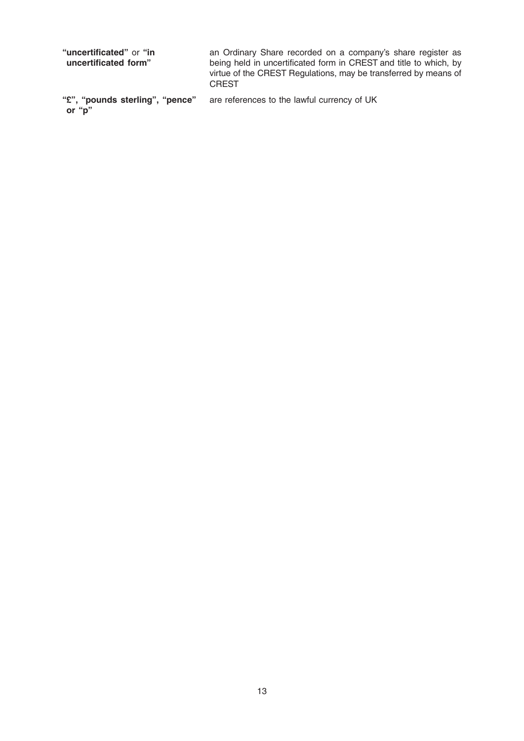| "uncertificated" or "in<br>uncertificated form" | an Ordinary Share recorded on a company's share register as<br>being held in uncertificated form in CREST and title to which, by<br>virtue of the CREST Regulations, may be transferred by means of<br><b>CREST</b> |
|-------------------------------------------------|---------------------------------------------------------------------------------------------------------------------------------------------------------------------------------------------------------------------|
| "£", "pounds sterling", "pence"                 | are references to the lawful currency of UK                                                                                                                                                                         |

or "p"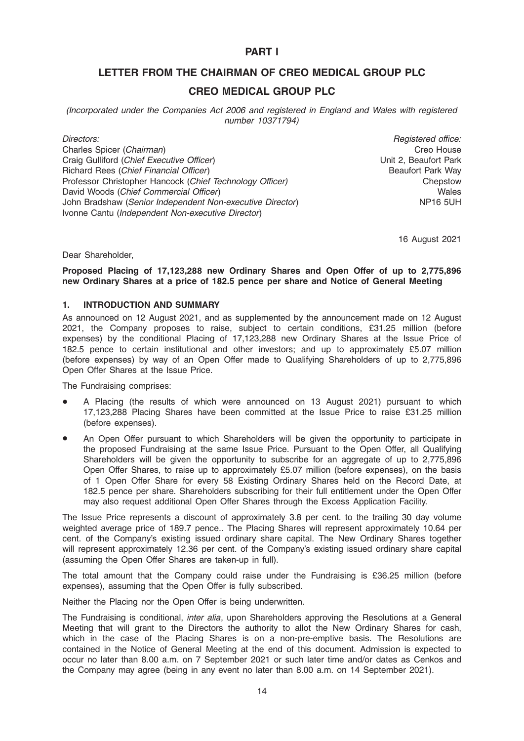# PART I

# LETTER FROM THE CHAIRMAN OF CREO MEDICAL GROUP PLC

# CREO MEDICAL GROUP PLC

(Incorporated under the Companies Act 2006 and registered in England and Wales with registered number 10371794)

Directors: Charles Spicer (Chairman) Craig Gulliford (Chief Executive Officer) Richard Rees (Chief Financial Officer) Professor Christopher Hancock (Chief Technology Officer) David Woods (Chief Commercial Officer) John Bradshaw (Senior Independent Non-executive Director) Ivonne Cantu (Independent Non-executive Director)

Registered office: Creo House Unit 2, Beaufort Park Beaufort Park Way Chepstow Wales NP16 5UH

16 August 2021

Dear Shareholder,

### Proposed Placing of 17,123,288 new Ordinary Shares and Open Offer of up to 2,775,896 new Ordinary Shares at a price of 182.5 pence per share and Notice of General Meeting

#### 1. INTRODUCTION AND SUMMARY

As announced on 12 August 2021, and as supplemented by the announcement made on 12 August 2021, the Company proposes to raise, subject to certain conditions, £31.25 million (before expenses) by the conditional Placing of 17,123,288 new Ordinary Shares at the Issue Price of 182.5 pence to certain institutional and other investors; and up to approximately £5.07 million (before expenses) by way of an Open Offer made to Qualifying Shareholders of up to 2,775,896 Open Offer Shares at the Issue Price.

The Fundraising comprises:

- A Placing (the results of which were announced on 13 August 2021) pursuant to which 17,123,288 Placing Shares have been committed at the Issue Price to raise £31.25 million (before expenses).
- An Open Offer pursuant to which Shareholders will be given the opportunity to participate in the proposed Fundraising at the same Issue Price. Pursuant to the Open Offer, all Qualifying Shareholders will be given the opportunity to subscribe for an aggregate of up to 2.775.896 Open Offer Shares, to raise up to approximately £5.07 million (before expenses), on the basis of 1 Open Offer Share for every 58 Existing Ordinary Shares held on the Record Date, at 182.5 pence per share. Shareholders subscribing for their full entitlement under the Open Offer may also request additional Open Offer Shares through the Excess Application Facility.

The Issue Price represents a discount of approximately 3.8 per cent. to the trailing 30 day volume weighted average price of 189.7 pence.. The Placing Shares will represent approximately 10.64 per cent. of the Company's existing issued ordinary share capital. The New Ordinary Shares together will represent approximately 12.36 per cent. of the Company's existing issued ordinary share capital (assuming the Open Offer Shares are taken-up in full).

The total amount that the Company could raise under the Fundraising is £36.25 million (before expenses), assuming that the Open Offer is fully subscribed.

Neither the Placing nor the Open Offer is being underwritten.

The Fundraising is conditional, *inter alia*, upon Shareholders approving the Resolutions at a General Meeting that will grant to the Directors the authority to allot the New Ordinary Shares for cash, which in the case of the Placing Shares is on a non-pre-emptive basis. The Resolutions are contained in the Notice of General Meeting at the end of this document. Admission is expected to occur no later than 8.00 a.m. on 7 September 2021 or such later time and/or dates as Cenkos and the Company may agree (being in any event no later than 8.00 a.m. on 14 September 2021).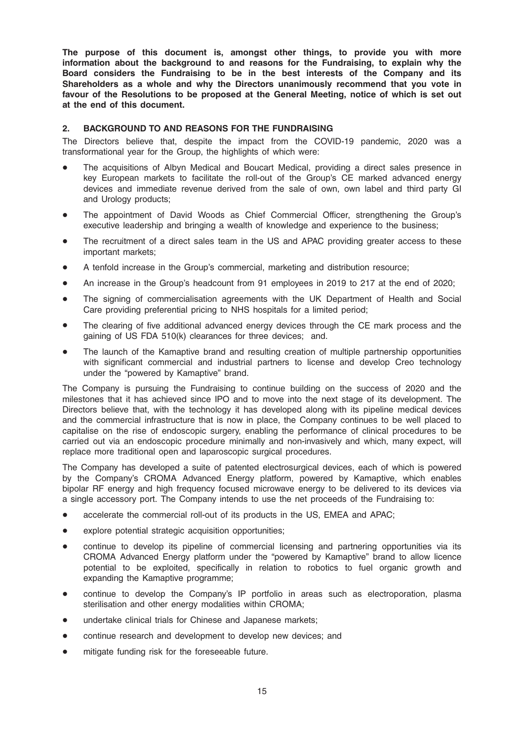The purpose of this document is, amongst other things, to provide you with more information about the background to and reasons for the Fundraising, to explain why the Board considers the Fundraising to be in the best interests of the Company and its Shareholders as a whole and why the Directors unanimously recommend that you vote in favour of the Resolutions to be proposed at the General Meeting, notice of which is set out at the end of this document.

# 2. BACKGROUND TO AND REASONS FOR THE FUNDRAISING

The Directors believe that, despite the impact from the COVID-19 pandemic, 2020 was a transformational year for the Group, the highlights of which were:

- The acquisitions of Albyn Medical and Boucart Medical, providing a direct sales presence in key European markets to facilitate the roll-out of the Group's CE marked advanced energy devices and immediate revenue derived from the sale of own, own label and third party GI and Urology products;
- The appointment of David Woods as Chief Commercial Officer, strengthening the Group's executive leadership and bringing a wealth of knowledge and experience to the business;
- The recruitment of a direct sales team in the US and APAC providing greater access to these important markets;
- \* A tenfold increase in the Group's commercial, marketing and distribution resource;
- An increase in the Group's headcount from 91 employees in 2019 to 217 at the end of 2020;
- The signing of commercialisation agreements with the UK Department of Health and Social Care providing preferential pricing to NHS hospitals for a limited period;
- The clearing of five additional advanced energy devices through the CE mark process and the gaining of US FDA 510(k) clearances for three devices; and.
- The launch of the Kamaptive brand and resulting creation of multiple partnership opportunities with significant commercial and industrial partners to license and develop Creo technology under the "powered by Kamaptive" brand.

The Company is pursuing the Fundraising to continue building on the success of 2020 and the milestones that it has achieved since IPO and to move into the next stage of its development. The Directors believe that, with the technology it has developed along with its pipeline medical devices and the commercial infrastructure that is now in place, the Company continues to be well placed to capitalise on the rise of endoscopic surgery, enabling the performance of clinical procedures to be carried out via an endoscopic procedure minimally and non-invasively and which, many expect, will replace more traditional open and laparoscopic surgical procedures.

The Company has developed a suite of patented electrosurgical devices, each of which is powered by the Company's CROMA Advanced Energy platform, powered by Kamaptive, which enables bipolar RF energy and high frequency focused microwave energy to be delivered to its devices via a single accessory port. The Company intends to use the net proceeds of the Fundraising to:

- accelerate the commercial roll-out of its products in the US, EMEA and APAC;
- explore potential strategic acquisition opportunities;
- continue to develop its pipeline of commercial licensing and partnering opportunities via its CROMA Advanced Energy platform under the "powered by Kamaptive" brand to allow licence potential to be exploited, specifically in relation to robotics to fuel organic growth and expanding the Kamaptive programme;
- continue to develop the Company's IP portfolio in areas such as electroporation, plasma sterilisation and other energy modalities within CROMA;
- undertake clinical trials for Chinese and Japanese markets;
- continue research and development to develop new devices; and
- mitigate funding risk for the foreseeable future.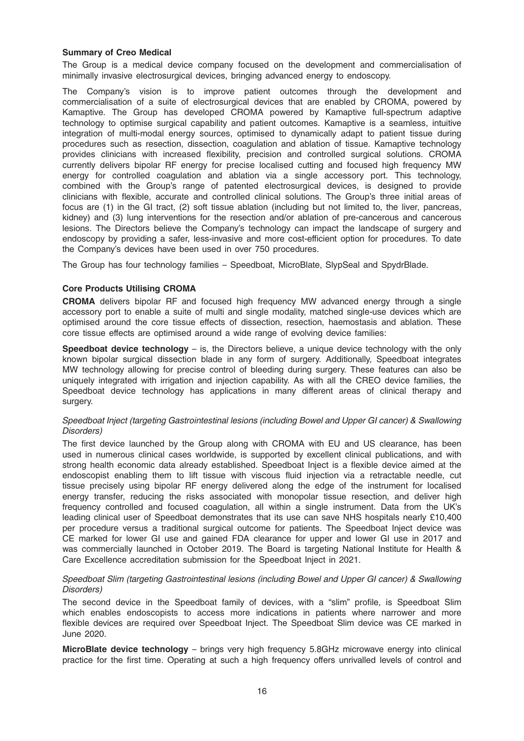# Summary of Creo Medical

The Group is a medical device company focused on the development and commercialisation of minimally invasive electrosurgical devices, bringing advanced energy to endoscopy.

The Company's vision is to improve patient outcomes through the development and commercialisation of a suite of electrosurgical devices that are enabled by CROMA, powered by Kamaptive. The Group has developed CROMA powered by Kamaptive full-spectrum adaptive technology to optimise surgical capability and patient outcomes. Kamaptive is a seamless, intuitive integration of multi-modal energy sources, optimised to dynamically adapt to patient tissue during procedures such as resection, dissection, coagulation and ablation of tissue. Kamaptive technology provides clinicians with increased flexibility, precision and controlled surgical solutions. CROMA currently delivers bipolar RF energy for precise localised cutting and focused high frequency MW energy for controlled coagulation and ablation via a single accessory port. This technology, combined with the Group's range of patented electrosurgical devices, is designed to provide clinicians with flexible, accurate and controlled clinical solutions. The Group's three initial areas of focus are (1) in the GI tract, (2) soft tissue ablation (including but not limited to, the liver, pancreas, kidney) and (3) lung interventions for the resection and/or ablation of pre-cancerous and cancerous lesions. The Directors believe the Company's technology can impact the landscape of surgery and endoscopy by providing a safer, less-invasive and more cost-efficient option for procedures. To date the Company's devices have been used in over 750 procedures.

The Group has four technology families – Speedboat, MicroBlate, SlypSeal and SpydrBlade.

# Core Products Utilising CROMA

CROMA delivers bipolar RF and focused high frequency MW advanced energy through a single accessory port to enable a suite of multi and single modality, matched single-use devices which are optimised around the core tissue effects of dissection, resection, haemostasis and ablation. These core tissue effects are optimised around a wide range of evolving device families:

**Speedboat device technology** – is, the Directors believe, a unique device technology with the only known bipolar surgical dissection blade in any form of surgery. Additionally, Speedboat integrates MW technology allowing for precise control of bleeding during surgery. These features can also be uniquely integrated with irrigation and injection capability. As with all the CREO device families, the Speedboat device technology has applications in many different areas of clinical therapy and surgery.

# Speedboat Inject (targeting Gastrointestinal lesions (including Bowel and Upper GI cancer) & Swallowing Disorders)

The first device launched by the Group along with CROMA with EU and US clearance, has been used in numerous clinical cases worldwide, is supported by excellent clinical publications, and with strong health economic data already established. Speedboat Inject is a flexible device aimed at the endoscopist enabling them to lift tissue with viscous fluid injection via a retractable needle, cut tissue precisely using bipolar RF energy delivered along the edge of the instrument for localised energy transfer, reducing the risks associated with monopolar tissue resection, and deliver high frequency controlled and focused coagulation, all within a single instrument. Data from the UK's leading clinical user of Speedboat demonstrates that its use can save NHS hospitals nearly £10,400 per procedure versus a traditional surgical outcome for patients. The Speedboat Inject device was CE marked for lower GI use and gained FDA clearance for upper and lower GI use in 2017 and was commercially launched in October 2019. The Board is targeting National Institute for Health & Care Excellence accreditation submission for the Speedboat Inject in 2021.

# Speedboat Slim (targeting Gastrointestinal lesions (including Bowel and Upper GI cancer) & Swallowing Disorders)

The second device in the Speedboat family of devices, with a "slim" profile, is Speedboat Slim which enables endoscopists to access more indications in patients where narrower and more flexible devices are required over Speedboat Inject. The Speedboat Slim device was CE marked in June 2020.

MicroBlate device technology – brings very high frequency 5.8GHz microwave energy into clinical practice for the first time. Operating at such a high frequency offers unrivalled levels of control and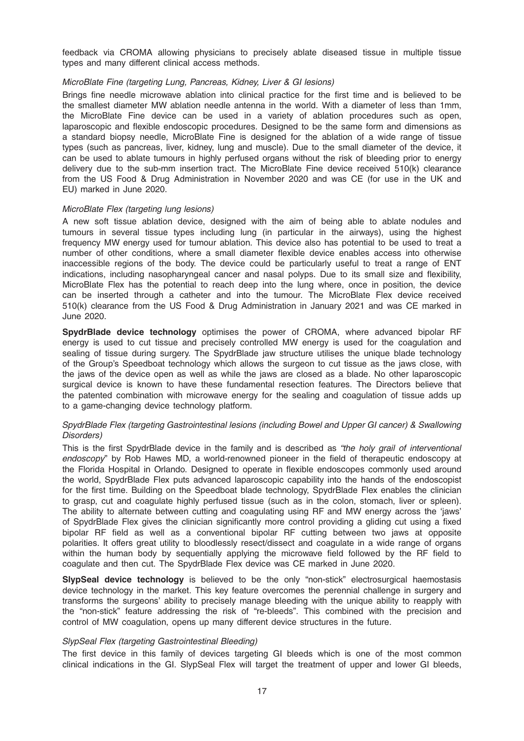feedback via CROMA allowing physicians to precisely ablate diseased tissue in multiple tissue types and many different clinical access methods.

# MicroBlate Fine (targeting Lung, Pancreas, Kidney, Liver & GI lesions)

Brings fine needle microwave ablation into clinical practice for the first time and is believed to be the smallest diameter MW ablation needle antenna in the world. With a diameter of less than 1mm, the MicroBlate Fine device can be used in a variety of ablation procedures such as open, laparoscopic and flexible endoscopic procedures. Designed to be the same form and dimensions as a standard biopsy needle, MicroBlate Fine is designed for the ablation of a wide range of tissue types (such as pancreas, liver, kidney, lung and muscle). Due to the small diameter of the device, it can be used to ablate tumours in highly perfused organs without the risk of bleeding prior to energy delivery due to the sub-mm insertion tract. The MicroBlate Fine device received 510(k) clearance from the US Food & Drug Administration in November 2020 and was CE (for use in the UK and EU) marked in June 2020.

#### MicroBlate Flex (targeting lung lesions)

A new soft tissue ablation device, designed with the aim of being able to ablate nodules and tumours in several tissue types including lung (in particular in the airways), using the highest frequency MW energy used for tumour ablation. This device also has potential to be used to treat a number of other conditions, where a small diameter flexible device enables access into otherwise inaccessible regions of the body. The device could be particularly useful to treat a range of ENT indications, including nasopharyngeal cancer and nasal polyps. Due to its small size and flexibility, MicroBlate Flex has the potential to reach deep into the lung where, once in position, the device can be inserted through a catheter and into the tumour. The MicroBlate Flex device received 510(k) clearance from the US Food & Drug Administration in January 2021 and was CE marked in June 2020.

SpydrBlade device technology optimises the power of CROMA, where advanced bipolar RF energy is used to cut tissue and precisely controlled MW energy is used for the coagulation and sealing of tissue during surgery. The SpydrBlade jaw structure utilises the unique blade technology of the Group's Speedboat technology which allows the surgeon to cut tissue as the jaws close, with the jaws of the device open as well as while the jaws are closed as a blade. No other laparoscopic surgical device is known to have these fundamental resection features. The Directors believe that the patented combination with microwave energy for the sealing and coagulation of tissue adds up to a game-changing device technology platform.

# SpydrBlade Flex (targeting Gastrointestinal lesions (including Bowel and Upper GI cancer) & Swallowing Disorders)

This is the first SpydrBlade device in the family and is described as "the holy grail of interventional endoscopy" by Rob Hawes MD, a world-renowned pioneer in the field of therapeutic endoscopy at the Florida Hospital in Orlando. Designed to operate in flexible endoscopes commonly used around the world, SpydrBlade Flex puts advanced laparoscopic capability into the hands of the endoscopist for the first time. Building on the Speedboat blade technology, SpydrBlade Flex enables the clinician to grasp, cut and coagulate highly perfused tissue (such as in the colon, stomach, liver or spleen). The ability to alternate between cutting and coagulating using RF and MW energy across the 'jaws' of SpydrBlade Flex gives the clinician significantly more control providing a gliding cut using a fixed bipolar RF field as well as a conventional bipolar RF cutting between two jaws at opposite polarities. It offers great utility to bloodlessly resect/dissect and coagulate in a wide range of organs within the human body by sequentially applying the microwave field followed by the RF field to coagulate and then cut. The SpydrBlade Flex device was CE marked in June 2020.

SlypSeal device technology is believed to be the only "non-stick" electrosurgical haemostasis device technology in the market. This key feature overcomes the perennial challenge in surgery and transforms the surgeons' ability to precisely manage bleeding with the unique ability to reapply with the "non-stick" feature addressing the risk of "re-bleeds". This combined with the precision and control of MW coagulation, opens up many different device structures in the future.

#### SlypSeal Flex (targeting Gastrointestinal Bleeding)

The first device in this family of devices targeting GI bleeds which is one of the most common clinical indications in the GI. SlypSeal Flex will target the treatment of upper and lower GI bleeds,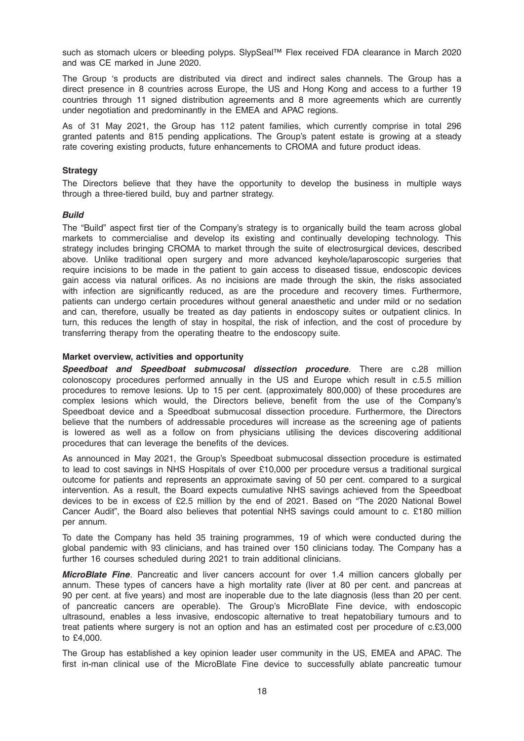such as stomach ulcers or bleeding polyps. SlypSeal™ Flex received FDA clearance in March 2020 and was CE marked in June 2020.

The Group 's products are distributed via direct and indirect sales channels. The Group has a direct presence in 8 countries across Europe, the US and Hong Kong and access to a further 19 countries through 11 signed distribution agreements and 8 more agreements which are currently under negotiation and predominantly in the EMEA and APAC regions.

As of 31 May 2021, the Group has 112 patent families, which currently comprise in total 296 granted patents and 815 pending applications. The Group's patent estate is growing at a steady rate covering existing products, future enhancements to CROMA and future product ideas.

# **Strategy**

The Directors believe that they have the opportunity to develop the business in multiple ways through a three-tiered build, buy and partner strategy.

# Build

The "Build" aspect first tier of the Company's strategy is to organically build the team across global markets to commercialise and develop its existing and continually developing technology. This strategy includes bringing CROMA to market through the suite of electrosurgical devices, described above. Unlike traditional open surgery and more advanced keyhole/laparoscopic surgeries that require incisions to be made in the patient to gain access to diseased tissue, endoscopic devices gain access via natural orifices. As no incisions are made through the skin, the risks associated with infection are significantly reduced, as are the procedure and recovery times. Furthermore, patients can undergo certain procedures without general anaesthetic and under mild or no sedation and can, therefore, usually be treated as day patients in endoscopy suites or outpatient clinics. In turn, this reduces the length of stay in hospital, the risk of infection, and the cost of procedure by transferring therapy from the operating theatre to the endoscopy suite.

#### Market overview, activities and opportunity

Speedboat and Speedboat submucosal dissection procedure. There are c.28 million colonoscopy procedures performed annually in the US and Europe which result in c.5.5 million procedures to remove lesions. Up to 15 per cent. (approximately 800,000) of these procedures are complex lesions which would, the Directors believe, benefit from the use of the Company's Speedboat device and a Speedboat submucosal dissection procedure. Furthermore, the Directors believe that the numbers of addressable procedures will increase as the screening age of patients is lowered as well as a follow on from physicians utilising the devices discovering additional procedures that can leverage the benefits of the devices.

As announced in May 2021, the Group's Speedboat submucosal dissection procedure is estimated to lead to cost savings in NHS Hospitals of over £10,000 per procedure versus a traditional surgical outcome for patients and represents an approximate saving of 50 per cent. compared to a surgical intervention. As a result, the Board expects cumulative NHS savings achieved from the Speedboat devices to be in excess of £2.5 million by the end of 2021. Based on "The 2020 National Bowel Cancer Audit", the Board also believes that potential NHS savings could amount to c. £180 million per annum.

To date the Company has held 35 training programmes, 19 of which were conducted during the global pandemic with 93 clinicians, and has trained over 150 clinicians today. The Company has a further 16 courses scheduled during 2021 to train additional clinicians.

MicroBlate Fine. Pancreatic and liver cancers account for over 1.4 million cancers globally per annum. These types of cancers have a high mortality rate (liver at 80 per cent. and pancreas at 90 per cent. at five years) and most are inoperable due to the late diagnosis (less than 20 per cent. of pancreatic cancers are operable). The Group's MicroBlate Fine device, with endoscopic ultrasound, enables a less invasive, endoscopic alternative to treat hepatobiliary tumours and to treat patients where surgery is not an option and has an estimated cost per procedure of c.£3,000 to £4,000.

The Group has established a key opinion leader user community in the US, EMEA and APAC. The first in-man clinical use of the MicroBlate Fine device to successfully ablate pancreatic tumour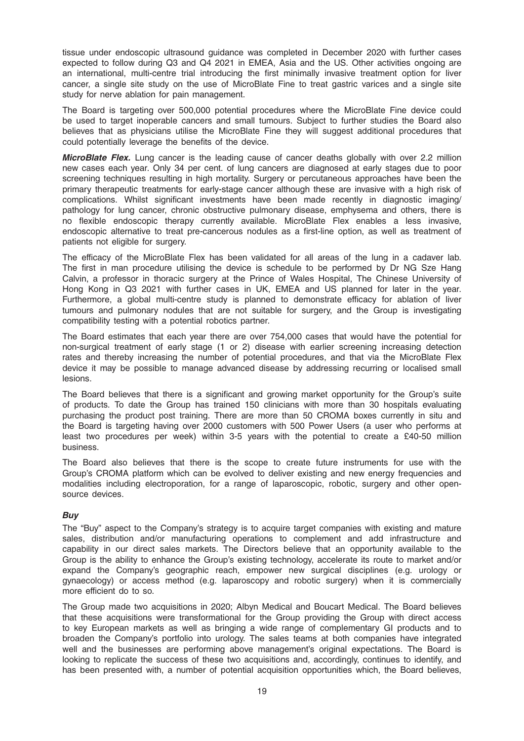tissue under endoscopic ultrasound guidance was completed in December 2020 with further cases expected to follow during Q3 and Q4 2021 in EMEA, Asia and the US. Other activities ongoing are an international, multi-centre trial introducing the first minimally invasive treatment option for liver cancer, a single site study on the use of MicroBlate Fine to treat gastric varices and a single site study for nerve ablation for pain management.

The Board is targeting over 500,000 potential procedures where the MicroBlate Fine device could be used to target inoperable cancers and small tumours. Subject to further studies the Board also believes that as physicians utilise the MicroBlate Fine they will suggest additional procedures that could potentially leverage the benefits of the device.

**MicroBlate Flex.** Lung cancer is the leading cause of cancer deaths globally with over 2.2 million new cases each year. Only 34 per cent. of lung cancers are diagnosed at early stages due to poor screening techniques resulting in high mortality. Surgery or percutaneous approaches have been the primary therapeutic treatments for early-stage cancer although these are invasive with a high risk of complications. Whilst significant investments have been made recently in diagnostic imaging/ pathology for lung cancer, chronic obstructive pulmonary disease, emphysema and others, there is no flexible endoscopic therapy currently available. MicroBlate Flex enables a less invasive, endoscopic alternative to treat pre-cancerous nodules as a first-line option, as well as treatment of patients not eligible for surgery.

The efficacy of the MicroBlate Flex has been validated for all areas of the lung in a cadaver lab. The first in man procedure utilising the device is schedule to be performed by Dr NG Sze Hang Calvin, a professor in thoracic surgery at the Prince of Wales Hospital, The Chinese University of Hong Kong in Q3 2021 with further cases in UK, EMEA and US planned for later in the year. Furthermore, a global multi-centre study is planned to demonstrate efficacy for ablation of liver tumours and pulmonary nodules that are not suitable for surgery, and the Group is investigating compatibility testing with a potential robotics partner.

The Board estimates that each year there are over 754,000 cases that would have the potential for non-surgical treatment of early stage (1 or 2) disease with earlier screening increasing detection rates and thereby increasing the number of potential procedures, and that via the MicroBlate Flex device it may be possible to manage advanced disease by addressing recurring or localised small lesions.

The Board believes that there is a significant and growing market opportunity for the Group's suite of products. To date the Group has trained 150 clinicians with more than 30 hospitals evaluating purchasing the product post training. There are more than 50 CROMA boxes currently in situ and the Board is targeting having over 2000 customers with 500 Power Users (a user who performs at least two procedures per week) within 3-5 years with the potential to create a £40-50 million business.

The Board also believes that there is the scope to create future instruments for use with the Group's CROMA platform which can be evolved to deliver existing and new energy frequencies and modalities including electroporation, for a range of laparoscopic, robotic, surgery and other opensource devices.

# Buy

The "Buy" aspect to the Company's strategy is to acquire target companies with existing and mature sales, distribution and/or manufacturing operations to complement and add infrastructure and capability in our direct sales markets. The Directors believe that an opportunity available to the Group is the ability to enhance the Group's existing technology, accelerate its route to market and/or expand the Company's geographic reach, empower new surgical disciplines (e.g. urology or gynaecology) or access method (e.g. laparoscopy and robotic surgery) when it is commercially more efficient do to so.

The Group made two acquisitions in 2020; Albyn Medical and Boucart Medical. The Board believes that these acquisitions were transformational for the Group providing the Group with direct access to key European markets as well as bringing a wide range of complementary GI products and to broaden the Company's portfolio into urology. The sales teams at both companies have integrated well and the businesses are performing above management's original expectations. The Board is looking to replicate the success of these two acquisitions and, accordingly, continues to identify, and has been presented with, a number of potential acquisition opportunities which, the Board believes,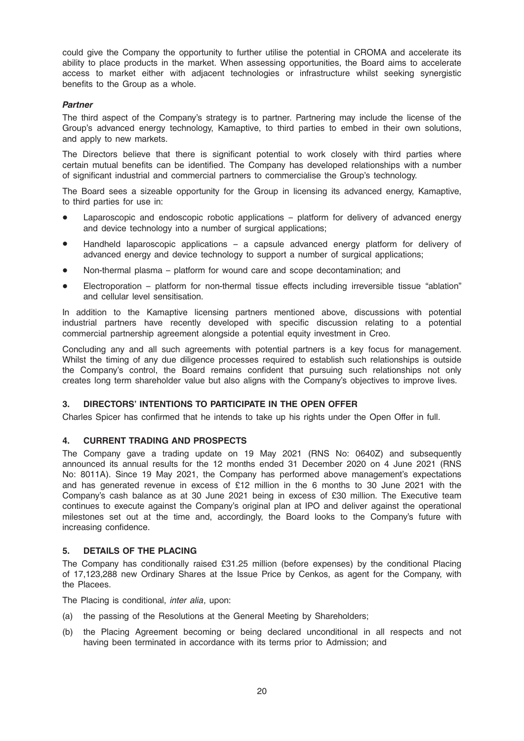could give the Company the opportunity to further utilise the potential in CROMA and accelerate its ability to place products in the market. When assessing opportunities, the Board aims to accelerate access to market either with adjacent technologies or infrastructure whilst seeking synergistic benefits to the Group as a whole.

# Partner

The third aspect of the Company's strategy is to partner. Partnering may include the license of the Group's advanced energy technology, Kamaptive, to third parties to embed in their own solutions, and apply to new markets.

The Directors believe that there is significant potential to work closely with third parties where certain mutual benefits can be identified. The Company has developed relationships with a number of significant industrial and commercial partners to commercialise the Group's technology.

The Board sees a sizeable opportunity for the Group in licensing its advanced energy, Kamaptive, to third parties for use in:

- Laparoscopic and endoscopic robotic applications platform for delivery of advanced energy and device technology into a number of surgical applications;
- Handheld laparoscopic applications a capsule advanced energy platform for delivery of advanced energy and device technology to support a number of surgical applications;
- Non-thermal plasma platform for wound care and scope decontamination; and
- Electroporation platform for non-thermal tissue effects including irreversible tissue "ablation" and cellular level sensitisation.

In addition to the Kamaptive licensing partners mentioned above, discussions with potential industrial partners have recently developed with specific discussion relating to a potential commercial partnership agreement alongside a potential equity investment in Creo.

Concluding any and all such agreements with potential partners is a key focus for management. Whilst the timing of any due diligence processes required to establish such relationships is outside the Company's control, the Board remains confident that pursuing such relationships not only creates long term shareholder value but also aligns with the Company's objectives to improve lives.

# 3. DIRECTORS' INTENTIONS TO PARTICIPATE IN THE OPEN OFFER

Charles Spicer has confirmed that he intends to take up his rights under the Open Offer in full.

# 4. CURRENT TRADING AND PROSPECTS

The Company gave a trading update on 19 May 2021 (RNS No: 0640Z) and subsequently announced its annual results for the 12 months ended 31 December 2020 on 4 June 2021 (RNS No: 8011A). Since 19 May 2021, the Company has performed above management's expectations and has generated revenue in excess of £12 million in the 6 months to 30 June 2021 with the Company's cash balance as at 30 June 2021 being in excess of £30 million. The Executive team continues to execute against the Company's original plan at IPO and deliver against the operational milestones set out at the time and, accordingly, the Board looks to the Company's future with increasing confidence.

#### 5. DETAILS OF THE PLACING

The Company has conditionally raised £31.25 million (before expenses) by the conditional Placing of 17,123,288 new Ordinary Shares at the Issue Price by Cenkos, as agent for the Company, with the Placees.

The Placing is conditional, inter alia, upon:

- (a) the passing of the Resolutions at the General Meeting by Shareholders;
- (b) the Placing Agreement becoming or being declared unconditional in all respects and not having been terminated in accordance with its terms prior to Admission; and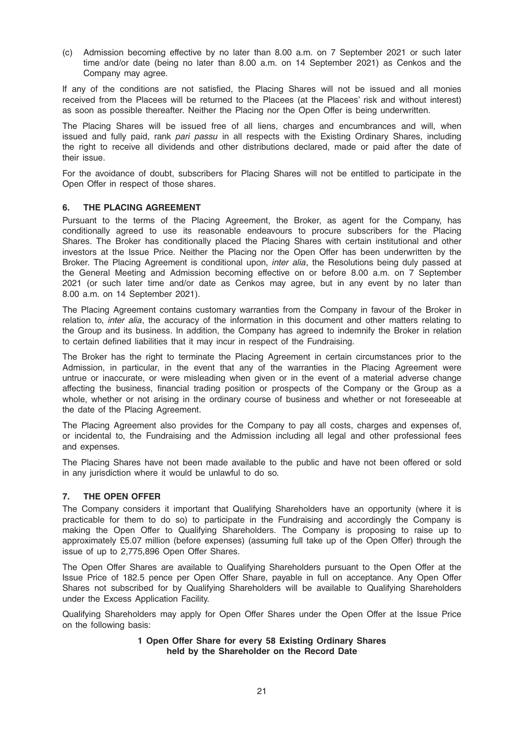(c) Admission becoming effective by no later than 8.00 a.m. on 7 September 2021 or such later time and/or date (being no later than 8.00 a.m. on 14 September 2021) as Cenkos and the Company may agree.

If any of the conditions are not satisfied, the Placing Shares will not be issued and all monies received from the Placees will be returned to the Placees (at the Placees' risk and without interest) as soon as possible thereafter. Neither the Placing nor the Open Offer is being underwritten.

The Placing Shares will be issued free of all liens, charges and encumbrances and will, when issued and fully paid, rank pari passu in all respects with the Existing Ordinary Shares, including the right to receive all dividends and other distributions declared, made or paid after the date of their issue.

For the avoidance of doubt, subscribers for Placing Shares will not be entitled to participate in the Open Offer in respect of those shares.

# 6. THE PLACING AGREEMENT

Pursuant to the terms of the Placing Agreement, the Broker, as agent for the Company, has conditionally agreed to use its reasonable endeavours to procure subscribers for the Placing Shares. The Broker has conditionally placed the Placing Shares with certain institutional and other investors at the Issue Price. Neither the Placing nor the Open Offer has been underwritten by the Broker. The Placing Agreement is conditional upon, *inter alia*, the Resolutions being duly passed at the General Meeting and Admission becoming effective on or before 8.00 a.m. on 7 September 2021 (or such later time and/or date as Cenkos may agree, but in any event by no later than 8.00 a.m. on 14 September 2021).

The Placing Agreement contains customary warranties from the Company in favour of the Broker in relation to, *inter alia*, the accuracy of the information in this document and other matters relating to the Group and its business. In addition, the Company has agreed to indemnify the Broker in relation to certain defined liabilities that it may incur in respect of the Fundraising.

The Broker has the right to terminate the Placing Agreement in certain circumstances prior to the Admission, in particular, in the event that any of the warranties in the Placing Agreement were untrue or inaccurate, or were misleading when given or in the event of a material adverse change affecting the business, financial trading position or prospects of the Company or the Group as a whole, whether or not arising in the ordinary course of business and whether or not foreseeable at the date of the Placing Agreement.

The Placing Agreement also provides for the Company to pay all costs, charges and expenses of, or incidental to, the Fundraising and the Admission including all legal and other professional fees and expenses.

The Placing Shares have not been made available to the public and have not been offered or sold in any jurisdiction where it would be unlawful to do so.

# 7. THE OPEN OFFER

The Company considers it important that Qualifying Shareholders have an opportunity (where it is practicable for them to do so) to participate in the Fundraising and accordingly the Company is making the Open Offer to Qualifying Shareholders. The Company is proposing to raise up to approximately £5.07 million (before expenses) (assuming full take up of the Open Offer) through the issue of up to 2,775,896 Open Offer Shares.

The Open Offer Shares are available to Qualifying Shareholders pursuant to the Open Offer at the Issue Price of 182.5 pence per Open Offer Share, payable in full on acceptance. Any Open Offer Shares not subscribed for by Qualifying Shareholders will be available to Qualifying Shareholders under the Excess Application Facility.

Qualifying Shareholders may apply for Open Offer Shares under the Open Offer at the Issue Price on the following basis:

# 1 Open Offer Share for every 58 Existing Ordinary Shares held by the Shareholder on the Record Date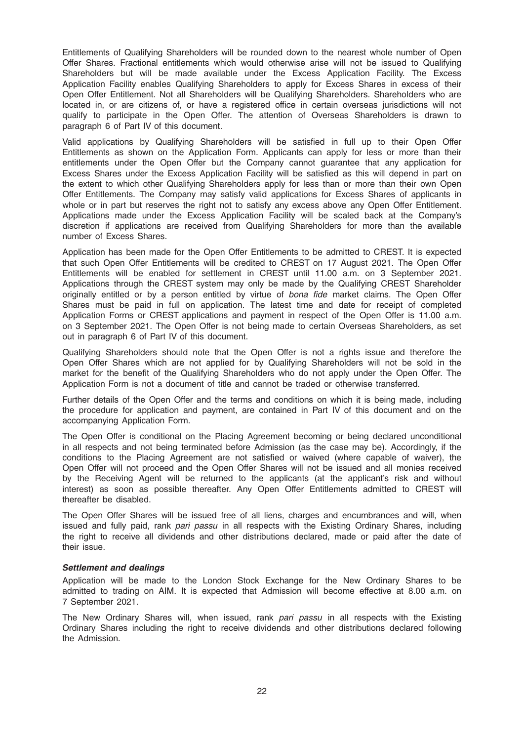Entitlements of Qualifying Shareholders will be rounded down to the nearest whole number of Open Offer Shares. Fractional entitlements which would otherwise arise will not be issued to Qualifying Shareholders but will be made available under the Excess Application Facility. The Excess Application Facility enables Qualifying Shareholders to apply for Excess Shares in excess of their Open Offer Entitlement. Not all Shareholders will be Qualifying Shareholders. Shareholders who are located in, or are citizens of, or have a registered office in certain overseas jurisdictions will not qualify to participate in the Open Offer. The attention of Overseas Shareholders is drawn to paragraph 6 of Part IV of this document.

Valid applications by Qualifying Shareholders will be satisfied in full up to their Open Offer Entitlements as shown on the Application Form. Applicants can apply for less or more than their entitlements under the Open Offer but the Company cannot guarantee that any application for Excess Shares under the Excess Application Facility will be satisfied as this will depend in part on the extent to which other Qualifying Shareholders apply for less than or more than their own Open Offer Entitlements. The Company may satisfy valid applications for Excess Shares of applicants in whole or in part but reserves the right not to satisfy any excess above any Open Offer Entitlement. Applications made under the Excess Application Facility will be scaled back at the Company's discretion if applications are received from Qualifying Shareholders for more than the available number of Excess Shares.

Application has been made for the Open Offer Entitlements to be admitted to CREST. It is expected that such Open Offer Entitlements will be credited to CREST on 17 August 2021. The Open Offer Entitlements will be enabled for settlement in CREST until 11.00 a.m. on 3 September 2021. Applications through the CREST system may only be made by the Qualifying CREST Shareholder originally entitled or by a person entitled by virtue of bona fide market claims. The Open Offer Shares must be paid in full on application. The latest time and date for receipt of completed Application Forms or CREST applications and payment in respect of the Open Offer is 11.00 a.m. on 3 September 2021. The Open Offer is not being made to certain Overseas Shareholders, as set out in paragraph 6 of Part IV of this document.

Qualifying Shareholders should note that the Open Offer is not a rights issue and therefore the Open Offer Shares which are not applied for by Qualifying Shareholders will not be sold in the market for the benefit of the Qualifying Shareholders who do not apply under the Open Offer. The Application Form is not a document of title and cannot be traded or otherwise transferred.

Further details of the Open Offer and the terms and conditions on which it is being made, including the procedure for application and payment, are contained in Part IV of this document and on the accompanying Application Form.

The Open Offer is conditional on the Placing Agreement becoming or being declared unconditional in all respects and not being terminated before Admission (as the case may be). Accordingly, if the conditions to the Placing Agreement are not satisfied or waived (where capable of waiver), the Open Offer will not proceed and the Open Offer Shares will not be issued and all monies received by the Receiving Agent will be returned to the applicants (at the applicant's risk and without interest) as soon as possible thereafter. Any Open Offer Entitlements admitted to CREST will thereafter be disabled.

The Open Offer Shares will be issued free of all liens, charges and encumbrances and will, when issued and fully paid, rank pari passu in all respects with the Existing Ordinary Shares, including the right to receive all dividends and other distributions declared, made or paid after the date of their issue.

#### Settlement and dealings

Application will be made to the London Stock Exchange for the New Ordinary Shares to be admitted to trading on AIM. It is expected that Admission will become effective at 8.00 a.m. on 7 September 2021.

The New Ordinary Shares will, when issued, rank pari passu in all respects with the Existing Ordinary Shares including the right to receive dividends and other distributions declared following the Admission.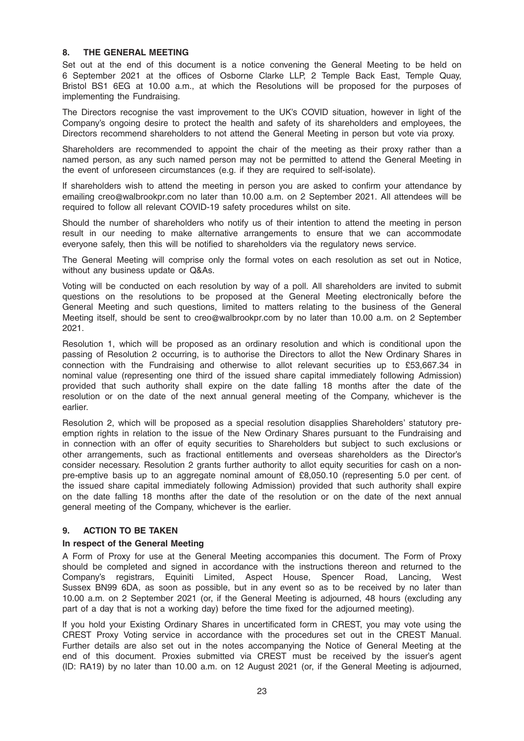# 8. THE GENERAL MEETING

Set out at the end of this document is a notice convening the General Meeting to be held on 6 September 2021 at the offices of Osborne Clarke LLP, 2 Temple Back East, Temple Quay, Bristol BS1 6EG at 10.00 a.m., at which the Resolutions will be proposed for the purposes of implementing the Fundraising.

The Directors recognise the vast improvement to the UK's COVID situation, however in light of the Company's ongoing desire to protect the health and safety of its shareholders and employees, the Directors recommend shareholders to not attend the General Meeting in person but vote via proxy.

Shareholders are recommended to appoint the chair of the meeting as their proxy rather than a named person, as any such named person may not be permitted to attend the General Meeting in the event of unforeseen circumstances (e.g. if they are required to self-isolate).

If shareholders wish to attend the meeting in person you are asked to confirm your attendance by emailing creo@walbrookpr.com no later than 10.00 a.m. on 2 September 2021. All attendees will be required to follow all relevant COVID-19 safety procedures whilst on site.

Should the number of shareholders who notify us of their intention to attend the meeting in person result in our needing to make alternative arrangements to ensure that we can accommodate everyone safely, then this will be notified to shareholders via the regulatory news service.

The General Meeting will comprise only the formal votes on each resolution as set out in Notice, without any business update or Q&As.

Voting will be conducted on each resolution by way of a poll. All shareholders are invited to submit questions on the resolutions to be proposed at the General Meeting electronically before the General Meeting and such questions, limited to matters relating to the business of the General Meeting itself, should be sent to creo@walbrookpr.com by no later than 10.00 a.m. on 2 September 2021.

Resolution 1, which will be proposed as an ordinary resolution and which is conditional upon the passing of Resolution 2 occurring, is to authorise the Directors to allot the New Ordinary Shares in connection with the Fundraising and otherwise to allot relevant securities up to £53,667.34 in nominal value (representing one third of the issued share capital immediately following Admission) provided that such authority shall expire on the date falling 18 months after the date of the resolution or on the date of the next annual general meeting of the Company, whichever is the earlier.

Resolution 2, which will be proposed as a special resolution disapplies Shareholders' statutory preemption rights in relation to the issue of the New Ordinary Shares pursuant to the Fundraising and in connection with an offer of equity securities to Shareholders but subject to such exclusions or other arrangements, such as fractional entitlements and overseas shareholders as the Director's consider necessary. Resolution 2 grants further authority to allot equity securities for cash on a nonpre-emptive basis up to an aggregate nominal amount of £8,050.10 (representing 5.0 per cent. of the issued share capital immediately following Admission) provided that such authority shall expire on the date falling 18 months after the date of the resolution or on the date of the next annual general meeting of the Company, whichever is the earlier.

# 9. ACTION TO BE TAKEN

# In respect of the General Meeting

A Form of Proxy for use at the General Meeting accompanies this document. The Form of Proxy should be completed and signed in accordance with the instructions thereon and returned to the Company's registrars, Equiniti Limited, Aspect House, Spencer Road, Lancing, West Sussex BN99 6DA, as soon as possible, but in any event so as to be received by no later than 10.00 a.m. on 2 September 2021 (or, if the General Meeting is adjourned, 48 hours (excluding any part of a day that is not a working day) before the time fixed for the adjourned meeting).

If you hold your Existing Ordinary Shares in uncertificated form in CREST, you may vote using the CREST Proxy Voting service in accordance with the procedures set out in the CREST Manual. Further details are also set out in the notes accompanying the Notice of General Meeting at the end of this document. Proxies submitted via CREST must be received by the issuer's agent (ID: RA19) by no later than 10.00 a.m. on 12 August 2021 (or, if the General Meeting is adjourned,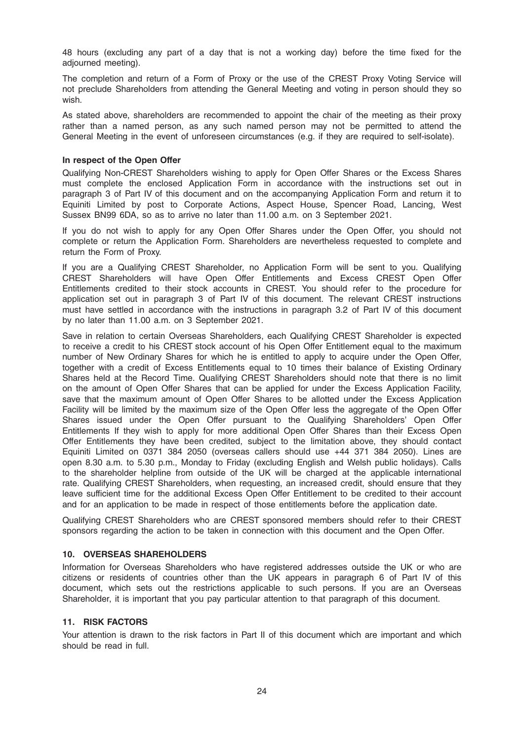48 hours (excluding any part of a day that is not a working day) before the time fixed for the adjourned meeting).

The completion and return of a Form of Proxy or the use of the CREST Proxy Voting Service will not preclude Shareholders from attending the General Meeting and voting in person should they so wish.

As stated above, shareholders are recommended to appoint the chair of the meeting as their proxy rather than a named person, as any such named person may not be permitted to attend the General Meeting in the event of unforeseen circumstances (e.g. if they are required to self-isolate).

### In respect of the Open Offer

Qualifying Non-CREST Shareholders wishing to apply for Open Offer Shares or the Excess Shares must complete the enclosed Application Form in accordance with the instructions set out in paragraph 3 of Part IV of this document and on the accompanying Application Form and return it to Equiniti Limited by post to Corporate Actions, Aspect House, Spencer Road, Lancing, West Sussex BN99 6DA, so as to arrive no later than 11.00 a.m. on 3 September 2021.

If you do not wish to apply for any Open Offer Shares under the Open Offer, you should not complete or return the Application Form. Shareholders are nevertheless requested to complete and return the Form of Proxy.

If you are a Qualifying CREST Shareholder, no Application Form will be sent to you. Qualifying CREST Shareholders will have Open Offer Entitlements and Excess CREST Open Offer Entitlements credited to their stock accounts in CREST. You should refer to the procedure for application set out in paragraph 3 of Part IV of this document. The relevant CREST instructions must have settled in accordance with the instructions in paragraph 3.2 of Part IV of this document by no later than 11.00 a.m. on 3 September 2021.

Save in relation to certain Overseas Shareholders, each Qualifying CREST Shareholder is expected to receive a credit to his CREST stock account of his Open Offer Entitlement equal to the maximum number of New Ordinary Shares for which he is entitled to apply to acquire under the Open Offer, together with a credit of Excess Entitlements equal to 10 times their balance of Existing Ordinary Shares held at the Record Time. Qualifying CREST Shareholders should note that there is no limit on the amount of Open Offer Shares that can be applied for under the Excess Application Facility, save that the maximum amount of Open Offer Shares to be allotted under the Excess Application Facility will be limited by the maximum size of the Open Offer less the aggregate of the Open Offer Shares issued under the Open Offer pursuant to the Qualifying Shareholders' Open Offer Entitlements If they wish to apply for more additional Open Offer Shares than their Excess Open Offer Entitlements they have been credited, subject to the limitation above, they should contact Equiniti Limited on 0371 384 2050 (overseas callers should use +44 371 384 2050). Lines are open 8.30 a.m. to 5.30 p.m., Monday to Friday (excluding English and Welsh public holidays). Calls to the shareholder helpline from outside of the UK will be charged at the applicable international rate. Qualifying CREST Shareholders, when requesting, an increased credit, should ensure that they leave sufficient time for the additional Excess Open Offer Entitlement to be credited to their account and for an application to be made in respect of those entitlements before the application date.

Qualifying CREST Shareholders who are CREST sponsored members should refer to their CREST sponsors regarding the action to be taken in connection with this document and the Open Offer.

# 10. OVERSEAS SHAREHOLDERS

Information for Overseas Shareholders who have registered addresses outside the UK or who are citizens or residents of countries other than the UK appears in paragraph 6 of Part IV of this document, which sets out the restrictions applicable to such persons. If you are an Overseas Shareholder, it is important that you pay particular attention to that paragraph of this document.

# 11. RISK FACTORS

Your attention is drawn to the risk factors in Part II of this document which are important and which should be read in full.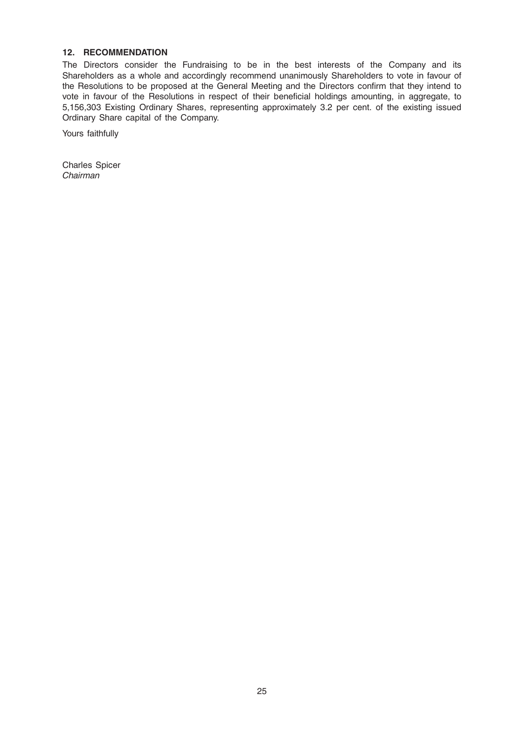# 12. RECOMMENDATION

The Directors consider the Fundraising to be in the best interests of the Company and its Shareholders as a whole and accordingly recommend unanimously Shareholders to vote in favour of the Resolutions to be proposed at the General Meeting and the Directors confirm that they intend to vote in favour of the Resolutions in respect of their beneficial holdings amounting, in aggregate, to 5,156,303 Existing Ordinary Shares, representing approximately 3.2 per cent. of the existing issued Ordinary Share capital of the Company.

Yours faithfully

Charles Spicer Chairman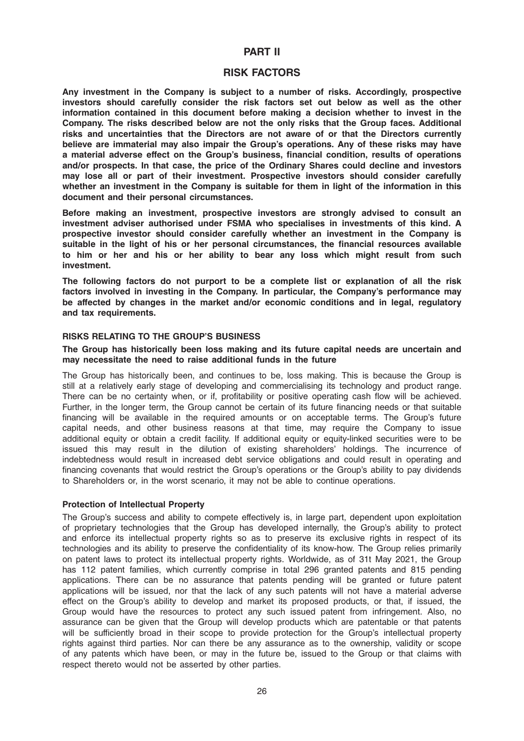# PART II

# RISK FACTORS

Any investment in the Company is subject to a number of risks. Accordingly, prospective investors should carefully consider the risk factors set out below as well as the other information contained in this document before making a decision whether to invest in the Company. The risks described below are not the only risks that the Group faces. Additional risks and uncertainties that the Directors are not aware of or that the Directors currently believe are immaterial may also impair the Group's operations. Any of these risks may have a material adverse effect on the Group's business, financial condition, results of operations and/or prospects. In that case, the price of the Ordinary Shares could decline and investors may lose all or part of their investment. Prospective investors should consider carefully whether an investment in the Company is suitable for them in light of the information in this document and their personal circumstances.

Before making an investment, prospective investors are strongly advised to consult an investment adviser authorised under FSMA who specialises in investments of this kind. A prospective investor should consider carefully whether an investment in the Company is suitable in the light of his or her personal circumstances, the financial resources available to him or her and his or her ability to bear any loss which might result from such investment.

The following factors do not purport to be a complete list or explanation of all the risk factors involved in investing in the Company. In particular, the Company's performance may be affected by changes in the market and/or economic conditions and in legal, regulatory and tax requirements.

### RISKS RELATING TO THE GROUP'S BUSINESS

#### The Group has historically been loss making and its future capital needs are uncertain and may necessitate the need to raise additional funds in the future

The Group has historically been, and continues to be, loss making. This is because the Group is still at a relatively early stage of developing and commercialising its technology and product range. There can be no certainty when, or if, profitability or positive operating cash flow will be achieved. Further, in the longer term, the Group cannot be certain of its future financing needs or that suitable financing will be available in the required amounts or on acceptable terms. The Group's future capital needs, and other business reasons at that time, may require the Company to issue additional equity or obtain a credit facility. If additional equity or equity-linked securities were to be issued this may result in the dilution of existing shareholders' holdings. The incurrence of indebtedness would result in increased debt service obligations and could result in operating and financing covenants that would restrict the Group's operations or the Group's ability to pay dividends to Shareholders or, in the worst scenario, it may not be able to continue operations.

#### Protection of Intellectual Property

The Group's success and ability to compete effectively is, in large part, dependent upon exploitation of proprietary technologies that the Group has developed internally, the Group's ability to protect and enforce its intellectual property rights so as to preserve its exclusive rights in respect of its technologies and its ability to preserve the confidentiality of its know-how. The Group relies primarily on patent laws to protect its intellectual property rights. Worldwide, as of 31t May 2021, the Group has 112 patent families, which currently comprise in total 296 granted patents and 815 pending applications. There can be no assurance that patents pending will be granted or future patent applications will be issued, nor that the lack of any such patents will not have a material adverse effect on the Group's ability to develop and market its proposed products, or that, if issued, the Group would have the resources to protect any such issued patent from infringement. Also, no assurance can be given that the Group will develop products which are patentable or that patents will be sufficiently broad in their scope to provide protection for the Group's intellectual property rights against third parties. Nor can there be any assurance as to the ownership, validity or scope of any patents which have been, or may in the future be, issued to the Group or that claims with respect thereto would not be asserted by other parties.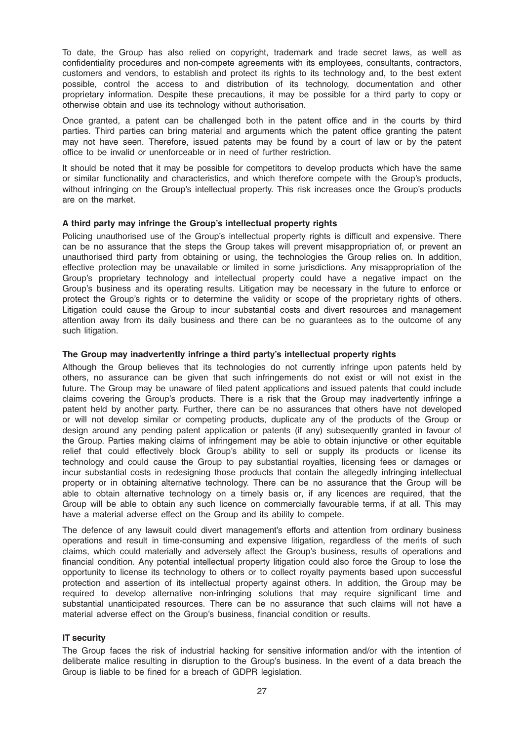To date, the Group has also relied on copyright, trademark and trade secret laws, as well as confidentiality procedures and non-compete agreements with its employees, consultants, contractors, customers and vendors, to establish and protect its rights to its technology and, to the best extent possible, control the access to and distribution of its technology, documentation and other proprietary information. Despite these precautions, it may be possible for a third party to copy or otherwise obtain and use its technology without authorisation.

Once granted, a patent can be challenged both in the patent office and in the courts by third parties. Third parties can bring material and arguments which the patent office granting the patent may not have seen. Therefore, issued patents may be found by a court of law or by the patent office to be invalid or unenforceable or in need of further restriction.

It should be noted that it may be possible for competitors to develop products which have the same or similar functionality and characteristics, and which therefore compete with the Group's products, without infringing on the Group's intellectual property. This risk increases once the Group's products are on the market.

# A third party may infringe the Group's intellectual property rights

Policing unauthorised use of the Group's intellectual property rights is difficult and expensive. There can be no assurance that the steps the Group takes will prevent misappropriation of, or prevent an unauthorised third party from obtaining or using, the technologies the Group relies on. In addition, effective protection may be unavailable or limited in some jurisdictions. Any misappropriation of the Group's proprietary technology and intellectual property could have a negative impact on the Group's business and its operating results. Litigation may be necessary in the future to enforce or protect the Group's rights or to determine the validity or scope of the proprietary rights of others. Litigation could cause the Group to incur substantial costs and divert resources and management attention away from its daily business and there can be no guarantees as to the outcome of any such litigation.

# The Group may inadvertently infringe a third party's intellectual property rights

Although the Group believes that its technologies do not currently infringe upon patents held by others, no assurance can be given that such infringements do not exist or will not exist in the future. The Group may be unaware of filed patent applications and issued patents that could include claims covering the Group's products. There is a risk that the Group may inadvertently infringe a patent held by another party. Further, there can be no assurances that others have not developed or will not develop similar or competing products, duplicate any of the products of the Group or design around any pending patent application or patents (if any) subsequently granted in favour of the Group. Parties making claims of infringement may be able to obtain injunctive or other equitable relief that could effectively block Group's ability to sell or supply its products or license its technology and could cause the Group to pay substantial royalties, licensing fees or damages or incur substantial costs in redesigning those products that contain the allegedly infringing intellectual property or in obtaining alternative technology. There can be no assurance that the Group will be able to obtain alternative technology on a timely basis or, if any licences are required, that the Group will be able to obtain any such licence on commercially favourable terms, if at all. This may have a material adverse effect on the Group and its ability to compete.

The defence of any lawsuit could divert management's efforts and attention from ordinary business operations and result in time-consuming and expensive litigation, regardless of the merits of such claims, which could materially and adversely affect the Group's business, results of operations and financial condition. Any potential intellectual property litigation could also force the Group to lose the opportunity to license its technology to others or to collect royalty payments based upon successful protection and assertion of its intellectual property against others. In addition, the Group may be required to develop alternative non-infringing solutions that may require significant time and substantial unanticipated resources. There can be no assurance that such claims will not have a material adverse effect on the Group's business, financial condition or results.

# IT security

The Group faces the risk of industrial hacking for sensitive information and/or with the intention of deliberate malice resulting in disruption to the Group's business. In the event of a data breach the Group is liable to be fined for a breach of GDPR legislation.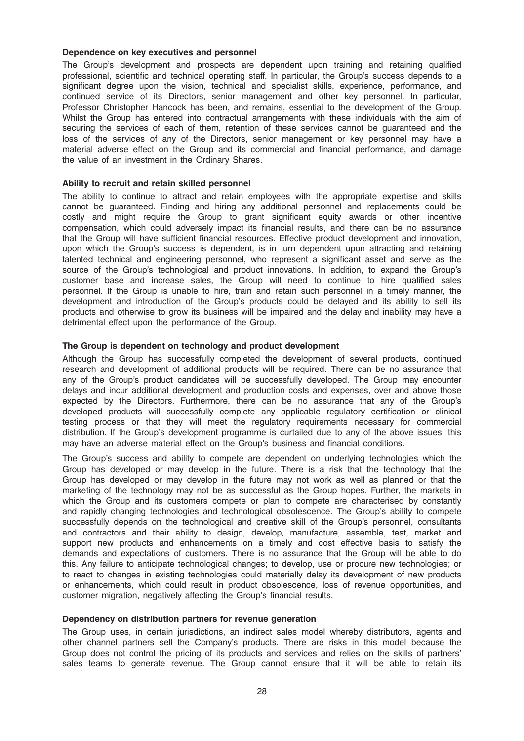# Dependence on key executives and personnel

The Group's development and prospects are dependent upon training and retaining qualified professional, scientific and technical operating staff. In particular, the Group's success depends to a significant degree upon the vision, technical and specialist skills, experience, performance, and continued service of its Directors, senior management and other key personnel. In particular, Professor Christopher Hancock has been, and remains, essential to the development of the Group. Whilst the Group has entered into contractual arrangements with these individuals with the aim of securing the services of each of them, retention of these services cannot be guaranteed and the loss of the services of any of the Directors, senior management or key personnel may have a material adverse effect on the Group and its commercial and financial performance, and damage the value of an investment in the Ordinary Shares.

#### Ability to recruit and retain skilled personnel

The ability to continue to attract and retain employees with the appropriate expertise and skills cannot be guaranteed. Finding and hiring any additional personnel and replacements could be costly and might require the Group to grant significant equity awards or other incentive compensation, which could adversely impact its financial results, and there can be no assurance that the Group will have sufficient financial resources. Effective product development and innovation, upon which the Group's success is dependent, is in turn dependent upon attracting and retaining talented technical and engineering personnel, who represent a significant asset and serve as the source of the Group's technological and product innovations. In addition, to expand the Group's customer base and increase sales, the Group will need to continue to hire qualified sales personnel. If the Group is unable to hire, train and retain such personnel in a timely manner, the development and introduction of the Group's products could be delayed and its ability to sell its products and otherwise to grow its business will be impaired and the delay and inability may have a detrimental effect upon the performance of the Group.

# The Group is dependent on technology and product development

Although the Group has successfully completed the development of several products, continued research and development of additional products will be required. There can be no assurance that any of the Group's product candidates will be successfully developed. The Group may encounter delays and incur additional development and production costs and expenses, over and above those expected by the Directors. Furthermore, there can be no assurance that any of the Group's developed products will successfully complete any applicable regulatory certification or clinical testing process or that they will meet the regulatory requirements necessary for commercial distribution. If the Group's development programme is curtailed due to any of the above issues, this may have an adverse material effect on the Group's business and financial conditions.

The Group's success and ability to compete are dependent on underlying technologies which the Group has developed or may develop in the future. There is a risk that the technology that the Group has developed or may develop in the future may not work as well as planned or that the marketing of the technology may not be as successful as the Group hopes. Further, the markets in which the Group and its customers compete or plan to compete are characterised by constantly and rapidly changing technologies and technological obsolescence. The Group's ability to compete successfully depends on the technological and creative skill of the Group's personnel, consultants and contractors and their ability to design, develop, manufacture, assemble, test, market and support new products and enhancements on a timely and cost effective basis to satisfy the demands and expectations of customers. There is no assurance that the Group will be able to do this. Any failure to anticipate technological changes; to develop, use or procure new technologies; or to react to changes in existing technologies could materially delay its development of new products or enhancements, which could result in product obsolescence, loss of revenue opportunities, and customer migration, negatively affecting the Group's financial results.

#### Dependency on distribution partners for revenue generation

The Group uses, in certain jurisdictions, an indirect sales model whereby distributors, agents and other channel partners sell the Company's products. There are risks in this model because the Group does not control the pricing of its products and services and relies on the skills of partners' sales teams to generate revenue. The Group cannot ensure that it will be able to retain its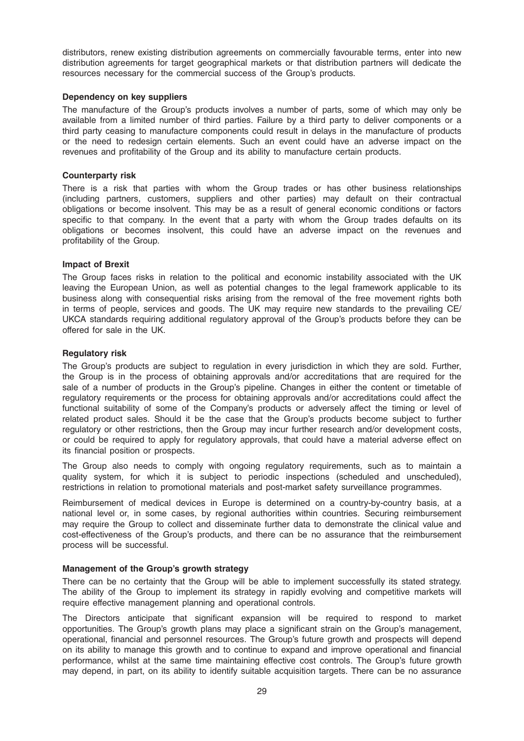distributors, renew existing distribution agreements on commercially favourable terms, enter into new distribution agreements for target geographical markets or that distribution partners will dedicate the resources necessary for the commercial success of the Group's products.

### Dependency on key suppliers

The manufacture of the Group's products involves a number of parts, some of which may only be available from a limited number of third parties. Failure by a third party to deliver components or a third party ceasing to manufacture components could result in delays in the manufacture of products or the need to redesign certain elements. Such an event could have an adverse impact on the revenues and profitability of the Group and its ability to manufacture certain products.

### Counterparty risk

There is a risk that parties with whom the Group trades or has other business relationships (including partners, customers, suppliers and other parties) may default on their contractual obligations or become insolvent. This may be as a result of general economic conditions or factors specific to that company. In the event that a party with whom the Group trades defaults on its obligations or becomes insolvent, this could have an adverse impact on the revenues and profitability of the Group.

# Impact of Brexit

The Group faces risks in relation to the political and economic instability associated with the UK leaving the European Union, as well as potential changes to the legal framework applicable to its business along with consequential risks arising from the removal of the free movement rights both in terms of people, services and goods. The UK may require new standards to the prevailing CE/ UKCA standards requiring additional regulatory approval of the Group's products before they can be offered for sale in the UK.

# Regulatory risk

The Group's products are subject to regulation in every jurisdiction in which they are sold. Further, the Group is in the process of obtaining approvals and/or accreditations that are required for the sale of a number of products in the Group's pipeline. Changes in either the content or timetable of regulatory requirements or the process for obtaining approvals and/or accreditations could affect the functional suitability of some of the Company's products or adversely affect the timing or level of related product sales. Should it be the case that the Group's products become subject to further regulatory or other restrictions, then the Group may incur further research and/or development costs, or could be required to apply for regulatory approvals, that could have a material adverse effect on its financial position or prospects.

The Group also needs to comply with ongoing regulatory requirements, such as to maintain a quality system, for which it is subject to periodic inspections (scheduled and unscheduled), restrictions in relation to promotional materials and post-market safety surveillance programmes.

Reimbursement of medical devices in Europe is determined on a country-by-country basis, at a national level or, in some cases, by regional authorities within countries. Securing reimbursement may require the Group to collect and disseminate further data to demonstrate the clinical value and cost-effectiveness of the Group's products, and there can be no assurance that the reimbursement process will be successful.

# Management of the Group's growth strategy

There can be no certainty that the Group will be able to implement successfully its stated strategy. The ability of the Group to implement its strategy in rapidly evolving and competitive markets will require effective management planning and operational controls.

The Directors anticipate that significant expansion will be required to respond to market opportunities. The Group's growth plans may place a significant strain on the Group's management, operational, financial and personnel resources. The Group's future growth and prospects will depend on its ability to manage this growth and to continue to expand and improve operational and financial performance, whilst at the same time maintaining effective cost controls. The Group's future growth may depend, in part, on its ability to identify suitable acquisition targets. There can be no assurance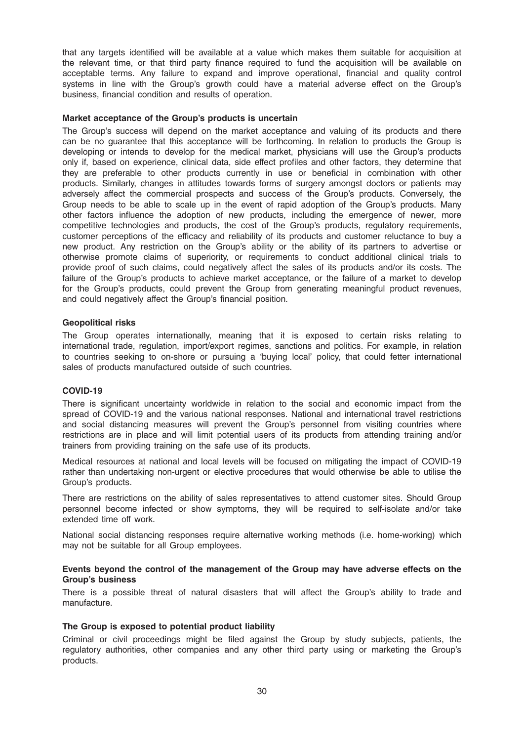that any targets identified will be available at a value which makes them suitable for acquisition at the relevant time, or that third party finance required to fund the acquisition will be available on acceptable terms. Any failure to expand and improve operational, financial and quality control systems in line with the Group's growth could have a material adverse effect on the Group's business, financial condition and results of operation.

#### Market acceptance of the Group's products is uncertain

The Group's success will depend on the market acceptance and valuing of its products and there can be no guarantee that this acceptance will be forthcoming. In relation to products the Group is developing or intends to develop for the medical market, physicians will use the Group's products only if, based on experience, clinical data, side effect profiles and other factors, they determine that they are preferable to other products currently in use or beneficial in combination with other products. Similarly, changes in attitudes towards forms of surgery amongst doctors or patients may adversely affect the commercial prospects and success of the Group's products. Conversely, the Group needs to be able to scale up in the event of rapid adoption of the Group's products. Many other factors influence the adoption of new products, including the emergence of newer, more competitive technologies and products, the cost of the Group's products, regulatory requirements, customer perceptions of the efficacy and reliability of its products and customer reluctance to buy a new product. Any restriction on the Group's ability or the ability of its partners to advertise or otherwise promote claims of superiority, or requirements to conduct additional clinical trials to provide proof of such claims, could negatively affect the sales of its products and/or its costs. The failure of the Group's products to achieve market acceptance, or the failure of a market to develop for the Group's products, could prevent the Group from generating meaningful product revenues, and could negatively affect the Group's financial position.

#### Geopolitical risks

The Group operates internationally, meaning that it is exposed to certain risks relating to international trade, regulation, import/export regimes, sanctions and politics. For example, in relation to countries seeking to on-shore or pursuing a 'buying local' policy, that could fetter international sales of products manufactured outside of such countries.

#### COVID-19

There is significant uncertainty worldwide in relation to the social and economic impact from the spread of COVID-19 and the various national responses. National and international travel restrictions and social distancing measures will prevent the Group's personnel from visiting countries where restrictions are in place and will limit potential users of its products from attending training and/or trainers from providing training on the safe use of its products.

Medical resources at national and local levels will be focused on mitigating the impact of COVID-19 rather than undertaking non-urgent or elective procedures that would otherwise be able to utilise the Group's products.

There are restrictions on the ability of sales representatives to attend customer sites. Should Group personnel become infected or show symptoms, they will be required to self-isolate and/or take extended time off work.

National social distancing responses require alternative working methods (i.e. home-working) which may not be suitable for all Group employees.

#### Events beyond the control of the management of the Group may have adverse effects on the Group's business

There is a possible threat of natural disasters that will affect the Group's ability to trade and manufacture.

# The Group is exposed to potential product liability

Criminal or civil proceedings might be filed against the Group by study subjects, patients, the regulatory authorities, other companies and any other third party using or marketing the Group's products.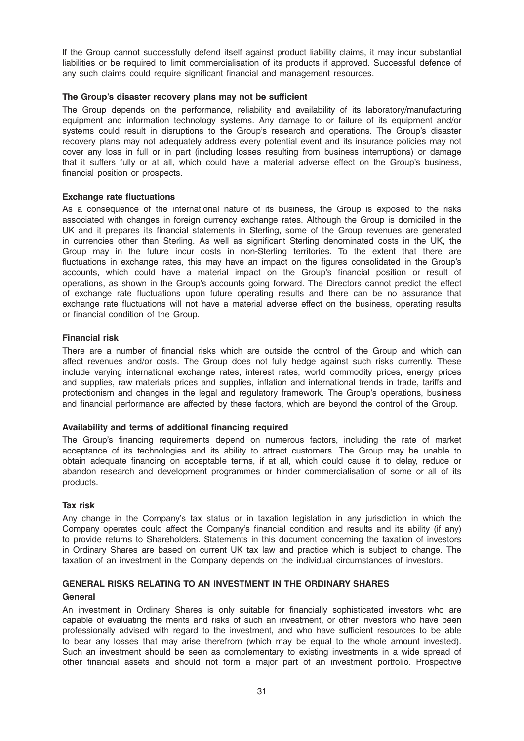If the Group cannot successfully defend itself against product liability claims, it may incur substantial liabilities or be required to limit commercialisation of its products if approved. Successful defence of any such claims could require significant financial and management resources.

# The Group's disaster recovery plans may not be sufficient

The Group depends on the performance, reliability and availability of its laboratory/manufacturing equipment and information technology systems. Any damage to or failure of its equipment and/or systems could result in disruptions to the Group's research and operations. The Group's disaster recovery plans may not adequately address every potential event and its insurance policies may not cover any loss in full or in part (including losses resulting from business interruptions) or damage that it suffers fully or at all, which could have a material adverse effect on the Group's business, financial position or prospects.

# Exchange rate fluctuations

As a consequence of the international nature of its business, the Group is exposed to the risks associated with changes in foreign currency exchange rates. Although the Group is domiciled in the UK and it prepares its financial statements in Sterling, some of the Group revenues are generated in currencies other than Sterling. As well as significant Sterling denominated costs in the UK, the Group may in the future incur costs in non-Sterling territories. To the extent that there are fluctuations in exchange rates, this may have an impact on the figures consolidated in the Group's accounts, which could have a material impact on the Group's financial position or result of operations, as shown in the Group's accounts going forward. The Directors cannot predict the effect of exchange rate fluctuations upon future operating results and there can be no assurance that exchange rate fluctuations will not have a material adverse effect on the business, operating results or financial condition of the Group.

# Financial risk

There are a number of financial risks which are outside the control of the Group and which can affect revenues and/or costs. The Group does not fully hedge against such risks currently. These include varying international exchange rates, interest rates, world commodity prices, energy prices and supplies, raw materials prices and supplies, inflation and international trends in trade, tariffs and protectionism and changes in the legal and regulatory framework. The Group's operations, business and financial performance are affected by these factors, which are beyond the control of the Group.

#### Availability and terms of additional financing required

The Group's financing requirements depend on numerous factors, including the rate of market acceptance of its technologies and its ability to attract customers. The Group may be unable to obtain adequate financing on acceptable terms, if at all, which could cause it to delay, reduce or abandon research and development programmes or hinder commercialisation of some or all of its products.

#### Tax risk

Any change in the Company's tax status or in taxation legislation in any jurisdiction in which the Company operates could affect the Company's financial condition and results and its ability (if any) to provide returns to Shareholders. Statements in this document concerning the taxation of investors in Ordinary Shares are based on current UK tax law and practice which is subject to change. The taxation of an investment in the Company depends on the individual circumstances of investors.

# GENERAL RISKS RELATING TO AN INVESTMENT IN THE ORDINARY SHARES General

An investment in Ordinary Shares is only suitable for financially sophisticated investors who are capable of evaluating the merits and risks of such an investment, or other investors who have been professionally advised with regard to the investment, and who have sufficient resources to be able to bear any losses that may arise therefrom (which may be equal to the whole amount invested). Such an investment should be seen as complementary to existing investments in a wide spread of other financial assets and should not form a major part of an investment portfolio. Prospective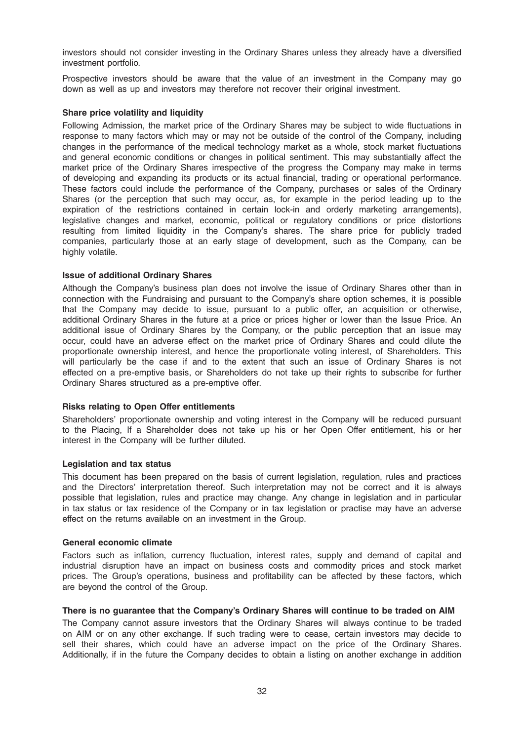investors should not consider investing in the Ordinary Shares unless they already have a diversified investment portfolio.

Prospective investors should be aware that the value of an investment in the Company may go down as well as up and investors may therefore not recover their original investment.

### Share price volatility and liquidity

Following Admission, the market price of the Ordinary Shares may be subject to wide fluctuations in response to many factors which may or may not be outside of the control of the Company, including changes in the performance of the medical technology market as a whole, stock market fluctuations and general economic conditions or changes in political sentiment. This may substantially affect the market price of the Ordinary Shares irrespective of the progress the Company may make in terms of developing and expanding its products or its actual financial, trading or operational performance. These factors could include the performance of the Company, purchases or sales of the Ordinary Shares (or the perception that such may occur, as, for example in the period leading up to the expiration of the restrictions contained in certain lock-in and orderly marketing arrangements), legislative changes and market, economic, political or regulatory conditions or price distortions resulting from limited liquidity in the Company's shares. The share price for publicly traded companies, particularly those at an early stage of development, such as the Company, can be highly volatile.

# Issue of additional Ordinary Shares

Although the Company's business plan does not involve the issue of Ordinary Shares other than in connection with the Fundraising and pursuant to the Company's share option schemes, it is possible that the Company may decide to issue, pursuant to a public offer, an acquisition or otherwise, additional Ordinary Shares in the future at a price or prices higher or lower than the Issue Price. An additional issue of Ordinary Shares by the Company, or the public perception that an issue may occur, could have an adverse effect on the market price of Ordinary Shares and could dilute the proportionate ownership interest, and hence the proportionate voting interest, of Shareholders. This will particularly be the case if and to the extent that such an issue of Ordinary Shares is not effected on a pre-emptive basis, or Shareholders do not take up their rights to subscribe for further Ordinary Shares structured as a pre-emptive offer.

#### Risks relating to Open Offer entitlements

Shareholders' proportionate ownership and voting interest in the Company will be reduced pursuant to the Placing, If a Shareholder does not take up his or her Open Offer entitlement, his or her interest in the Company will be further diluted.

#### Legislation and tax status

This document has been prepared on the basis of current legislation, regulation, rules and practices and the Directors' interpretation thereof. Such interpretation may not be correct and it is always possible that legislation, rules and practice may change. Any change in legislation and in particular in tax status or tax residence of the Company or in tax legislation or practise may have an adverse effect on the returns available on an investment in the Group.

#### General economic climate

Factors such as inflation, currency fluctuation, interest rates, supply and demand of capital and industrial disruption have an impact on business costs and commodity prices and stock market prices. The Group's operations, business and profitability can be affected by these factors, which are beyond the control of the Group.

### There is no guarantee that the Company's Ordinary Shares will continue to be traded on AIM

The Company cannot assure investors that the Ordinary Shares will always continue to be traded on AIM or on any other exchange. If such trading were to cease, certain investors may decide to sell their shares, which could have an adverse impact on the price of the Ordinary Shares. Additionally, if in the future the Company decides to obtain a listing on another exchange in addition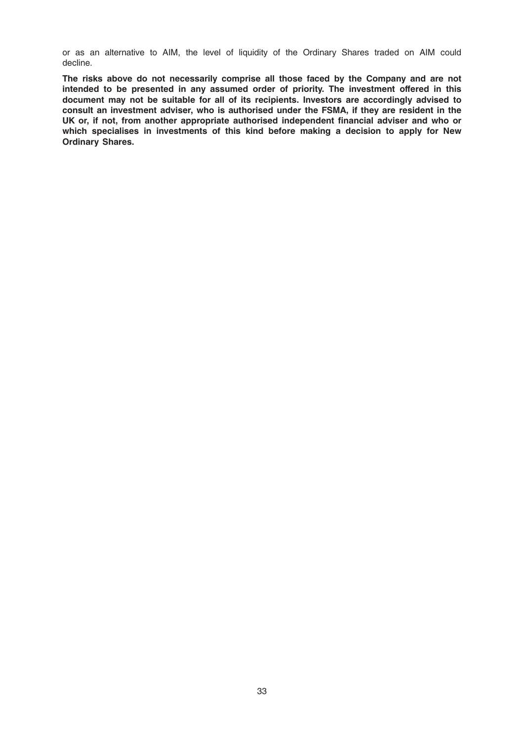or as an alternative to AIM, the level of liquidity of the Ordinary Shares traded on AIM could decline.

The risks above do not necessarily comprise all those faced by the Company and are not intended to be presented in any assumed order of priority. The investment offered in this document may not be suitable for all of its recipients. Investors are accordingly advised to consult an investment adviser, who is authorised under the FSMA, if they are resident in the UK or, if not, from another appropriate authorised independent financial adviser and who or which specialises in investments of this kind before making a decision to apply for New Ordinary Shares.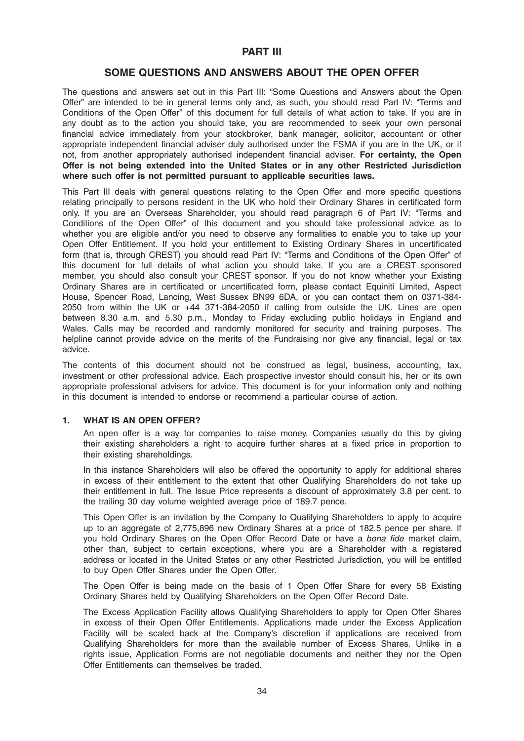# PART III

# SOME QUESTIONS AND ANSWERS ABOUT THE OPEN OFFER

The questions and answers set out in this Part III: "Some Questions and Answers about the Open Offer" are intended to be in general terms only and, as such, you should read Part IV: "Terms and Conditions of the Open Offer" of this document for full details of what action to take. If you are in any doubt as to the action you should take, you are recommended to seek your own personal financial advice immediately from your stockbroker, bank manager, solicitor, accountant or other appropriate independent financial adviser duly authorised under the FSMA if you are in the UK, or if not, from another appropriately authorised independent financial adviser. For certainty, the Open Offer is not being extended into the United States or in any other Restricted Jurisdiction where such offer is not permitted pursuant to applicable securities laws.

This Part III deals with general questions relating to the Open Offer and more specific questions relating principally to persons resident in the UK who hold their Ordinary Shares in certificated form only. If you are an Overseas Shareholder, you should read paragraph 6 of Part IV: "Terms and Conditions of the Open Offer" of this document and you should take professional advice as to whether you are eligible and/or you need to observe any formalities to enable you to take up your Open Offer Entitlement. If you hold your entitlement to Existing Ordinary Shares in uncertificated form (that is, through CREST) you should read Part IV: "Terms and Conditions of the Open Offer" of this document for full details of what action you should take. If you are a CREST sponsored member, you should also consult your CREST sponsor. If you do not know whether your Existing Ordinary Shares are in certificated or uncertificated form, please contact Equiniti Limited, Aspect House, Spencer Road, Lancing, West Sussex BN99 6DA, or you can contact them on 0371-384- 2050 from within the UK or +44 371-384-2050 if calling from outside the UK. Lines are open between 8.30 a.m. and 5.30 p.m., Monday to Friday excluding public holidays in England and Wales. Calls may be recorded and randomly monitored for security and training purposes. The helpline cannot provide advice on the merits of the Fundraising nor give any financial, legal or tax advice.

The contents of this document should not be construed as legal, business, accounting, tax, investment or other professional advice. Each prospective investor should consult his, her or its own appropriate professional advisers for advice. This document is for your information only and nothing in this document is intended to endorse or recommend a particular course of action.

# 1. WHAT IS AN OPEN OFFER?

An open offer is a way for companies to raise money. Companies usually do this by giving their existing shareholders a right to acquire further shares at a fixed price in proportion to their existing shareholdings.

In this instance Shareholders will also be offered the opportunity to apply for additional shares in excess of their entitlement to the extent that other Qualifying Shareholders do not take up their entitlement in full. The Issue Price represents a discount of approximately 3.8 per cent. to the trailing 30 day volume weighted average price of 189.7 pence.

This Open Offer is an invitation by the Company to Qualifying Shareholders to apply to acquire up to an aggregate of 2,775,896 new Ordinary Shares at a price of 182.5 pence per share. If you hold Ordinary Shares on the Open Offer Record Date or have a bona fide market claim, other than, subject to certain exceptions, where you are a Shareholder with a registered address or located in the United States or any other Restricted Jurisdiction, you will be entitled to buy Open Offer Shares under the Open Offer.

The Open Offer is being made on the basis of 1 Open Offer Share for every 58 Existing Ordinary Shares held by Qualifying Shareholders on the Open Offer Record Date.

The Excess Application Facility allows Qualifying Shareholders to apply for Open Offer Shares in excess of their Open Offer Entitlements. Applications made under the Excess Application Facility will be scaled back at the Company's discretion if applications are received from Qualifying Shareholders for more than the available number of Excess Shares. Unlike in a rights issue, Application Forms are not negotiable documents and neither they nor the Open Offer Entitlements can themselves be traded.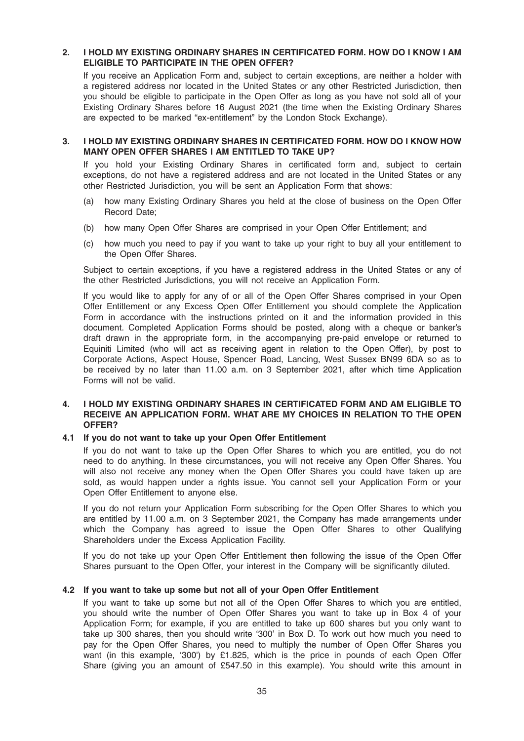# 2. I HOLD MY EXISTING ORDINARY SHARES IN CERTIFICATED FORM. HOW DO I KNOW I AM ELIGIBLE TO PARTICIPATE IN THE OPEN OFFER?

If you receive an Application Form and, subject to certain exceptions, are neither a holder with a registered address nor located in the United States or any other Restricted Jurisdiction, then you should be eligible to participate in the Open Offer as long as you have not sold all of your Existing Ordinary Shares before 16 August 2021 (the time when the Existing Ordinary Shares are expected to be marked "ex-entitlement" by the London Stock Exchange).

# 3. I HOLD MY EXISTING ORDINARY SHARES IN CERTIFICATED FORM. HOW DO I KNOW HOW MANY OPEN OFFER SHARES I AM ENTITLED TO TAKE UP?

If you hold your Existing Ordinary Shares in certificated form and, subject to certain exceptions, do not have a registered address and are not located in the United States or any other Restricted Jurisdiction, you will be sent an Application Form that shows:

- (a) how many Existing Ordinary Shares you held at the close of business on the Open Offer Record Date;
- (b) how many Open Offer Shares are comprised in your Open Offer Entitlement; and
- (c) how much you need to pay if you want to take up your right to buy all your entitlement to the Open Offer Shares.

Subject to certain exceptions, if you have a registered address in the United States or any of the other Restricted Jurisdictions, you will not receive an Application Form.

If you would like to apply for any of or all of the Open Offer Shares comprised in your Open Offer Entitlement or any Excess Open Offer Entitlement you should complete the Application Form in accordance with the instructions printed on it and the information provided in this document. Completed Application Forms should be posted, along with a cheque or banker's draft drawn in the appropriate form, in the accompanying pre-paid envelope or returned to Equiniti Limited (who will act as receiving agent in relation to the Open Offer), by post to Corporate Actions, Aspect House, Spencer Road, Lancing, West Sussex BN99 6DA so as to be received by no later than 11.00 a.m. on 3 September 2021, after which time Application Forms will not be valid.

# 4. I HOLD MY EXISTING ORDINARY SHARES IN CERTIFICATED FORM AND AM ELIGIBLE TO RECEIVE AN APPLICATION FORM. WHAT ARE MY CHOICES IN RELATION TO THE OPEN OFFER?

#### 4.1 If you do not want to take up your Open Offer Entitlement

If you do not want to take up the Open Offer Shares to which you are entitled, you do not need to do anything. In these circumstances, you will not receive any Open Offer Shares. You will also not receive any money when the Open Offer Shares you could have taken up are sold, as would happen under a rights issue. You cannot sell your Application Form or your Open Offer Entitlement to anyone else.

If you do not return your Application Form subscribing for the Open Offer Shares to which you are entitled by 11.00 a.m. on 3 September 2021, the Company has made arrangements under which the Company has agreed to issue the Open Offer Shares to other Qualifying Shareholders under the Excess Application Facility.

If you do not take up your Open Offer Entitlement then following the issue of the Open Offer Shares pursuant to the Open Offer, your interest in the Company will be significantly diluted.

#### 4.2 If you want to take up some but not all of your Open Offer Entitlement

If you want to take up some but not all of the Open Offer Shares to which you are entitled, you should write the number of Open Offer Shares you want to take up in Box 4 of your Application Form; for example, if you are entitled to take up 600 shares but you only want to take up 300 shares, then you should write '300' in Box D. To work out how much you need to pay for the Open Offer Shares, you need to multiply the number of Open Offer Shares you want (in this example, '300') by £1.825, which is the price in pounds of each Open Offer Share (giving you an amount of £547.50 in this example). You should write this amount in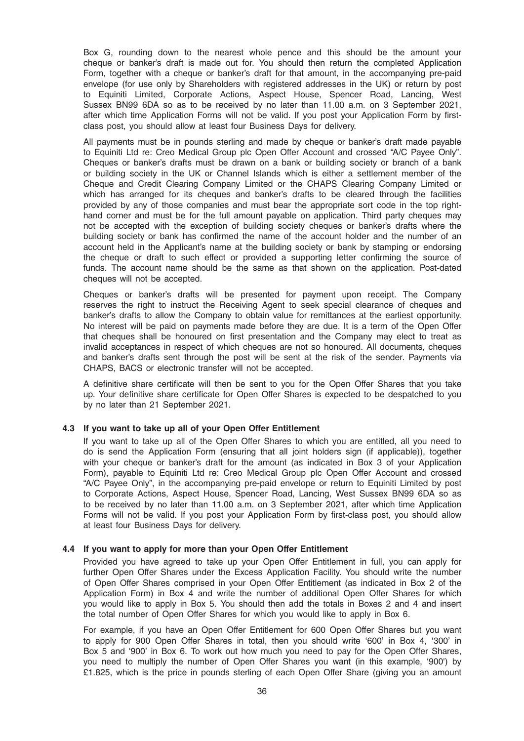Box G, rounding down to the nearest whole pence and this should be the amount your cheque or banker's draft is made out for. You should then return the completed Application Form, together with a cheque or banker's draft for that amount, in the accompanying pre-paid envelope (for use only by Shareholders with registered addresses in the UK) or return by post to Equiniti Limited, Corporate Actions, Aspect House, Spencer Road, Lancing, West Sussex BN99 6DA so as to be received by no later than 11.00 a.m. on 3 September 2021, after which time Application Forms will not be valid. If you post your Application Form by firstclass post, you should allow at least four Business Days for delivery.

All payments must be in pounds sterling and made by cheque or banker's draft made payable to Equiniti Ltd re: Creo Medical Group plc Open Offer Account and crossed "A/C Payee Only". Cheques or banker's drafts must be drawn on a bank or building society or branch of a bank or building society in the UK or Channel Islands which is either a settlement member of the Cheque and Credit Clearing Company Limited or the CHAPS Clearing Company Limited or which has arranged for its cheques and banker's drafts to be cleared through the facilities provided by any of those companies and must bear the appropriate sort code in the top righthand corner and must be for the full amount payable on application. Third party cheques may not be accepted with the exception of building society cheques or banker's drafts where the building society or bank has confirmed the name of the account holder and the number of an account held in the Applicant's name at the building society or bank by stamping or endorsing the cheque or draft to such effect or provided a supporting letter confirming the source of funds. The account name should be the same as that shown on the application. Post-dated cheques will not be accepted.

Cheques or banker's drafts will be presented for payment upon receipt. The Company reserves the right to instruct the Receiving Agent to seek special clearance of cheques and banker's drafts to allow the Company to obtain value for remittances at the earliest opportunity. No interest will be paid on payments made before they are due. It is a term of the Open Offer that cheques shall be honoured on first presentation and the Company may elect to treat as invalid acceptances in respect of which cheques are not so honoured. All documents, cheques and banker's drafts sent through the post will be sent at the risk of the sender. Payments via CHAPS, BACS or electronic transfer will not be accepted.

A definitive share certificate will then be sent to you for the Open Offer Shares that you take up. Your definitive share certificate for Open Offer Shares is expected to be despatched to you by no later than 21 September 2021.

#### 4.3 If you want to take up all of your Open Offer Entitlement

If you want to take up all of the Open Offer Shares to which you are entitled, all you need to do is send the Application Form (ensuring that all joint holders sign (if applicable)), together with your cheque or banker's draft for the amount (as indicated in Box 3 of your Application Form), payable to Equiniti Ltd re: Creo Medical Group plc Open Offer Account and crossed "A/C Payee Only", in the accompanying pre-paid envelope or return to Equiniti Limited by post to Corporate Actions, Aspect House, Spencer Road, Lancing, West Sussex BN99 6DA so as to be received by no later than 11.00 a.m. on 3 September 2021, after which time Application Forms will not be valid. If you post your Application Form by first-class post, you should allow at least four Business Days for delivery.

### 4.4 If you want to apply for more than your Open Offer Entitlement

Provided you have agreed to take up your Open Offer Entitlement in full, you can apply for further Open Offer Shares under the Excess Application Facility. You should write the number of Open Offer Shares comprised in your Open Offer Entitlement (as indicated in Box 2 of the Application Form) in Box 4 and write the number of additional Open Offer Shares for which you would like to apply in Box 5. You should then add the totals in Boxes 2 and 4 and insert the total number of Open Offer Shares for which you would like to apply in Box 6.

For example, if you have an Open Offer Entitlement for 600 Open Offer Shares but you want to apply for 900 Open Offer Shares in total, then you should write '600' in Box 4, '300' in Box 5 and '900' in Box 6. To work out how much you need to pay for the Open Offer Shares, you need to multiply the number of Open Offer Shares you want (in this example, '900') by £1.825, which is the price in pounds sterling of each Open Offer Share (giving you an amount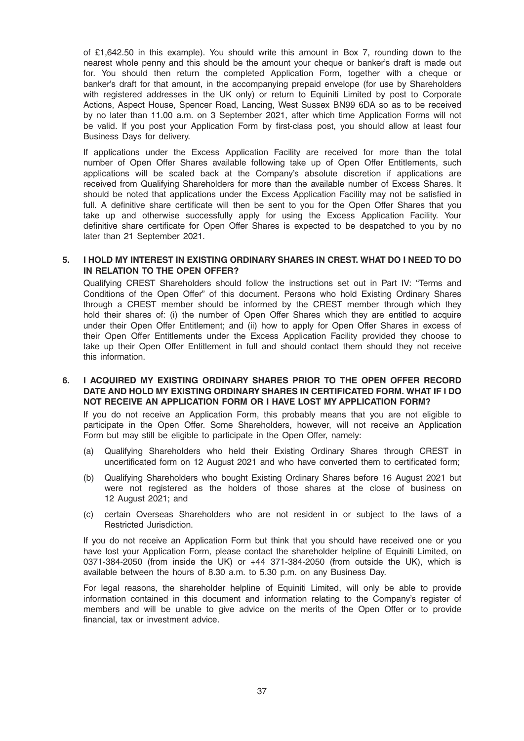of £1,642.50 in this example). You should write this amount in Box 7, rounding down to the nearest whole penny and this should be the amount your cheque or banker's draft is made out for. You should then return the completed Application Form, together with a cheque or banker's draft for that amount, in the accompanying prepaid envelope (for use by Shareholders with registered addresses in the UK only) or return to Equiniti Limited by post to Corporate Actions, Aspect House, Spencer Road, Lancing, West Sussex BN99 6DA so as to be received by no later than 11.00 a.m. on 3 September 2021, after which time Application Forms will not be valid. If you post your Application Form by first-class post, you should allow at least four Business Days for delivery.

If applications under the Excess Application Facility are received for more than the total number of Open Offer Shares available following take up of Open Offer Entitlements, such applications will be scaled back at the Company's absolute discretion if applications are received from Qualifying Shareholders for more than the available number of Excess Shares. It should be noted that applications under the Excess Application Facility may not be satisfied in full. A definitive share certificate will then be sent to you for the Open Offer Shares that you take up and otherwise successfully apply for using the Excess Application Facility. Your definitive share certificate for Open Offer Shares is expected to be despatched to you by no later than 21 September 2021.

# 5. I HOLD MY INTEREST IN EXISTING ORDINARY SHARES IN CREST. WHAT DO I NEED TO DO IN RELATION TO THE OPEN OFFER?

Qualifying CREST Shareholders should follow the instructions set out in Part IV: "Terms and Conditions of the Open Offer" of this document. Persons who hold Existing Ordinary Shares through a CREST member should be informed by the CREST member through which they hold their shares of: (i) the number of Open Offer Shares which they are entitled to acquire under their Open Offer Entitlement; and (ii) how to apply for Open Offer Shares in excess of their Open Offer Entitlements under the Excess Application Facility provided they choose to take up their Open Offer Entitlement in full and should contact them should they not receive this information.

6. I ACQUIRED MY EXISTING ORDINARY SHARES PRIOR TO THE OPEN OFFER RECORD DATE AND HOLD MY EXISTING ORDINARY SHARES IN CERTIFICATED FORM. WHAT IF I DO NOT RECEIVE AN APPLICATION FORM OR I HAVE LOST MY APPLICATION FORM?

If you do not receive an Application Form, this probably means that you are not eligible to participate in the Open Offer. Some Shareholders, however, will not receive an Application Form but may still be eligible to participate in the Open Offer, namely:

- (a) Qualifying Shareholders who held their Existing Ordinary Shares through CREST in uncertificated form on 12 August 2021 and who have converted them to certificated form;
- (b) Qualifying Shareholders who bought Existing Ordinary Shares before 16 August 2021 but were not registered as the holders of those shares at the close of business on 12 August 2021; and
- (c) certain Overseas Shareholders who are not resident in or subject to the laws of a Restricted Jurisdiction.

If you do not receive an Application Form but think that you should have received one or you have lost your Application Form, please contact the shareholder helpline of Equiniti Limited, on 0371-384-2050 (from inside the UK) or +44 371-384-2050 (from outside the UK), which is available between the hours of 8.30 a.m. to 5.30 p.m. on any Business Day.

For legal reasons, the shareholder helpline of Equiniti Limited, will only be able to provide information contained in this document and information relating to the Company's register of members and will be unable to give advice on the merits of the Open Offer or to provide financial, tax or investment advice.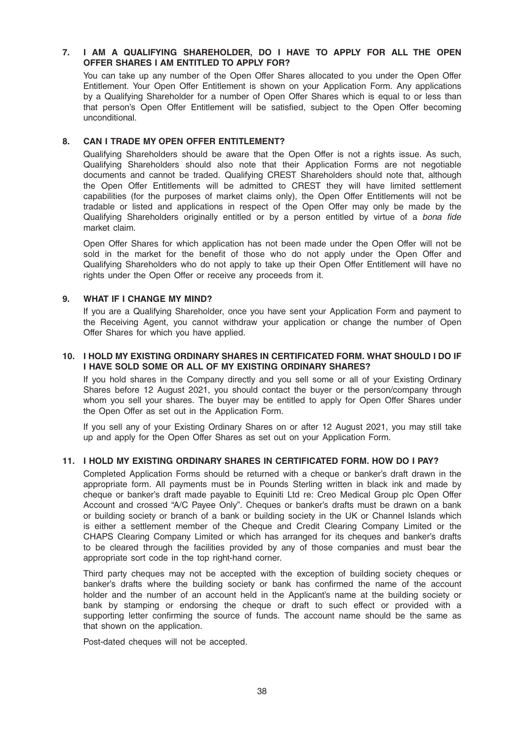# 7. I AM A QUALIFYING SHAREHOLDER, DO I HAVE TO APPLY FOR ALL THE OPEN OFFER SHARES I AM ENTITLED TO APPLY FOR?

You can take up any number of the Open Offer Shares allocated to you under the Open Offer Entitlement. Your Open Offer Entitlement is shown on your Application Form. Any applications by a Qualifying Shareholder for a number of Open Offer Shares which is equal to or less than that person's Open Offer Entitlement will be satisfied, subject to the Open Offer becoming unconditional.

# 8. CAN I TRADE MY OPEN OFFER ENTITLEMENT?

Qualifying Shareholders should be aware that the Open Offer is not a rights issue. As such, Qualifying Shareholders should also note that their Application Forms are not negotiable documents and cannot be traded. Qualifying CREST Shareholders should note that, although the Open Offer Entitlements will be admitted to CREST they will have limited settlement capabilities (for the purposes of market claims only), the Open Offer Entitlements will not be tradable or listed and applications in respect of the Open Offer may only be made by the Qualifying Shareholders originally entitled or by a person entitled by virtue of a bona fide market claim.

Open Offer Shares for which application has not been made under the Open Offer will not be sold in the market for the benefit of those who do not apply under the Open Offer and Qualifying Shareholders who do not apply to take up their Open Offer Entitlement will have no rights under the Open Offer or receive any proceeds from it.

# 9. WHAT IF I CHANGE MY MIND?

If you are a Qualifying Shareholder, once you have sent your Application Form and payment to the Receiving Agent, you cannot withdraw your application or change the number of Open Offer Shares for which you have applied.

# 10. I HOLD MY EXISTING ORDINARY SHARES IN CERTIFICATED FORM. WHAT SHOULD I DO IF I HAVE SOLD SOME OR ALL OF MY EXISTING ORDINARY SHARES?

If you hold shares in the Company directly and you sell some or all of your Existing Ordinary Shares before 12 August 2021, you should contact the buyer or the person/company through whom you sell your shares. The buyer may be entitled to apply for Open Offer Shares under the Open Offer as set out in the Application Form.

If you sell any of your Existing Ordinary Shares on or after 12 August 2021, you may still take up and apply for the Open Offer Shares as set out on your Application Form.

# 11. I HOLD MY EXISTING ORDINARY SHARES IN CERTIFICATED FORM. HOW DO I PAY?

Completed Application Forms should be returned with a cheque or banker's draft drawn in the appropriate form. All payments must be in Pounds Sterling written in black ink and made by cheque or banker's draft made payable to Equiniti Ltd re: Creo Medical Group plc Open Offer Account and crossed "A/C Payee Only". Cheques or banker's drafts must be drawn on a bank or building society or branch of a bank or building society in the UK or Channel Islands which is either a settlement member of the Cheque and Credit Clearing Company Limited or the CHAPS Clearing Company Limited or which has arranged for its cheques and banker's drafts to be cleared through the facilities provided by any of those companies and must bear the appropriate sort code in the top right-hand corner.

Third party cheques may not be accepted with the exception of building society cheques or banker's drafts where the building society or bank has confirmed the name of the account holder and the number of an account held in the Applicant's name at the building society or bank by stamping or endorsing the cheque or draft to such effect or provided with a supporting letter confirming the source of funds. The account name should be the same as that shown on the application.

Post-dated cheques will not be accepted.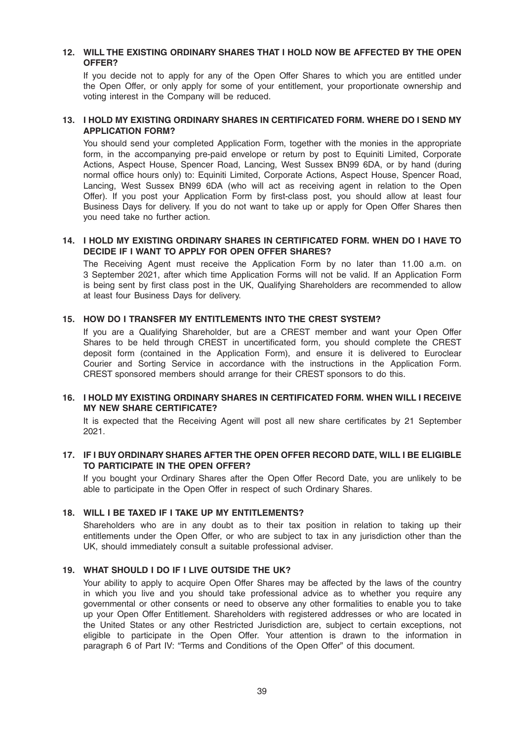# 12. WILL THE EXISTING ORDINARY SHARES THAT I HOLD NOW BE AFFECTED BY THE OPEN OFFER?

If you decide not to apply for any of the Open Offer Shares to which you are entitled under the Open Offer, or only apply for some of your entitlement, your proportionate ownership and voting interest in the Company will be reduced.

# 13. I HOLD MY EXISTING ORDINARY SHARES IN CERTIFICATED FORM. WHERE DO I SEND MY APPLICATION FORM?

You should send your completed Application Form, together with the monies in the appropriate form, in the accompanying pre-paid envelope or return by post to Equiniti Limited, Corporate Actions, Aspect House, Spencer Road, Lancing, West Sussex BN99 6DA, or by hand (during normal office hours only) to: Equiniti Limited, Corporate Actions, Aspect House, Spencer Road, Lancing, West Sussex BN99 6DA (who will act as receiving agent in relation to the Open Offer). If you post your Application Form by first-class post, you should allow at least four Business Days for delivery. If you do not want to take up or apply for Open Offer Shares then you need take no further action.

# 14. I HOLD MY EXISTING ORDINARY SHARES IN CERTIFICATED FORM. WHEN DO I HAVE TO DECIDE IF I WANT TO APPLY FOR OPEN OFFER SHARES?

The Receiving Agent must receive the Application Form by no later than 11.00 a.m. on 3 September 2021, after which time Application Forms will not be valid. If an Application Form is being sent by first class post in the UK, Qualifying Shareholders are recommended to allow at least four Business Days for delivery.

# 15. HOW DO I TRANSFER MY ENTITLEMENTS INTO THE CREST SYSTEM?

If you are a Qualifying Shareholder, but are a CREST member and want your Open Offer Shares to be held through CREST in uncertificated form, you should complete the CREST deposit form (contained in the Application Form), and ensure it is delivered to Euroclear Courier and Sorting Service in accordance with the instructions in the Application Form. CREST sponsored members should arrange for their CREST sponsors to do this.

# 16. I HOLD MY EXISTING ORDINARY SHARES IN CERTIFICATED FORM. WHEN WILL I RECEIVE MY NEW SHARE CERTIFICATE?

It is expected that the Receiving Agent will post all new share certificates by 21 September 2021.

# 17. IF I BUY ORDINARY SHARES AFTER THE OPEN OFFER RECORD DATE, WILL I BE ELIGIBLE TO PARTICIPATE IN THE OPEN OFFER?

If you bought your Ordinary Shares after the Open Offer Record Date, you are unlikely to be able to participate in the Open Offer in respect of such Ordinary Shares.

# 18. WILL I BE TAXED IF I TAKE UP MY ENTITLEMENTS?

Shareholders who are in any doubt as to their tax position in relation to taking up their entitlements under the Open Offer, or who are subject to tax in any jurisdiction other than the UK, should immediately consult a suitable professional adviser.

#### 19. WHAT SHOULD I DO IF I LIVE OUTSIDE THE UK?

Your ability to apply to acquire Open Offer Shares may be affected by the laws of the country in which you live and you should take professional advice as to whether you require any governmental or other consents or need to observe any other formalities to enable you to take up your Open Offer Entitlement. Shareholders with registered addresses or who are located in the United States or any other Restricted Jurisdiction are, subject to certain exceptions, not eligible to participate in the Open Offer. Your attention is drawn to the information in paragraph 6 of Part IV: "Terms and Conditions of the Open Offer" of this document.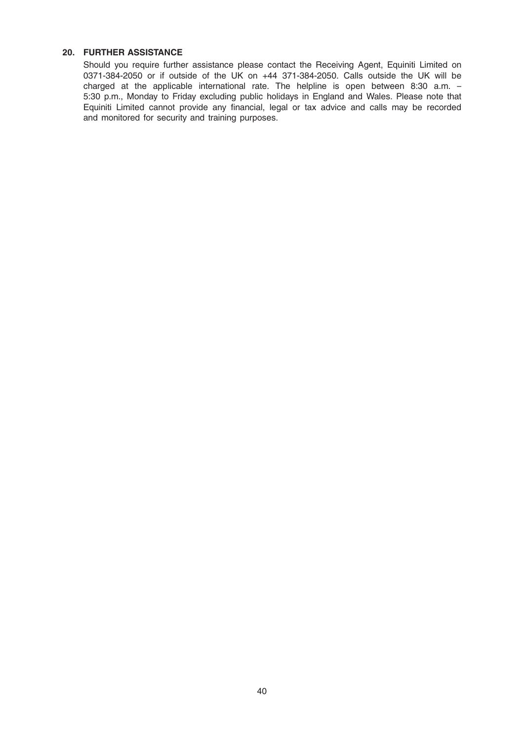# 20. FURTHER ASSISTANCE

Should you require further assistance please contact the Receiving Agent, Equiniti Limited on 0371-384-2050 or if outside of the UK on +44 371-384-2050. Calls outside the UK will be charged at the applicable international rate. The helpline is open between 8:30 a.m. – 5:30 p.m., Monday to Friday excluding public holidays in England and Wales. Please note that Equiniti Limited cannot provide any financial, legal or tax advice and calls may be recorded and monitored for security and training purposes.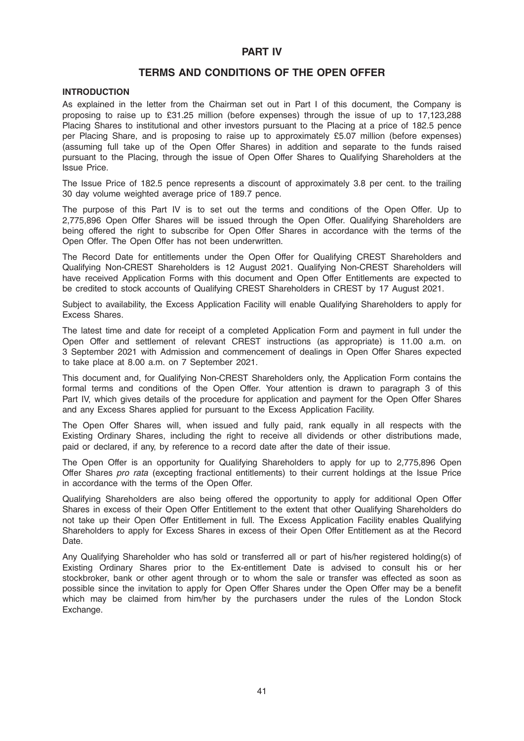# PART IV

# TERMS AND CONDITIONS OF THE OPEN OFFER

# INTRODUCTION

As explained in the letter from the Chairman set out in Part I of this document, the Company is proposing to raise up to £31.25 million (before expenses) through the issue of up to 17,123,288 Placing Shares to institutional and other investors pursuant to the Placing at a price of 182.5 pence per Placing Share, and is proposing to raise up to approximately £5.07 million (before expenses) (assuming full take up of the Open Offer Shares) in addition and separate to the funds raised pursuant to the Placing, through the issue of Open Offer Shares to Qualifying Shareholders at the Issue Price.

The Issue Price of 182.5 pence represents a discount of approximately 3.8 per cent. to the trailing 30 day volume weighted average price of 189.7 pence.

The purpose of this Part IV is to set out the terms and conditions of the Open Offer. Up to 2,775,896 Open Offer Shares will be issued through the Open Offer. Qualifying Shareholders are being offered the right to subscribe for Open Offer Shares in accordance with the terms of the Open Offer. The Open Offer has not been underwritten.

The Record Date for entitlements under the Open Offer for Qualifying CREST Shareholders and Qualifying Non-CREST Shareholders is 12 August 2021. Qualifying Non-CREST Shareholders will have received Application Forms with this document and Open Offer Entitlements are expected to be credited to stock accounts of Qualifying CREST Shareholders in CREST by 17 August 2021.

Subject to availability, the Excess Application Facility will enable Qualifying Shareholders to apply for Excess Shares.

The latest time and date for receipt of a completed Application Form and payment in full under the Open Offer and settlement of relevant CREST instructions (as appropriate) is 11.00 a.m. on 3 September 2021 with Admission and commencement of dealings in Open Offer Shares expected to take place at 8.00 a.m. on 7 September 2021.

This document and, for Qualifying Non-CREST Shareholders only, the Application Form contains the formal terms and conditions of the Open Offer. Your attention is drawn to paragraph 3 of this Part IV, which gives details of the procedure for application and payment for the Open Offer Shares and any Excess Shares applied for pursuant to the Excess Application Facility.

The Open Offer Shares will, when issued and fully paid, rank equally in all respects with the Existing Ordinary Shares, including the right to receive all dividends or other distributions made, paid or declared, if any, by reference to a record date after the date of their issue.

The Open Offer is an opportunity for Qualifying Shareholders to apply for up to 2,775,896 Open Offer Shares pro rata (excepting fractional entitlements) to their current holdings at the Issue Price in accordance with the terms of the Open Offer.

Qualifying Shareholders are also being offered the opportunity to apply for additional Open Offer Shares in excess of their Open Offer Entitlement to the extent that other Qualifying Shareholders do not take up their Open Offer Entitlement in full. The Excess Application Facility enables Qualifying Shareholders to apply for Excess Shares in excess of their Open Offer Entitlement as at the Record Date.

Any Qualifying Shareholder who has sold or transferred all or part of his/her registered holding(s) of Existing Ordinary Shares prior to the Ex-entitlement Date is advised to consult his or her stockbroker, bank or other agent through or to whom the sale or transfer was effected as soon as possible since the invitation to apply for Open Offer Shares under the Open Offer may be a benefit which may be claimed from him/her by the purchasers under the rules of the London Stock Exchange.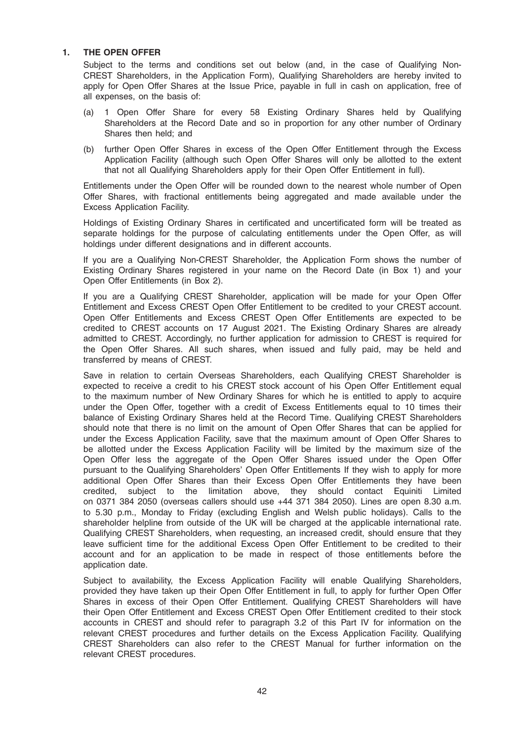# 1. THE OPEN OFFER

Subject to the terms and conditions set out below (and, in the case of Qualifying Non-CREST Shareholders, in the Application Form), Qualifying Shareholders are hereby invited to apply for Open Offer Shares at the Issue Price, payable in full in cash on application, free of all expenses, on the basis of:

- (a) 1 Open Offer Share for every 58 Existing Ordinary Shares held by Qualifying Shareholders at the Record Date and so in proportion for any other number of Ordinary Shares then held; and
- (b) further Open Offer Shares in excess of the Open Offer Entitlement through the Excess Application Facility (although such Open Offer Shares will only be allotted to the extent that not all Qualifying Shareholders apply for their Open Offer Entitlement in full).

Entitlements under the Open Offer will be rounded down to the nearest whole number of Open Offer Shares, with fractional entitlements being aggregated and made available under the Excess Application Facility.

Holdings of Existing Ordinary Shares in certificated and uncertificated form will be treated as separate holdings for the purpose of calculating entitlements under the Open Offer, as will holdings under different designations and in different accounts.

If you are a Qualifying Non-CREST Shareholder, the Application Form shows the number of Existing Ordinary Shares registered in your name on the Record Date (in Box 1) and your Open Offer Entitlements (in Box 2).

If you are a Qualifying CREST Shareholder, application will be made for your Open Offer Entitlement and Excess CREST Open Offer Entitlement to be credited to your CREST account. Open Offer Entitlements and Excess CREST Open Offer Entitlements are expected to be credited to CREST accounts on 17 August 2021. The Existing Ordinary Shares are already admitted to CREST. Accordingly, no further application for admission to CREST is required for the Open Offer Shares. All such shares, when issued and fully paid, may be held and transferred by means of CREST.

Save in relation to certain Overseas Shareholders, each Qualifying CREST Shareholder is expected to receive a credit to his CREST stock account of his Open Offer Entitlement equal to the maximum number of New Ordinary Shares for which he is entitled to apply to acquire under the Open Offer, together with a credit of Excess Entitlements equal to 10 times their balance of Existing Ordinary Shares held at the Record Time. Qualifying CREST Shareholders should note that there is no limit on the amount of Open Offer Shares that can be applied for under the Excess Application Facility, save that the maximum amount of Open Offer Shares to be allotted under the Excess Application Facility will be limited by the maximum size of the Open Offer less the aggregate of the Open Offer Shares issued under the Open Offer pursuant to the Qualifying Shareholders' Open Offer Entitlements If they wish to apply for more additional Open Offer Shares than their Excess Open Offer Entitlements they have been credited, subject to the limitation above, they should contact Equiniti Limited on 0371 384 2050 (overseas callers should use +44 371 384 2050). Lines are open 8.30 a.m. to 5.30 p.m., Monday to Friday (excluding English and Welsh public holidays). Calls to the shareholder helpline from outside of the UK will be charged at the applicable international rate. Qualifying CREST Shareholders, when requesting, an increased credit, should ensure that they leave sufficient time for the additional Excess Open Offer Entitlement to be credited to their account and for an application to be made in respect of those entitlements before the application date.

Subject to availability, the Excess Application Facility will enable Qualifying Shareholders, provided they have taken up their Open Offer Entitlement in full, to apply for further Open Offer Shares in excess of their Open Offer Entitlement. Qualifying CREST Shareholders will have their Open Offer Entitlement and Excess CREST Open Offer Entitlement credited to their stock accounts in CREST and should refer to paragraph 3.2 of this Part IV for information on the relevant CREST procedures and further details on the Excess Application Facility. Qualifying CREST Shareholders can also refer to the CREST Manual for further information on the relevant CREST procedures.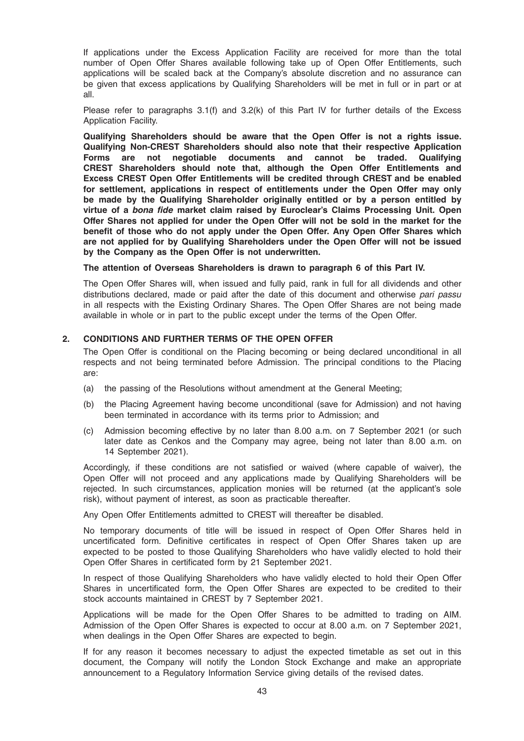If applications under the Excess Application Facility are received for more than the total number of Open Offer Shares available following take up of Open Offer Entitlements, such applications will be scaled back at the Company's absolute discretion and no assurance can be given that excess applications by Qualifying Shareholders will be met in full or in part or at all.

Please refer to paragraphs 3.1(f) and 3.2(k) of this Part IV for further details of the Excess Application Facility.

Qualifying Shareholders should be aware that the Open Offer is not a rights issue. Qualifying Non-CREST Shareholders should also note that their respective Application Forms are not negotiable documents and cannot be traded. Qualifying CREST Shareholders should note that, although the Open Offer Entitlements and Excess CREST Open Offer Entitlements will be credited through CREST and be enabled for settlement, applications in respect of entitlements under the Open Offer may only be made by the Qualifying Shareholder originally entitled or by a person entitled by virtue of a bona fide market claim raised by Euroclear's Claims Processing Unit. Open Offer Shares not applied for under the Open Offer will not be sold in the market for the benefit of those who do not apply under the Open Offer. Any Open Offer Shares which are not applied for by Qualifying Shareholders under the Open Offer will not be issued by the Company as the Open Offer is not underwritten.

#### The attention of Overseas Shareholders is drawn to paragraph 6 of this Part IV.

The Open Offer Shares will, when issued and fully paid, rank in full for all dividends and other distributions declared, made or paid after the date of this document and otherwise pari passu in all respects with the Existing Ordinary Shares. The Open Offer Shares are not being made available in whole or in part to the public except under the terms of the Open Offer.

#### 2. CONDITIONS AND FURTHER TERMS OF THE OPEN OFFER

The Open Offer is conditional on the Placing becoming or being declared unconditional in all respects and not being terminated before Admission. The principal conditions to the Placing are:

- (a) the passing of the Resolutions without amendment at the General Meeting;
- (b) the Placing Agreement having become unconditional (save for Admission) and not having been terminated in accordance with its terms prior to Admission; and
- (c) Admission becoming effective by no later than 8.00 a.m. on 7 September 2021 (or such later date as Cenkos and the Company may agree, being not later than 8.00 a.m. on 14 September 2021).

Accordingly, if these conditions are not satisfied or waived (where capable of waiver), the Open Offer will not proceed and any applications made by Qualifying Shareholders will be rejected. In such circumstances, application monies will be returned (at the applicant's sole risk), without payment of interest, as soon as practicable thereafter.

Any Open Offer Entitlements admitted to CREST will thereafter be disabled.

No temporary documents of title will be issued in respect of Open Offer Shares held in uncertificated form. Definitive certificates in respect of Open Offer Shares taken up are expected to be posted to those Qualifying Shareholders who have validly elected to hold their Open Offer Shares in certificated form by 21 September 2021.

In respect of those Qualifying Shareholders who have validly elected to hold their Open Offer Shares in uncertificated form, the Open Offer Shares are expected to be credited to their stock accounts maintained in CREST by 7 September 2021.

Applications will be made for the Open Offer Shares to be admitted to trading on AIM. Admission of the Open Offer Shares is expected to occur at 8.00 a.m. on 7 September 2021, when dealings in the Open Offer Shares are expected to begin.

If for any reason it becomes necessary to adjust the expected timetable as set out in this document, the Company will notify the London Stock Exchange and make an appropriate announcement to a Regulatory Information Service giving details of the revised dates.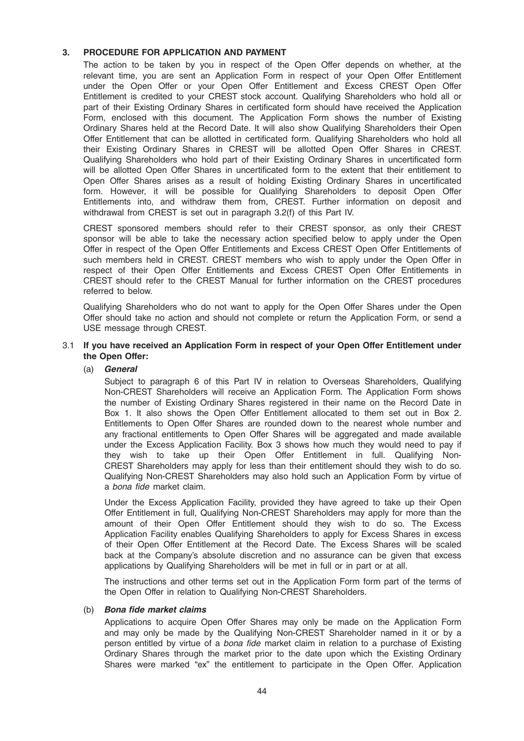# 3. PROCEDURE FOR APPLICATION AND PAYMENT

The action to be taken by you in respect of the Open Offer depends on whether, at the relevant time, you are sent an Application Form in respect of your Open Offer Entitlement under the Open Offer or your Open Offer Entitlement and Excess CREST Open Offer Entitlement is credited to your CREST stock account. Qualifying Shareholders who hold all or part of their Existing Ordinary Shares in certificated form should have received the Application Form, enclosed with this document. The Application Form shows the number of Existing Ordinary Shares held at the Record Date. It will also show Qualifying Shareholders their Open Offer Entitlement that can be allotted in certificated form. Qualifying Shareholders who hold all their Existing Ordinary Shares in CREST will be allotted Open Offer Shares in CREST. Qualifying Shareholders who hold part of their Existing Ordinary Shares in uncertificated form will be allotted Open Offer Shares in uncertificated form to the extent that their entitlement to Open Offer Shares arises as a result of holding Existing Ordinary Shares in uncertificated form. However, it will be possible for Qualifying Shareholders to deposit Open Offer Entitlements into, and withdraw them from, CREST. Further information on deposit and withdrawal from CREST is set out in paragraph 3.2(f) of this Part IV.

CREST sponsored members should refer to their CREST sponsor, as only their CREST sponsor will be able to take the necessary action specified below to apply under the Open Offer in respect of the Open Offer Entitlements and Excess CREST Open Offer Entitlements of such members held in CREST. CREST members who wish to apply under the Open Offer in respect of their Open Offer Entitlements and Excess CREST Open Offer Entitlements in CREST should refer to the CREST Manual for further information on the CREST procedures referred to below.

Qualifying Shareholders who do not want to apply for the Open Offer Shares under the Open Offer should take no action and should not complete or return the Application Form, or send a USE message through CREST.

# 3.1 If you have received an Application Form in respect of your Open Offer Entitlement under the Open Offer:

### (a) General

Subject to paragraph 6 of this Part IV in relation to Overseas Shareholders, Qualifying Non-CREST Shareholders will receive an Application Form. The Application Form shows the number of Existing Ordinary Shares registered in their name on the Record Date in Box 1. It also shows the Open Offer Entitlement allocated to them set out in Box 2. Entitlements to Open Offer Shares are rounded down to the nearest whole number and any fractional entitlements to Open Offer Shares will be aggregated and made available under the Excess Application Facility. Box 3 shows how much they would need to pay if they wish to take up their Open Offer Entitlement in full. Qualifying Non-CREST Shareholders may apply for less than their entitlement should they wish to do so. Qualifying Non-CREST Shareholders may also hold such an Application Form by virtue of a bona fide market claim.

Under the Excess Application Facility, provided they have agreed to take up their Open Offer Entitlement in full, Qualifying Non-CREST Shareholders may apply for more than the amount of their Open Offer Entitlement should they wish to do so. The Excess Application Facility enables Qualifying Shareholders to apply for Excess Shares in excess of their Open Offer Entitlement at the Record Date. The Excess Shares will be scaled back at the Company's absolute discretion and no assurance can be given that excess applications by Qualifying Shareholders will be met in full or in part or at all.

The instructions and other terms set out in the Application Form form part of the terms of the Open Offer in relation to Qualifying Non-CREST Shareholders.

#### (b) Bona fide market claims

Applications to acquire Open Offer Shares may only be made on the Application Form and may only be made by the Qualifying Non-CREST Shareholder named in it or by a person entitled by virtue of a *bona fide* market claim in relation to a purchase of Existing Ordinary Shares through the market prior to the date upon which the Existing Ordinary Shares were marked "ex" the entitlement to participate in the Open Offer. Application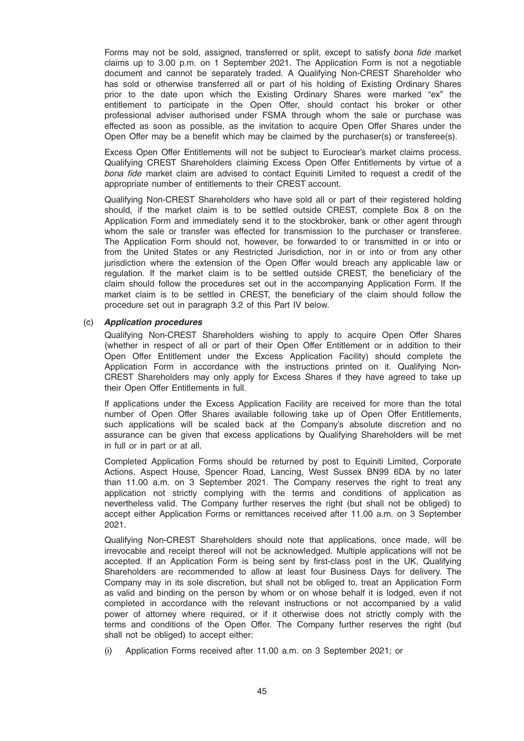Forms may not be sold, assigned, transferred or split, except to satisfy bona fide market claims up to 3.00 p.m. on 1 September 2021. The Application Form is not a negotiable document and cannot be separately traded. A Qualifying Non-CREST Shareholder who has sold or otherwise transferred all or part of his holding of Existing Ordinary Shares prior to the date upon which the Existing Ordinary Shares were marked "ex" the entitlement to participate in the Open Offer, should contact his broker or other professional adviser authorised under FSMA through whom the sale or purchase was effected as soon as possible, as the invitation to acquire Open Offer Shares under the Open Offer may be a benefit which may be claimed by the purchaser(s) or transferee(s).

Excess Open Offer Entitlements will not be subject to Euroclear's market claims process. Qualifying CREST Shareholders claiming Excess Open Offer Entitlements by virtue of a bona fide market claim are advised to contact Equiniti Limited to request a credit of the appropriate number of entitlements to their CREST account.

Qualifying Non-CREST Shareholders who have sold all or part of their registered holding should, if the market claim is to be settled outside CREST, complete Box 8 on the Application Form and immediately send it to the stockbroker, bank or other agent through whom the sale or transfer was effected for transmission to the purchaser or transferee. The Application Form should not, however, be forwarded to or transmitted in or into or from the United States or any Restricted Jurisdiction, nor in or into or from any other jurisdiction where the extension of the Open Offer would breach any applicable law or regulation. If the market claim is to be settled outside CREST, the beneficiary of the claim should follow the procedures set out in the accompanying Application Form. If the market claim is to be settled in CREST, the beneficiary of the claim should follow the procedure set out in paragraph 3.2 of this Part IV below.

#### (c) Application procedures

Qualifying Non-CREST Shareholders wishing to apply to acquire Open Offer Shares (whether in respect of all or part of their Open Offer Entitlement or in addition to their Open Offer Entitlement under the Excess Application Facility) should complete the Application Form in accordance with the instructions printed on it. Qualifying Non-CREST Shareholders may only apply for Excess Shares if they have agreed to take up their Open Offer Entitlements in full.

If applications under the Excess Application Facility are received for more than the total number of Open Offer Shares available following take up of Open Offer Entitlements, such applications will be scaled back at the Company's absolute discretion and no assurance can be given that excess applications by Qualifying Shareholders will be met in full or in part or at all.

Completed Application Forms should be returned by post to Equiniti Limited, Corporate Actions, Aspect House, Spencer Road, Lancing, West Sussex BN99 6DA by no later than 11.00 a.m. on 3 September 2021. The Company reserves the right to treat any application not strictly complying with the terms and conditions of application as nevertheless valid. The Company further reserves the right (but shall not be obliged) to accept either Application Forms or remittances received after 11.00 a.m. on 3 September 2021.

Qualifying Non-CREST Shareholders should note that applications, once made, will be irrevocable and receipt thereof will not be acknowledged. Multiple applications will not be accepted. If an Application Form is being sent by first-class post in the UK, Qualifying Shareholders are recommended to allow at least four Business Days for delivery. The Company may in its sole discretion, but shall not be obliged to, treat an Application Form as valid and binding on the person by whom or on whose behalf it is lodged, even if not completed in accordance with the relevant instructions or not accompanied by a valid power of attorney where required, or if it otherwise does not strictly comply with the terms and conditions of the Open Offer. The Company further reserves the right (but shall not be obliged) to accept either:

(i) Application Forms received after 11.00 a.m. on 3 September 2021; or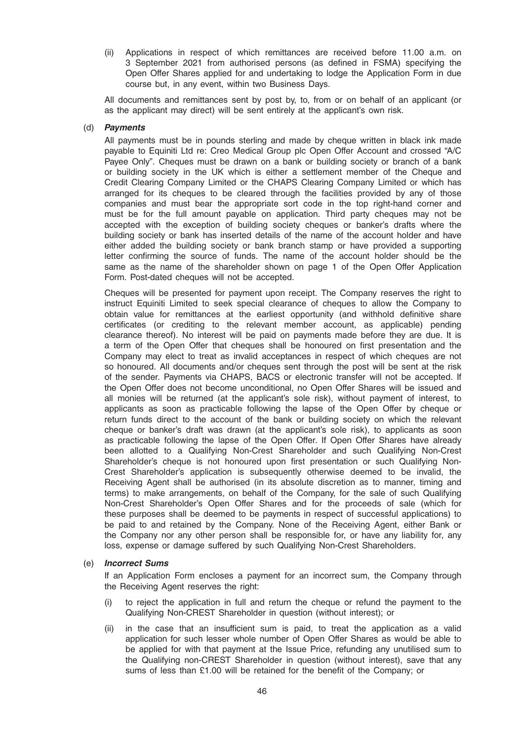(ii) Applications in respect of which remittances are received before 11.00 a.m. on 3 September 2021 from authorised persons (as defined in FSMA) specifying the Open Offer Shares applied for and undertaking to lodge the Application Form in due course but, in any event, within two Business Days.

All documents and remittances sent by post by, to, from or on behalf of an applicant (or as the applicant may direct) will be sent entirely at the applicant's own risk.

#### (d) Payments

All payments must be in pounds sterling and made by cheque written in black ink made payable to Equiniti Ltd re: Creo Medical Group plc Open Offer Account and crossed "A/C Payee Only". Cheques must be drawn on a bank or building society or branch of a bank or building society in the UK which is either a settlement member of the Cheque and Credit Clearing Company Limited or the CHAPS Clearing Company Limited or which has arranged for its cheques to be cleared through the facilities provided by any of those companies and must bear the appropriate sort code in the top right-hand corner and must be for the full amount payable on application. Third party cheques may not be accepted with the exception of building society cheques or banker's drafts where the building society or bank has inserted details of the name of the account holder and have either added the building society or bank branch stamp or have provided a supporting letter confirming the source of funds. The name of the account holder should be the same as the name of the shareholder shown on page 1 of the Open Offer Application Form. Post-dated cheques will not be accepted.

Cheques will be presented for payment upon receipt. The Company reserves the right to instruct Equiniti Limited to seek special clearance of cheques to allow the Company to obtain value for remittances at the earliest opportunity (and withhold definitive share certificates (or crediting to the relevant member account, as applicable) pending clearance thereof). No interest will be paid on payments made before they are due. It is a term of the Open Offer that cheques shall be honoured on first presentation and the Company may elect to treat as invalid acceptances in respect of which cheques are not so honoured. All documents and/or cheques sent through the post will be sent at the risk of the sender. Payments via CHAPS, BACS or electronic transfer will not be accepted. If the Open Offer does not become unconditional, no Open Offer Shares will be issued and all monies will be returned (at the applicant's sole risk), without payment of interest, to applicants as soon as practicable following the lapse of the Open Offer by cheque or return funds direct to the account of the bank or building society on which the relevant cheque or banker's draft was drawn (at the applicant's sole risk), to applicants as soon as practicable following the lapse of the Open Offer. If Open Offer Shares have already been allotted to a Qualifying Non-Crest Shareholder and such Qualifying Non-Crest Shareholder's cheque is not honoured upon first presentation or such Qualifying Non-Crest Shareholder's application is subsequently otherwise deemed to be invalid, the Receiving Agent shall be authorised (in its absolute discretion as to manner, timing and terms) to make arrangements, on behalf of the Company, for the sale of such Qualifying Non-Crest Shareholder's Open Offer Shares and for the proceeds of sale (which for these purposes shall be deemed to be payments in respect of successful applications) to be paid to and retained by the Company. None of the Receiving Agent, either Bank or the Company nor any other person shall be responsible for, or have any liability for, any loss, expense or damage suffered by such Qualifying Non-Crest Shareholders.

#### (e) Incorrect Sums

If an Application Form encloses a payment for an incorrect sum, the Company through the Receiving Agent reserves the right:

- (i) to reject the application in full and return the cheque or refund the payment to the Qualifying Non-CREST Shareholder in question (without interest); or
- (ii) in the case that an insufficient sum is paid, to treat the application as a valid application for such lesser whole number of Open Offer Shares as would be able to be applied for with that payment at the Issue Price, refunding any unutilised sum to the Qualifying non-CREST Shareholder in question (without interest), save that any sums of less than £1.00 will be retained for the benefit of the Company; or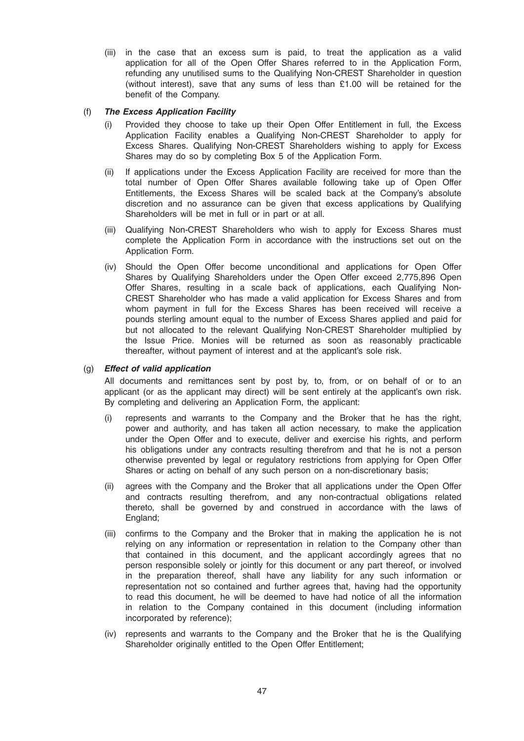(iii) in the case that an excess sum is paid, to treat the application as a valid application for all of the Open Offer Shares referred to in the Application Form, refunding any unutilised sums to the Qualifying Non-CREST Shareholder in question (without interest), save that any sums of less than £1.00 will be retained for the benefit of the Company.

# (f) The Excess Application Facility

- (i) Provided they choose to take up their Open Offer Entitlement in full, the Excess Application Facility enables a Qualifying Non-CREST Shareholder to apply for Excess Shares. Qualifying Non-CREST Shareholders wishing to apply for Excess Shares may do so by completing Box 5 of the Application Form.
- (ii) If applications under the Excess Application Facility are received for more than the total number of Open Offer Shares available following take up of Open Offer Entitlements, the Excess Shares will be scaled back at the Company's absolute discretion and no assurance can be given that excess applications by Qualifying Shareholders will be met in full or in part or at all.
- (iii) Qualifying Non-CREST Shareholders who wish to apply for Excess Shares must complete the Application Form in accordance with the instructions set out on the Application Form.
- (iv) Should the Open Offer become unconditional and applications for Open Offer Shares by Qualifying Shareholders under the Open Offer exceed 2,775,896 Open Offer Shares, resulting in a scale back of applications, each Qualifying Non-CREST Shareholder who has made a valid application for Excess Shares and from whom payment in full for the Excess Shares has been received will receive a pounds sterling amount equal to the number of Excess Shares applied and paid for but not allocated to the relevant Qualifying Non-CREST Shareholder multiplied by the Issue Price. Monies will be returned as soon as reasonably practicable thereafter, without payment of interest and at the applicant's sole risk.

# (g) Effect of valid application

All documents and remittances sent by post by, to, from, or on behalf of or to an applicant (or as the applicant may direct) will be sent entirely at the applicant's own risk. By completing and delivering an Application Form, the applicant:

- (i) represents and warrants to the Company and the Broker that he has the right, power and authority, and has taken all action necessary, to make the application under the Open Offer and to execute, deliver and exercise his rights, and perform his obligations under any contracts resulting therefrom and that he is not a person otherwise prevented by legal or regulatory restrictions from applying for Open Offer Shares or acting on behalf of any such person on a non-discretionary basis;
- (ii) agrees with the Company and the Broker that all applications under the Open Offer and contracts resulting therefrom, and any non-contractual obligations related thereto, shall be governed by and construed in accordance with the laws of England;
- (iii) confirms to the Company and the Broker that in making the application he is not relying on any information or representation in relation to the Company other than that contained in this document, and the applicant accordingly agrees that no person responsible solely or jointly for this document or any part thereof, or involved in the preparation thereof, shall have any liability for any such information or representation not so contained and further agrees that, having had the opportunity to read this document, he will be deemed to have had notice of all the information in relation to the Company contained in this document (including information incorporated by reference);
- (iv) represents and warrants to the Company and the Broker that he is the Qualifying Shareholder originally entitled to the Open Offer Entitlement;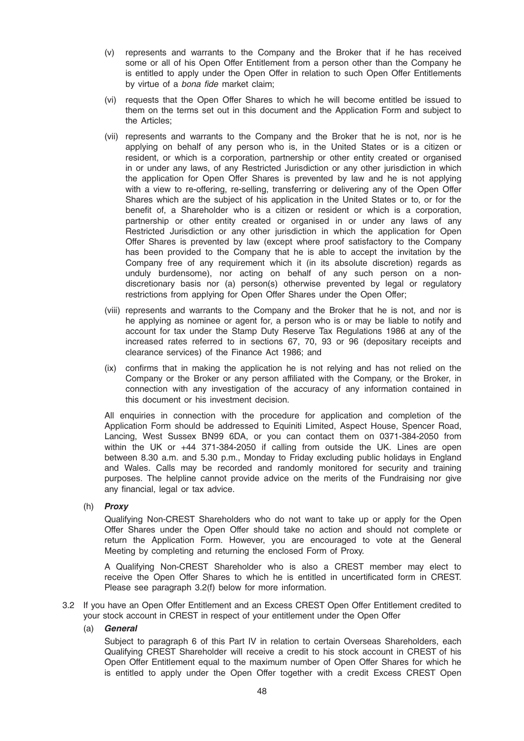- (v) represents and warrants to the Company and the Broker that if he has received some or all of his Open Offer Entitlement from a person other than the Company he is entitled to apply under the Open Offer in relation to such Open Offer Entitlements by virtue of a bona fide market claim;
- (vi) requests that the Open Offer Shares to which he will become entitled be issued to them on the terms set out in this document and the Application Form and subject to the Articles;
- (vii) represents and warrants to the Company and the Broker that he is not, nor is he applying on behalf of any person who is, in the United States or is a citizen or resident, or which is a corporation, partnership or other entity created or organised in or under any laws, of any Restricted Jurisdiction or any other jurisdiction in which the application for Open Offer Shares is prevented by law and he is not applying with a view to re-offering, re-selling, transferring or delivering any of the Open Offer Shares which are the subject of his application in the United States or to, or for the benefit of, a Shareholder who is a citizen or resident or which is a corporation, partnership or other entity created or organised in or under any laws of any Restricted Jurisdiction or any other jurisdiction in which the application for Open Offer Shares is prevented by law (except where proof satisfactory to the Company has been provided to the Company that he is able to accept the invitation by the Company free of any requirement which it (in its absolute discretion) regards as unduly burdensome), nor acting on behalf of any such person on a nondiscretionary basis nor (a) person(s) otherwise prevented by legal or regulatory restrictions from applying for Open Offer Shares under the Open Offer;
- (viii) represents and warrants to the Company and the Broker that he is not, and nor is he applying as nominee or agent for, a person who is or may be liable to notify and account for tax under the Stamp Duty Reserve Tax Regulations 1986 at any of the increased rates referred to in sections 67, 70, 93 or 96 (depositary receipts and clearance services) of the Finance Act 1986; and
- (ix) confirms that in making the application he is not relying and has not relied on the Company or the Broker or any person affiliated with the Company, or the Broker, in connection with any investigation of the accuracy of any information contained in this document or his investment decision.

All enquiries in connection with the procedure for application and completion of the Application Form should be addressed to Equiniti Limited, Aspect House, Spencer Road, Lancing, West Sussex BN99 6DA, or you can contact them on 0371-384-2050 from within the UK or +44 371-384-2050 if calling from outside the UK. Lines are open between 8.30 a.m. and 5.30 p.m., Monday to Friday excluding public holidays in England and Wales. Calls may be recorded and randomly monitored for security and training purposes. The helpline cannot provide advice on the merits of the Fundraising nor give any financial, legal or tax advice.

# (h) Proxy

Qualifying Non-CREST Shareholders who do not want to take up or apply for the Open Offer Shares under the Open Offer should take no action and should not complete or return the Application Form. However, you are encouraged to vote at the General Meeting by completing and returning the enclosed Form of Proxy.

A Qualifying Non-CREST Shareholder who is also a CREST member may elect to receive the Open Offer Shares to which he is entitled in uncertificated form in CREST. Please see paragraph 3.2(f) below for more information.

3.2 If you have an Open Offer Entitlement and an Excess CREST Open Offer Entitlement credited to your stock account in CREST in respect of your entitlement under the Open Offer

#### (a) General

Subject to paragraph 6 of this Part IV in relation to certain Overseas Shareholders, each Qualifying CREST Shareholder will receive a credit to his stock account in CREST of his Open Offer Entitlement equal to the maximum number of Open Offer Shares for which he is entitled to apply under the Open Offer together with a credit Excess CREST Open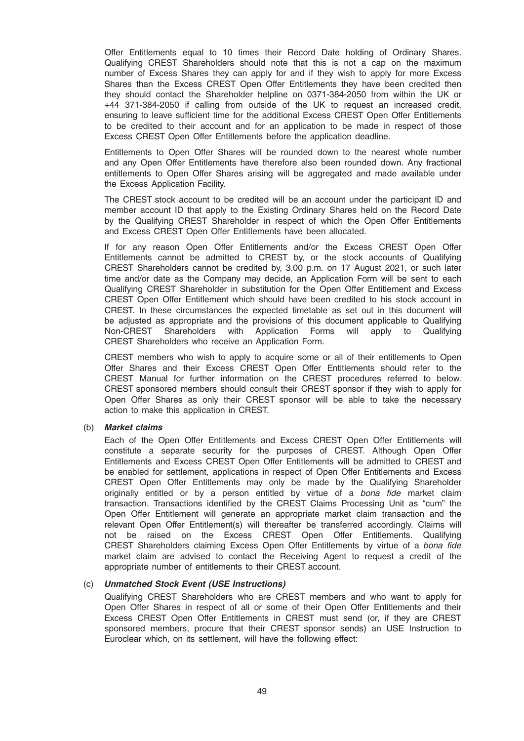Offer Entitlements equal to 10 times their Record Date holding of Ordinary Shares. Qualifying CREST Shareholders should note that this is not a cap on the maximum number of Excess Shares they can apply for and if they wish to apply for more Excess Shares than the Excess CREST Open Offer Entitlements they have been credited then they should contact the Shareholder helpline on 0371-384-2050 from within the UK or +44 371-384-2050 if calling from outside of the UK to request an increased credit, ensuring to leave sufficient time for the additional Excess CREST Open Offer Entitlements to be credited to their account and for an application to be made in respect of those Excess CREST Open Offer Entitlements before the application deadline.

Entitlements to Open Offer Shares will be rounded down to the nearest whole number and any Open Offer Entitlements have therefore also been rounded down. Any fractional entitlements to Open Offer Shares arising will be aggregated and made available under the Excess Application Facility.

The CREST stock account to be credited will be an account under the participant ID and member account ID that apply to the Existing Ordinary Shares held on the Record Date by the Qualifying CREST Shareholder in respect of which the Open Offer Entitlements and Excess CREST Open Offer Entitlements have been allocated.

If for any reason Open Offer Entitlements and/or the Excess CREST Open Offer Entitlements cannot be admitted to CREST by, or the stock accounts of Qualifying CREST Shareholders cannot be credited by, 3.00 p.m. on 17 August 2021, or such later time and/or date as the Company may decide, an Application Form will be sent to each Qualifying CREST Shareholder in substitution for the Open Offer Entitlement and Excess CREST Open Offer Entitlement which should have been credited to his stock account in CREST. In these circumstances the expected timetable as set out in this document will be adjusted as appropriate and the provisions of this document applicable to Qualifying Non-CREST Shareholders with Application Forms will apply to Qualifying CREST Shareholders who receive an Application Form.

CREST members who wish to apply to acquire some or all of their entitlements to Open Offer Shares and their Excess CREST Open Offer Entitlements should refer to the CREST Manual for further information on the CREST procedures referred to below. CREST sponsored members should consult their CREST sponsor if they wish to apply for Open Offer Shares as only their CREST sponsor will be able to take the necessary action to make this application in CREST.

#### (b) Market claims

Each of the Open Offer Entitlements and Excess CREST Open Offer Entitlements will constitute a separate security for the purposes of CREST. Although Open Offer Entitlements and Excess CREST Open Offer Entitlements will be admitted to CREST and be enabled for settlement, applications in respect of Open Offer Entitlements and Excess CREST Open Offer Entitlements may only be made by the Qualifying Shareholder originally entitled or by a person entitled by virtue of a bona fide market claim transaction. Transactions identified by the CREST Claims Processing Unit as "cum" the Open Offer Entitlement will generate an appropriate market claim transaction and the relevant Open Offer Entitlement(s) will thereafter be transferred accordingly. Claims will not be raised on the Excess CREST Open Offer Entitlements. Qualifying CREST Shareholders claiming Excess Open Offer Entitlements by virtue of a bona fide market claim are advised to contact the Receiving Agent to request a credit of the appropriate number of entitlements to their CREST account.

# (c) Unmatched Stock Event (USE Instructions)

Qualifying CREST Shareholders who are CREST members and who want to apply for Open Offer Shares in respect of all or some of their Open Offer Entitlements and their Excess CREST Open Offer Entitlements in CREST must send (or, if they are CREST sponsored members, procure that their CREST sponsor sends) an USE Instruction to Euroclear which, on its settlement, will have the following effect: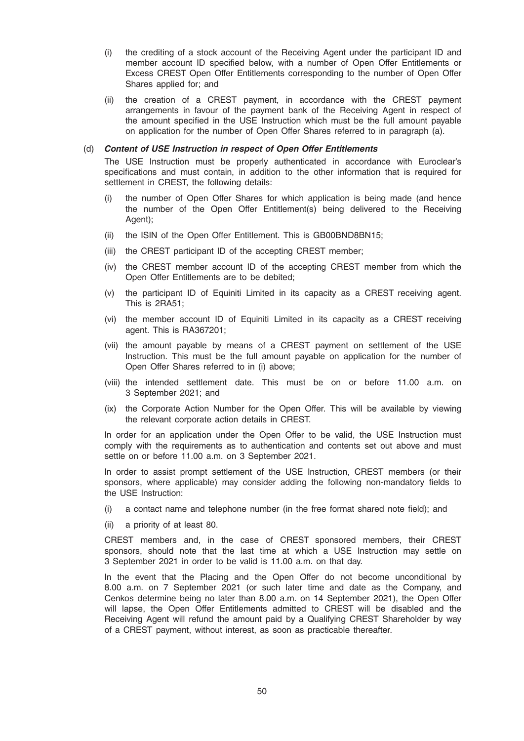- (i) the crediting of a stock account of the Receiving Agent under the participant ID and member account ID specified below, with a number of Open Offer Entitlements or Excess CREST Open Offer Entitlements corresponding to the number of Open Offer Shares applied for; and
- (ii) the creation of a CREST payment, in accordance with the CREST payment arrangements in favour of the payment bank of the Receiving Agent in respect of the amount specified in the USE Instruction which must be the full amount payable on application for the number of Open Offer Shares referred to in paragraph (a).

#### (d) Content of USE Instruction in respect of Open Offer Entitlements

The USE Instruction must be properly authenticated in accordance with Euroclear's specifications and must contain, in addition to the other information that is required for settlement in CREST, the following details:

- (i) the number of Open Offer Shares for which application is being made (and hence the number of the Open Offer Entitlement(s) being delivered to the Receiving Agent);
- (ii) the ISIN of the Open Offer Entitlement. This is GB00BND8BN15;
- (iii) the CREST participant ID of the accepting CREST member;
- (iv) the CREST member account ID of the accepting CREST member from which the Open Offer Entitlements are to be debited;
- (v) the participant ID of Equiniti Limited in its capacity as a CREST receiving agent. This is 2RA51;
- (vi) the member account ID of Equiniti Limited in its capacity as a CREST receiving agent. This is RA367201;
- (vii) the amount payable by means of a CREST payment on settlement of the USE Instruction. This must be the full amount payable on application for the number of Open Offer Shares referred to in (i) above;
- (viii) the intended settlement date. This must be on or before 11.00 a.m. on 3 September 2021; and
- (ix) the Corporate Action Number for the Open Offer. This will be available by viewing the relevant corporate action details in CREST.

In order for an application under the Open Offer to be valid, the USE Instruction must comply with the requirements as to authentication and contents set out above and must settle on or before 11.00 a.m. on 3 September 2021.

In order to assist prompt settlement of the USE Instruction, CREST members (or their sponsors, where applicable) may consider adding the following non-mandatory fields to the USE Instruction:

- (i) a contact name and telephone number (in the free format shared note field); and
- (ii) a priority of at least 80.

CREST members and, in the case of CREST sponsored members, their CREST sponsors, should note that the last time at which a USE Instruction may settle on 3 September 2021 in order to be valid is 11.00 a.m. on that day.

In the event that the Placing and the Open Offer do not become unconditional by 8.00 a.m. on 7 September 2021 (or such later time and date as the Company, and Cenkos determine being no later than 8.00 a.m. on 14 September 2021), the Open Offer will lapse, the Open Offer Entitlements admitted to CREST will be disabled and the Receiving Agent will refund the amount paid by a Qualifying CREST Shareholder by way of a CREST payment, without interest, as soon as practicable thereafter.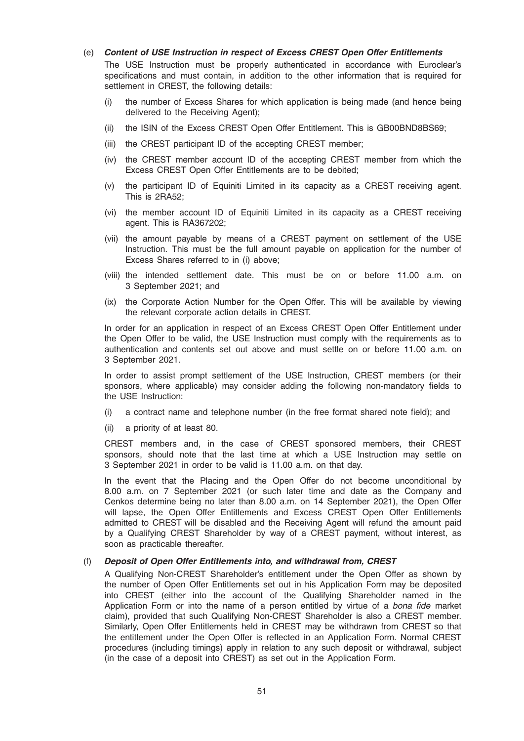# (e) Content of USE Instruction in respect of Excess CREST Open Offer Entitlements

The USE Instruction must be properly authenticated in accordance with Euroclear's specifications and must contain, in addition to the other information that is required for settlement in CREST, the following details:

- (i) the number of Excess Shares for which application is being made (and hence being delivered to the Receiving Agent);
- (ii) the ISIN of the Excess CREST Open Offer Entitlement. This is GB00BND8BS69;
- (iii) the CREST participant ID of the accepting CREST member;
- (iv) the CREST member account ID of the accepting CREST member from which the Excess CREST Open Offer Entitlements are to be debited;
- (v) the participant ID of Equiniti Limited in its capacity as a CREST receiving agent. This is 2RA52;
- (vi) the member account ID of Equiniti Limited in its capacity as a CREST receiving agent. This is RA367202;
- (vii) the amount payable by means of a CREST payment on settlement of the USE Instruction. This must be the full amount payable on application for the number of Excess Shares referred to in (i) above;
- (viii) the intended settlement date. This must be on or before 11.00 a.m. on 3 September 2021; and
- (ix) the Corporate Action Number for the Open Offer. This will be available by viewing the relevant corporate action details in CREST.

In order for an application in respect of an Excess CREST Open Offer Entitlement under the Open Offer to be valid, the USE Instruction must comply with the requirements as to authentication and contents set out above and must settle on or before 11.00 a.m. on 3 September 2021.

In order to assist prompt settlement of the USE Instruction, CREST members (or their sponsors, where applicable) may consider adding the following non-mandatory fields to the USE Instruction:

- (i) a contract name and telephone number (in the free format shared note field); and
- (ii) a priority of at least 80.

CREST members and, in the case of CREST sponsored members, their CREST sponsors, should note that the last time at which a USE Instruction may settle on 3 September 2021 in order to be valid is 11.00 a.m. on that day.

In the event that the Placing and the Open Offer do not become unconditional by 8.00 a.m. on 7 September 2021 (or such later time and date as the Company and Cenkos determine being no later than 8.00 a.m. on 14 September 2021), the Open Offer will lapse, the Open Offer Entitlements and Excess CREST Open Offer Entitlements admitted to CREST will be disabled and the Receiving Agent will refund the amount paid by a Qualifying CREST Shareholder by way of a CREST payment, without interest, as soon as practicable thereafter.

#### (f) Deposit of Open Offer Entitlements into, and withdrawal from, CREST

A Qualifying Non-CREST Shareholder's entitlement under the Open Offer as shown by the number of Open Offer Entitlements set out in his Application Form may be deposited into CREST (either into the account of the Qualifying Shareholder named in the Application Form or into the name of a person entitled by virtue of a bona fide market claim), provided that such Qualifying Non-CREST Shareholder is also a CREST member. Similarly, Open Offer Entitlements held in CREST may be withdrawn from CREST so that the entitlement under the Open Offer is reflected in an Application Form. Normal CREST procedures (including timings) apply in relation to any such deposit or withdrawal, subject (in the case of a deposit into CREST) as set out in the Application Form.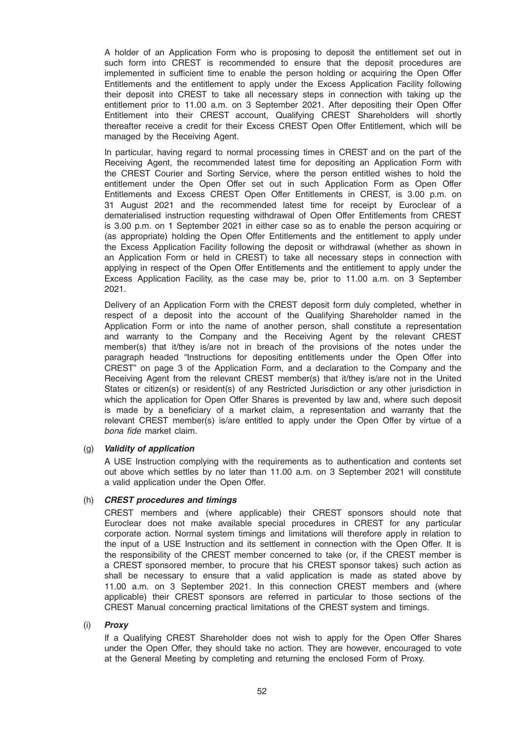A holder of an Application Form who is proposing to deposit the entitlement set out in such form into CREST is recommended to ensure that the deposit procedures are implemented in sufficient time to enable the person holding or acquiring the Open Offer Entitlements and the entitlement to apply under the Excess Application Facility following their deposit into CREST to take all necessary steps in connection with taking up the entitlement prior to 11.00 a.m. on 3 September 2021. After depositing their Open Offer Entitlement into their CREST account, Qualifying CREST Shareholders will shortly thereafter receive a credit for their Excess CREST Open Offer Entitlement, which will be managed by the Receiving Agent.

In particular, having regard to normal processing times in CREST and on the part of the Receiving Agent, the recommended latest time for depositing an Application Form with the CREST Courier and Sorting Service, where the person entitled wishes to hold the entitlement under the Open Offer set out in such Application Form as Open Offer Entitlements and Excess CREST Open Offer Entitlements in CREST, is 3.00 p.m. on 31 August 2021 and the recommended latest time for receipt by Euroclear of a dematerialised instruction requesting withdrawal of Open Offer Entitlements from CREST is 3.00 p.m. on 1 September 2021 in either case so as to enable the person acquiring or (as appropriate) holding the Open Offer Entitlements and the entitlement to apply under the Excess Application Facility following the deposit or withdrawal (whether as shown in an Application Form or held in CREST) to take all necessary steps in connection with applying in respect of the Open Offer Entitlements and the entitlement to apply under the Excess Application Facility, as the case may be, prior to 11.00 a.m. on 3 September 2021.

Delivery of an Application Form with the CREST deposit form duly completed, whether in respect of a deposit into the account of the Qualifying Shareholder named in the Application Form or into the name of another person, shall constitute a representation and warranty to the Company and the Receiving Agent by the relevant CREST member(s) that it/they is/are not in breach of the provisions of the notes under the paragraph headed "Instructions for depositing entitlements under the Open Offer into CREST" on page 3 of the Application Form, and a declaration to the Company and the Receiving Agent from the relevant CREST member(s) that it/they is/are not in the United States or citizen(s) or resident(s) of any Restricted Jurisdiction or any other jurisdiction in which the application for Open Offer Shares is prevented by law and, where such deposit is made by a beneficiary of a market claim, a representation and warranty that the relevant CREST member(s) is/are entitled to apply under the Open Offer by virtue of a bona fide market claim.

#### (g) Validity of application

A USE Instruction complying with the requirements as to authentication and contents set out above which settles by no later than 11.00 a.m. on 3 September 2021 will constitute a valid application under the Open Offer.

#### (h) CREST procedures and timings

CREST members and (where applicable) their CREST sponsors should note that Euroclear does not make available special procedures in CREST for any particular corporate action. Normal system timings and limitations will therefore apply in relation to the input of a USE Instruction and its settlement in connection with the Open Offer. It is the responsibility of the CREST member concerned to take (or, if the CREST member is a CREST sponsored member, to procure that his CREST sponsor takes) such action as shall be necessary to ensure that a valid application is made as stated above by 11.00 a.m. on 3 September 2021. In this connection CREST members and (where applicable) their CREST sponsors are referred in particular to those sections of the CREST Manual concerning practical limitations of the CREST system and timings.

#### (i) Proxy

If a Qualifying CREST Shareholder does not wish to apply for the Open Offer Shares under the Open Offer, they should take no action. They are however, encouraged to vote at the General Meeting by completing and returning the enclosed Form of Proxy.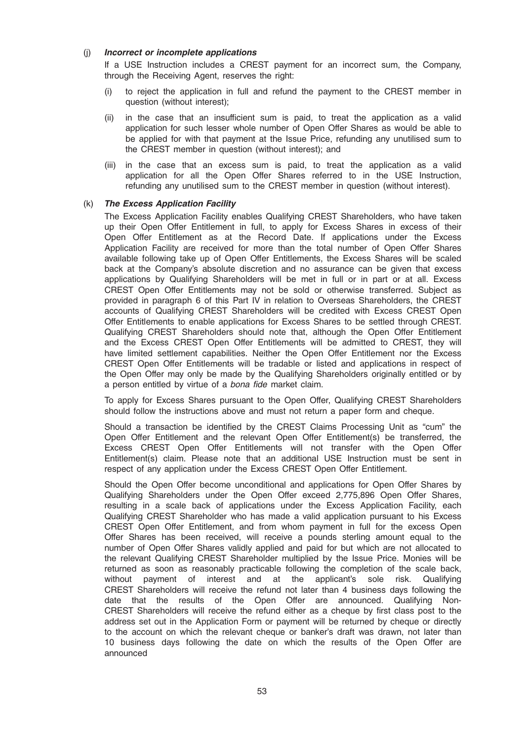# (j) Incorrect or incomplete applications

If a USE Instruction includes a CREST payment for an incorrect sum, the Company, through the Receiving Agent, reserves the right:

- (i) to reject the application in full and refund the payment to the CREST member in question (without interest);
- (ii) in the case that an insufficient sum is paid, to treat the application as a valid application for such lesser whole number of Open Offer Shares as would be able to be applied for with that payment at the Issue Price, refunding any unutilised sum to the CREST member in question (without interest); and
- (iii) in the case that an excess sum is paid, to treat the application as a valid application for all the Open Offer Shares referred to in the USE Instruction, refunding any unutilised sum to the CREST member in question (without interest).

# (k) The Excess Application Facility

The Excess Application Facility enables Qualifying CREST Shareholders, who have taken up their Open Offer Entitlement in full, to apply for Excess Shares in excess of their Open Offer Entitlement as at the Record Date. If applications under the Excess Application Facility are received for more than the total number of Open Offer Shares available following take up of Open Offer Entitlements, the Excess Shares will be scaled back at the Company's absolute discretion and no assurance can be given that excess applications by Qualifying Shareholders will be met in full or in part or at all. Excess CREST Open Offer Entitlements may not be sold or otherwise transferred. Subject as provided in paragraph 6 of this Part IV in relation to Overseas Shareholders, the CREST accounts of Qualifying CREST Shareholders will be credited with Excess CREST Open Offer Entitlements to enable applications for Excess Shares to be settled through CREST. Qualifying CREST Shareholders should note that, although the Open Offer Entitlement and the Excess CREST Open Offer Entitlements will be admitted to CREST, they will have limited settlement capabilities. Neither the Open Offer Entitlement nor the Excess CREST Open Offer Entitlements will be tradable or listed and applications in respect of the Open Offer may only be made by the Qualifying Shareholders originally entitled or by a person entitled by virtue of a bona fide market claim.

To apply for Excess Shares pursuant to the Open Offer, Qualifying CREST Shareholders should follow the instructions above and must not return a paper form and cheque.

Should a transaction be identified by the CREST Claims Processing Unit as "cum" the Open Offer Entitlement and the relevant Open Offer Entitlement(s) be transferred, the Excess CREST Open Offer Entitlements will not transfer with the Open Offer Entitlement(s) claim. Please note that an additional USE Instruction must be sent in respect of any application under the Excess CREST Open Offer Entitlement.

Should the Open Offer become unconditional and applications for Open Offer Shares by Qualifying Shareholders under the Open Offer exceed 2,775,896 Open Offer Shares, resulting in a scale back of applications under the Excess Application Facility, each Qualifying CREST Shareholder who has made a valid application pursuant to his Excess CREST Open Offer Entitlement, and from whom payment in full for the excess Open Offer Shares has been received, will receive a pounds sterling amount equal to the number of Open Offer Shares validly applied and paid for but which are not allocated to the relevant Qualifying CREST Shareholder multiplied by the Issue Price. Monies will be returned as soon as reasonably practicable following the completion of the scale back, without payment of interest and at the applicant's sole risk. Qualifying CREST Shareholders will receive the refund not later than 4 business days following the date that the results of the Open Offer are announced. Qualifying Non-CREST Shareholders will receive the refund either as a cheque by first class post to the address set out in the Application Form or payment will be returned by cheque or directly to the account on which the relevant cheque or banker's draft was drawn, not later than 10 business days following the date on which the results of the Open Offer are announced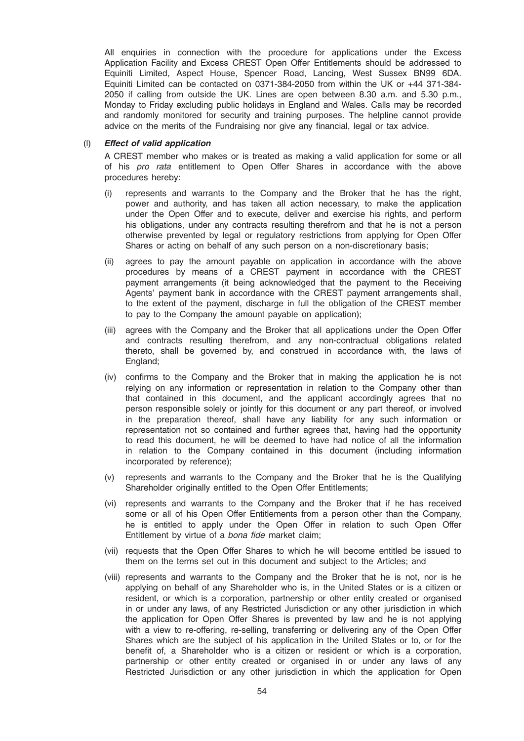All enquiries in connection with the procedure for applications under the Excess Application Facility and Excess CREST Open Offer Entitlements should be addressed to Equiniti Limited, Aspect House, Spencer Road, Lancing, West Sussex BN99 6DA. Equiniti Limited can be contacted on 0371-384-2050 from within the UK or +44 371-384- 2050 if calling from outside the UK. Lines are open between 8.30 a.m. and 5.30 p.m., Monday to Friday excluding public holidays in England and Wales. Calls may be recorded and randomly monitored for security and training purposes. The helpline cannot provide advice on the merits of the Fundraising nor give any financial, legal or tax advice.

#### (l) Effect of valid application

A CREST member who makes or is treated as making a valid application for some or all of his pro rata entitlement to Open Offer Shares in accordance with the above procedures hereby:

- (i) represents and warrants to the Company and the Broker that he has the right, power and authority, and has taken all action necessary, to make the application under the Open Offer and to execute, deliver and exercise his rights, and perform his obligations, under any contracts resulting therefrom and that he is not a person otherwise prevented by legal or regulatory restrictions from applying for Open Offer Shares or acting on behalf of any such person on a non-discretionary basis;
- (ii) agrees to pay the amount payable on application in accordance with the above procedures by means of a CREST payment in accordance with the CREST payment arrangements (it being acknowledged that the payment to the Receiving Agents' payment bank in accordance with the CREST payment arrangements shall, to the extent of the payment, discharge in full the obligation of the CREST member to pay to the Company the amount payable on application);
- (iii) agrees with the Company and the Broker that all applications under the Open Offer and contracts resulting therefrom, and any non-contractual obligations related thereto, shall be governed by, and construed in accordance with, the laws of England;
- (iv) confirms to the Company and the Broker that in making the application he is not relying on any information or representation in relation to the Company other than that contained in this document, and the applicant accordingly agrees that no person responsible solely or jointly for this document or any part thereof, or involved in the preparation thereof, shall have any liability for any such information or representation not so contained and further agrees that, having had the opportunity to read this document, he will be deemed to have had notice of all the information in relation to the Company contained in this document (including information incorporated by reference);
- (v) represents and warrants to the Company and the Broker that he is the Qualifying Shareholder originally entitled to the Open Offer Entitlements;
- (vi) represents and warrants to the Company and the Broker that if he has received some or all of his Open Offer Entitlements from a person other than the Company, he is entitled to apply under the Open Offer in relation to such Open Offer Entitlement by virtue of a bona fide market claim;
- (vii) requests that the Open Offer Shares to which he will become entitled be issued to them on the terms set out in this document and subject to the Articles; and
- (viii) represents and warrants to the Company and the Broker that he is not, nor is he applying on behalf of any Shareholder who is, in the United States or is a citizen or resident, or which is a corporation, partnership or other entity created or organised in or under any laws, of any Restricted Jurisdiction or any other jurisdiction in which the application for Open Offer Shares is prevented by law and he is not applying with a view to re-offering, re-selling, transferring or delivering any of the Open Offer Shares which are the subject of his application in the United States or to, or for the benefit of, a Shareholder who is a citizen or resident or which is a corporation, partnership or other entity created or organised in or under any laws of any Restricted Jurisdiction or any other jurisdiction in which the application for Open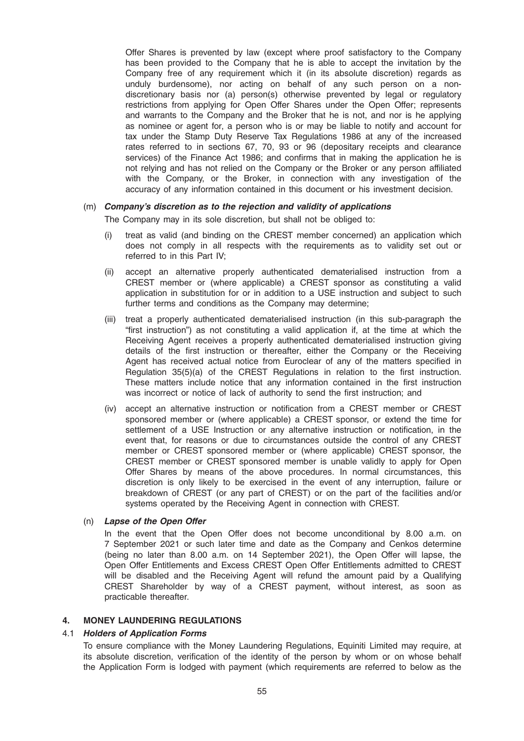Offer Shares is prevented by law (except where proof satisfactory to the Company has been provided to the Company that he is able to accept the invitation by the Company free of any requirement which it (in its absolute discretion) regards as unduly burdensome), nor acting on behalf of any such person on a nondiscretionary basis nor (a) person(s) otherwise prevented by legal or regulatory restrictions from applying for Open Offer Shares under the Open Offer; represents and warrants to the Company and the Broker that he is not, and nor is he applying as nominee or agent for, a person who is or may be liable to notify and account for tax under the Stamp Duty Reserve Tax Regulations 1986 at any of the increased rates referred to in sections 67, 70, 93 or 96 (depositary receipts and clearance services) of the Finance Act 1986; and confirms that in making the application he is not relying and has not relied on the Company or the Broker or any person affiliated with the Company, or the Broker, in connection with any investigation of the accuracy of any information contained in this document or his investment decision.

#### (m) Company's discretion as to the rejection and validity of applications

The Company may in its sole discretion, but shall not be obliged to:

- (i) treat as valid (and binding on the CREST member concerned) an application which does not comply in all respects with the requirements as to validity set out or referred to in this Part IV;
- (ii) accept an alternative properly authenticated dematerialised instruction from a CREST member or (where applicable) a CREST sponsor as constituting a valid application in substitution for or in addition to a USE instruction and subject to such further terms and conditions as the Company may determine;
- (iii) treat a properly authenticated dematerialised instruction (in this sub-paragraph the "first instruction") as not constituting a valid application if, at the time at which the Receiving Agent receives a properly authenticated dematerialised instruction giving details of the first instruction or thereafter, either the Company or the Receiving Agent has received actual notice from Euroclear of any of the matters specified in Regulation 35(5)(a) of the CREST Regulations in relation to the first instruction. These matters include notice that any information contained in the first instruction was incorrect or notice of lack of authority to send the first instruction; and
- (iv) accept an alternative instruction or notification from a CREST member or CREST sponsored member or (where applicable) a CREST sponsor, or extend the time for settlement of a USE Instruction or any alternative instruction or notification, in the event that, for reasons or due to circumstances outside the control of any CREST member or CREST sponsored member or (where applicable) CREST sponsor, the CREST member or CREST sponsored member is unable validly to apply for Open Offer Shares by means of the above procedures. In normal circumstances, this discretion is only likely to be exercised in the event of any interruption, failure or breakdown of CREST (or any part of CREST) or on the part of the facilities and/or systems operated by the Receiving Agent in connection with CREST.

#### (n) Lapse of the Open Offer

In the event that the Open Offer does not become unconditional by 8.00 a.m. on 7 September 2021 or such later time and date as the Company and Cenkos determine (being no later than 8.00 a.m. on 14 September 2021), the Open Offer will lapse, the Open Offer Entitlements and Excess CREST Open Offer Entitlements admitted to CREST will be disabled and the Receiving Agent will refund the amount paid by a Qualifying CREST Shareholder by way of a CREST payment, without interest, as soon as practicable thereafter.

#### 4. MONEY LAUNDERING REGULATIONS

#### 4.1 Holders of Application Forms

To ensure compliance with the Money Laundering Regulations, Equiniti Limited may require, at its absolute discretion, verification of the identity of the person by whom or on whose behalf the Application Form is lodged with payment (which requirements are referred to below as the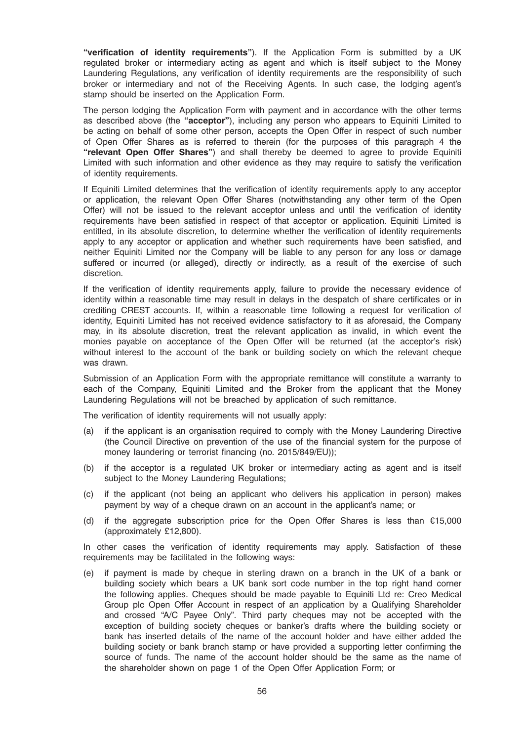"verification of identity requirements"). If the Application Form is submitted by a UK regulated broker or intermediary acting as agent and which is itself subject to the Money Laundering Regulations, any verification of identity requirements are the responsibility of such broker or intermediary and not of the Receiving Agents. In such case, the lodging agent's stamp should be inserted on the Application Form.

The person lodging the Application Form with payment and in accordance with the other terms as described above (the "acceptor"), including any person who appears to Equiniti Limited to be acting on behalf of some other person, accepts the Open Offer in respect of such number of Open Offer Shares as is referred to therein (for the purposes of this paragraph 4 the "relevant Open Offer Shares") and shall thereby be deemed to agree to provide Equiniti Limited with such information and other evidence as they may require to satisfy the verification of identity requirements.

If Equiniti Limited determines that the verification of identity requirements apply to any acceptor or application, the relevant Open Offer Shares (notwithstanding any other term of the Open Offer) will not be issued to the relevant acceptor unless and until the verification of identity requirements have been satisfied in respect of that acceptor or application. Equiniti Limited is entitled, in its absolute discretion, to determine whether the verification of identity requirements apply to any acceptor or application and whether such requirements have been satisfied, and neither Equiniti Limited nor the Company will be liable to any person for any loss or damage suffered or incurred (or alleged), directly or indirectly, as a result of the exercise of such discretion.

If the verification of identity requirements apply, failure to provide the necessary evidence of identity within a reasonable time may result in delays in the despatch of share certificates or in crediting CREST accounts. If, within a reasonable time following a request for verification of identity, Equiniti Limited has not received evidence satisfactory to it as aforesaid, the Company may, in its absolute discretion, treat the relevant application as invalid, in which event the monies payable on acceptance of the Open Offer will be returned (at the acceptor's risk) without interest to the account of the bank or building society on which the relevant cheque was drawn.

Submission of an Application Form with the appropriate remittance will constitute a warranty to each of the Company, Equiniti Limited and the Broker from the applicant that the Money Laundering Regulations will not be breached by application of such remittance.

The verification of identity requirements will not usually apply:

- (a) if the applicant is an organisation required to comply with the Money Laundering Directive (the Council Directive on prevention of the use of the financial system for the purpose of money laundering or terrorist financing (no. 2015/849/EU));
- (b) if the acceptor is a regulated UK broker or intermediary acting as agent and is itself subject to the Money Laundering Regulations;
- (c) if the applicant (not being an applicant who delivers his application in person) makes payment by way of a cheque drawn on an account in the applicant's name; or
- (d) if the aggregate subscription price for the Open Offer Shares is less than €15,000 (approximately £12,800).

In other cases the verification of identity requirements may apply. Satisfaction of these requirements may be facilitated in the following ways:

(e) if payment is made by cheque in sterling drawn on a branch in the UK of a bank or building society which bears a UK bank sort code number in the top right hand corner the following applies. Cheques should be made payable to Equiniti Ltd re: Creo Medical Group plc Open Offer Account in respect of an application by a Qualifying Shareholder and crossed "A/C Payee Only". Third party cheques may not be accepted with the exception of building society cheques or banker's drafts where the building society or bank has inserted details of the name of the account holder and have either added the building society or bank branch stamp or have provided a supporting letter confirming the source of funds. The name of the account holder should be the same as the name of the shareholder shown on page 1 of the Open Offer Application Form; or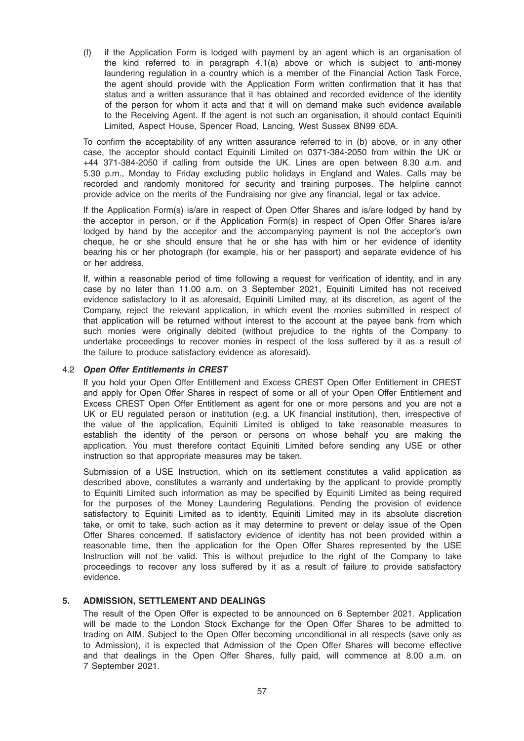(f) if the Application Form is lodged with payment by an agent which is an organisation of the kind referred to in paragraph 4.1(a) above or which is subject to anti-money laundering regulation in a country which is a member of the Financial Action Task Force, the agent should provide with the Application Form written confirmation that it has that status and a written assurance that it has obtained and recorded evidence of the identity of the person for whom it acts and that it will on demand make such evidence available to the Receiving Agent. If the agent is not such an organisation, it should contact Equiniti Limited, Aspect House, Spencer Road, Lancing, West Sussex BN99 6DA.

To confirm the acceptability of any written assurance referred to in (b) above, or in any other case, the acceptor should contact Equiniti Limited on 0371-384-2050 from within the UK or +44 371-384-2050 if calling from outside the UK. Lines are open between 8.30 a.m. and 5.30 p.m., Monday to Friday excluding public holidays in England and Wales. Calls may be recorded and randomly monitored for security and training purposes. The helpline cannot provide advice on the merits of the Fundraising nor give any financial, legal or tax advice.

If the Application Form(s) is/are in respect of Open Offer Shares and is/are lodged by hand by the acceptor in person, or if the Application Form(s) in respect of Open Offer Shares is/are lodged by hand by the acceptor and the accompanying payment is not the acceptor's own cheque, he or she should ensure that he or she has with him or her evidence of identity bearing his or her photograph (for example, his or her passport) and separate evidence of his or her address.

If, within a reasonable period of time following a request for verification of identity, and in any case by no later than 11.00 a.m. on 3 September 2021, Equiniti Limited has not received evidence satisfactory to it as aforesaid, Equiniti Limited may, at its discretion, as agent of the Company, reject the relevant application, in which event the monies submitted in respect of that application will be returned without interest to the account at the payee bank from which such monies were originally debited (without prejudice to the rights of the Company to undertake proceedings to recover monies in respect of the loss suffered by it as a result of the failure to produce satisfactory evidence as aforesaid).

# 4.2 Open Offer Entitlements in CREST

If you hold your Open Offer Entitlement and Excess CREST Open Offer Entitlement in CREST and apply for Open Offer Shares in respect of some or all of your Open Offer Entitlement and Excess CREST Open Offer Entitlement as agent for one or more persons and you are not a UK or EU regulated person or institution (e.g. a UK financial institution), then, irrespective of the value of the application, Equiniti Limited is obliged to take reasonable measures to establish the identity of the person or persons on whose behalf you are making the application. You must therefore contact Equiniti Limited before sending any USE or other instruction so that appropriate measures may be taken.

Submission of a USE Instruction, which on its settlement constitutes a valid application as described above, constitutes a warranty and undertaking by the applicant to provide promptly to Equiniti Limited such information as may be specified by Equiniti Limited as being required for the purposes of the Money Laundering Regulations. Pending the provision of evidence satisfactory to Equiniti Limited as to identity, Equiniti Limited may in its absolute discretion take, or omit to take, such action as it may determine to prevent or delay issue of the Open Offer Shares concerned. If satisfactory evidence of identity has not been provided within a reasonable time, then the application for the Open Offer Shares represented by the USE Instruction will not be valid. This is without prejudice to the right of the Company to take proceedings to recover any loss suffered by it as a result of failure to provide satisfactory evidence.

#### 5. ADMISSION, SETTLEMENT AND DEALINGS

The result of the Open Offer is expected to be announced on 6 September 2021. Application will be made to the London Stock Exchange for the Open Offer Shares to be admitted to trading on AIM. Subject to the Open Offer becoming unconditional in all respects (save only as to Admission), it is expected that Admission of the Open Offer Shares will become effective and that dealings in the Open Offer Shares, fully paid, will commence at 8.00 a.m. on 7 September 2021.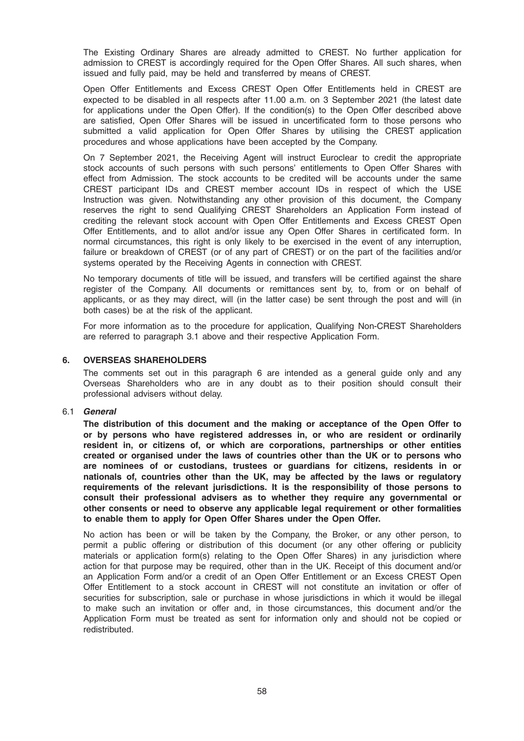The Existing Ordinary Shares are already admitted to CREST. No further application for admission to CREST is accordingly required for the Open Offer Shares. All such shares, when issued and fully paid, may be held and transferred by means of CREST.

Open Offer Entitlements and Excess CREST Open Offer Entitlements held in CREST are expected to be disabled in all respects after 11.00 a.m. on 3 September 2021 (the latest date for applications under the Open Offer). If the condition(s) to the Open Offer described above are satisfied, Open Offer Shares will be issued in uncertificated form to those persons who submitted a valid application for Open Offer Shares by utilising the CREST application procedures and whose applications have been accepted by the Company.

On 7 September 2021, the Receiving Agent will instruct Euroclear to credit the appropriate stock accounts of such persons with such persons' entitlements to Open Offer Shares with effect from Admission. The stock accounts to be credited will be accounts under the same CREST participant IDs and CREST member account IDs in respect of which the USE Instruction was given. Notwithstanding any other provision of this document, the Company reserves the right to send Qualifying CREST Shareholders an Application Form instead of crediting the relevant stock account with Open Offer Entitlements and Excess CREST Open Offer Entitlements, and to allot and/or issue any Open Offer Shares in certificated form. In normal circumstances, this right is only likely to be exercised in the event of any interruption, failure or breakdown of CREST (or of any part of CREST) or on the part of the facilities and/or systems operated by the Receiving Agents in connection with CREST.

No temporary documents of title will be issued, and transfers will be certified against the share register of the Company. All documents or remittances sent by, to, from or on behalf of applicants, or as they may direct, will (in the latter case) be sent through the post and will (in both cases) be at the risk of the applicant.

For more information as to the procedure for application, Qualifying Non-CREST Shareholders are referred to paragraph 3.1 above and their respective Application Form.

#### 6. OVERSEAS SHAREHOLDERS

The comments set out in this paragraph 6 are intended as a general guide only and any Overseas Shareholders who are in any doubt as to their position should consult their professional advisers without delay.

#### 6.1 General

The distribution of this document and the making or acceptance of the Open Offer to or by persons who have registered addresses in, or who are resident or ordinarily resident in, or citizens of, or which are corporations, partnerships or other entities created or organised under the laws of countries other than the UK or to persons who are nominees of or custodians, trustees or guardians for citizens, residents in or nationals of, countries other than the UK, may be affected by the laws or regulatory requirements of the relevant jurisdictions. It is the responsibility of those persons to consult their professional advisers as to whether they require any governmental or other consents or need to observe any applicable legal requirement or other formalities to enable them to apply for Open Offer Shares under the Open Offer.

No action has been or will be taken by the Company, the Broker, or any other person, to permit a public offering or distribution of this document (or any other offering or publicity materials or application form(s) relating to the Open Offer Shares) in any jurisdiction where action for that purpose may be required, other than in the UK. Receipt of this document and/or an Application Form and/or a credit of an Open Offer Entitlement or an Excess CREST Open Offer Entitlement to a stock account in CREST will not constitute an invitation or offer of securities for subscription, sale or purchase in whose jurisdictions in which it would be illegal to make such an invitation or offer and, in those circumstances, this document and/or the Application Form must be treated as sent for information only and should not be copied or redistributed.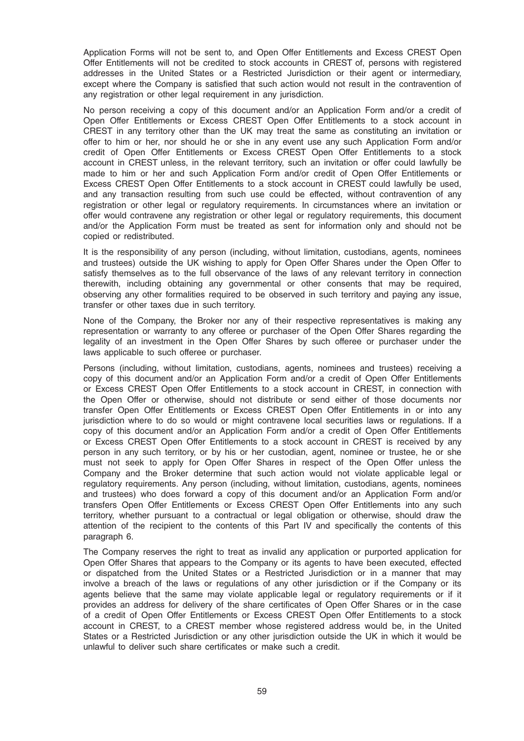Application Forms will not be sent to, and Open Offer Entitlements and Excess CREST Open Offer Entitlements will not be credited to stock accounts in CREST of, persons with registered addresses in the United States or a Restricted Jurisdiction or their agent or intermediary, except where the Company is satisfied that such action would not result in the contravention of any registration or other legal requirement in any jurisdiction.

No person receiving a copy of this document and/or an Application Form and/or a credit of Open Offer Entitlements or Excess CREST Open Offer Entitlements to a stock account in CREST in any territory other than the UK may treat the same as constituting an invitation or offer to him or her, nor should he or she in any event use any such Application Form and/or credit of Open Offer Entitlements or Excess CREST Open Offer Entitlements to a stock account in CREST unless, in the relevant territory, such an invitation or offer could lawfully be made to him or her and such Application Form and/or credit of Open Offer Entitlements or Excess CREST Open Offer Entitlements to a stock account in CREST could lawfully be used, and any transaction resulting from such use could be effected, without contravention of any registration or other legal or regulatory requirements. In circumstances where an invitation or offer would contravene any registration or other legal or regulatory requirements, this document and/or the Application Form must be treated as sent for information only and should not be copied or redistributed.

It is the responsibility of any person (including, without limitation, custodians, agents, nominees and trustees) outside the UK wishing to apply for Open Offer Shares under the Open Offer to satisfy themselves as to the full observance of the laws of any relevant territory in connection therewith, including obtaining any governmental or other consents that may be required, observing any other formalities required to be observed in such territory and paying any issue, transfer or other taxes due in such territory.

None of the Company, the Broker nor any of their respective representatives is making any representation or warranty to any offeree or purchaser of the Open Offer Shares regarding the legality of an investment in the Open Offer Shares by such offeree or purchaser under the laws applicable to such offeree or purchaser.

Persons (including, without limitation, custodians, agents, nominees and trustees) receiving a copy of this document and/or an Application Form and/or a credit of Open Offer Entitlements or Excess CREST Open Offer Entitlements to a stock account in CREST, in connection with the Open Offer or otherwise, should not distribute or send either of those documents nor transfer Open Offer Entitlements or Excess CREST Open Offer Entitlements in or into any jurisdiction where to do so would or might contravene local securities laws or regulations. If a copy of this document and/or an Application Form and/or a credit of Open Offer Entitlements or Excess CREST Open Offer Entitlements to a stock account in CREST is received by any person in any such territory, or by his or her custodian, agent, nominee or trustee, he or she must not seek to apply for Open Offer Shares in respect of the Open Offer unless the Company and the Broker determine that such action would not violate applicable legal or regulatory requirements. Any person (including, without limitation, custodians, agents, nominees and trustees) who does forward a copy of this document and/or an Application Form and/or transfers Open Offer Entitlements or Excess CREST Open Offer Entitlements into any such territory, whether pursuant to a contractual or legal obligation or otherwise, should draw the attention of the recipient to the contents of this Part IV and specifically the contents of this paragraph 6.

The Company reserves the right to treat as invalid any application or purported application for Open Offer Shares that appears to the Company or its agents to have been executed, effected or dispatched from the United States or a Restricted Jurisdiction or in a manner that may involve a breach of the laws or regulations of any other jurisdiction or if the Company or its agents believe that the same may violate applicable legal or regulatory requirements or if it provides an address for delivery of the share certificates of Open Offer Shares or in the case of a credit of Open Offer Entitlements or Excess CREST Open Offer Entitlements to a stock account in CREST, to a CREST member whose registered address would be, in the United States or a Restricted Jurisdiction or any other jurisdiction outside the UK in which it would be unlawful to deliver such share certificates or make such a credit.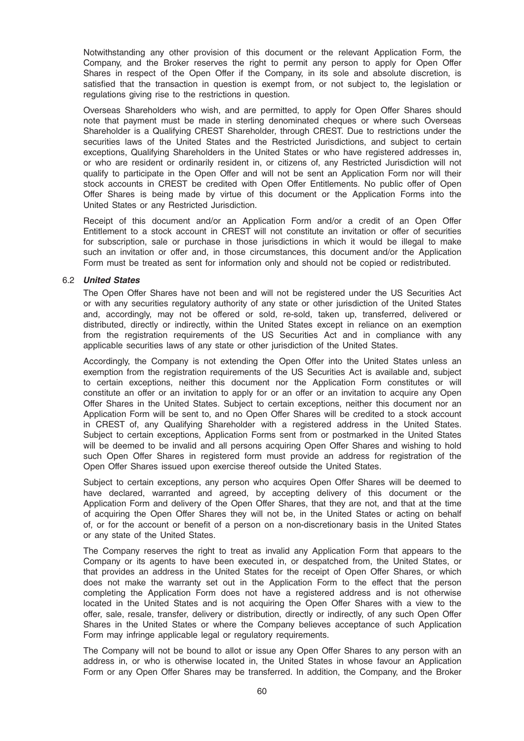Notwithstanding any other provision of this document or the relevant Application Form, the Company, and the Broker reserves the right to permit any person to apply for Open Offer Shares in respect of the Open Offer if the Company, in its sole and absolute discretion, is satisfied that the transaction in question is exempt from, or not subject to, the legislation or regulations giving rise to the restrictions in question.

Overseas Shareholders who wish, and are permitted, to apply for Open Offer Shares should note that payment must be made in sterling denominated cheques or where such Overseas Shareholder is a Qualifying CREST Shareholder, through CREST. Due to restrictions under the securities laws of the United States and the Restricted Jurisdictions, and subject to certain exceptions, Qualifying Shareholders in the United States or who have registered addresses in, or who are resident or ordinarily resident in, or citizens of, any Restricted Jurisdiction will not qualify to participate in the Open Offer and will not be sent an Application Form nor will their stock accounts in CREST be credited with Open Offer Entitlements. No public offer of Open Offer Shares is being made by virtue of this document or the Application Forms into the United States or any Restricted Jurisdiction.

Receipt of this document and/or an Application Form and/or a credit of an Open Offer Entitlement to a stock account in CREST will not constitute an invitation or offer of securities for subscription, sale or purchase in those jurisdictions in which it would be illegal to make such an invitation or offer and, in those circumstances, this document and/or the Application Form must be treated as sent for information only and should not be copied or redistributed.

# 6.2 United States

The Open Offer Shares have not been and will not be registered under the US Securities Act or with any securities regulatory authority of any state or other jurisdiction of the United States and, accordingly, may not be offered or sold, re-sold, taken up, transferred, delivered or distributed, directly or indirectly, within the United States except in reliance on an exemption from the registration requirements of the US Securities Act and in compliance with any applicable securities laws of any state or other jurisdiction of the United States.

Accordingly, the Company is not extending the Open Offer into the United States unless an exemption from the registration requirements of the US Securities Act is available and, subject to certain exceptions, neither this document nor the Application Form constitutes or will constitute an offer or an invitation to apply for or an offer or an invitation to acquire any Open Offer Shares in the United States. Subject to certain exceptions, neither this document nor an Application Form will be sent to, and no Open Offer Shares will be credited to a stock account in CREST of, any Qualifying Shareholder with a registered address in the United States. Subject to certain exceptions, Application Forms sent from or postmarked in the United States will be deemed to be invalid and all persons acquiring Open Offer Shares and wishing to hold such Open Offer Shares in registered form must provide an address for registration of the Open Offer Shares issued upon exercise thereof outside the United States.

Subject to certain exceptions, any person who acquires Open Offer Shares will be deemed to have declared, warranted and agreed, by accepting delivery of this document or the Application Form and delivery of the Open Offer Shares, that they are not, and that at the time of acquiring the Open Offer Shares they will not be, in the United States or acting on behalf of, or for the account or benefit of a person on a non-discretionary basis in the United States or any state of the United States.

The Company reserves the right to treat as invalid any Application Form that appears to the Company or its agents to have been executed in, or despatched from, the United States, or that provides an address in the United States for the receipt of Open Offer Shares, or which does not make the warranty set out in the Application Form to the effect that the person completing the Application Form does not have a registered address and is not otherwise located in the United States and is not acquiring the Open Offer Shares with a view to the offer, sale, resale, transfer, delivery or distribution, directly or indirectly, of any such Open Offer Shares in the United States or where the Company believes acceptance of such Application Form may infringe applicable legal or regulatory requirements.

The Company will not be bound to allot or issue any Open Offer Shares to any person with an address in, or who is otherwise located in, the United States in whose favour an Application Form or any Open Offer Shares may be transferred. In addition, the Company, and the Broker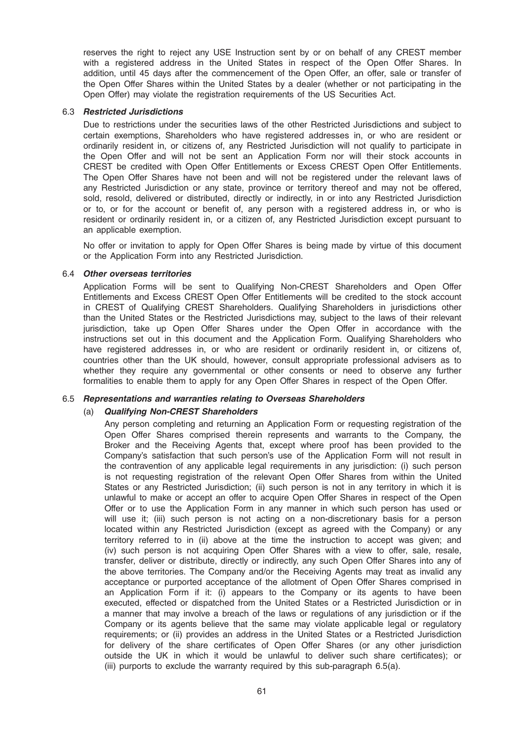reserves the right to reject any USE Instruction sent by or on behalf of any CREST member with a registered address in the United States in respect of the Open Offer Shares. In addition, until 45 days after the commencement of the Open Offer, an offer, sale or transfer of the Open Offer Shares within the United States by a dealer (whether or not participating in the Open Offer) may violate the registration requirements of the US Securities Act.

#### 6.3 Restricted Jurisdictions

Due to restrictions under the securities laws of the other Restricted Jurisdictions and subject to certain exemptions, Shareholders who have registered addresses in, or who are resident or ordinarily resident in, or citizens of, any Restricted Jurisdiction will not qualify to participate in the Open Offer and will not be sent an Application Form nor will their stock accounts in CREST be credited with Open Offer Entitlements or Excess CREST Open Offer Entitlements. The Open Offer Shares have not been and will not be registered under the relevant laws of any Restricted Jurisdiction or any state, province or territory thereof and may not be offered, sold, resold, delivered or distributed, directly or indirectly, in or into any Restricted Jurisdiction or to, or for the account or benefit of, any person with a registered address in, or who is resident or ordinarily resident in, or a citizen of, any Restricted Jurisdiction except pursuant to an applicable exemption.

No offer or invitation to apply for Open Offer Shares is being made by virtue of this document or the Application Form into any Restricted Jurisdiction.

#### 6.4 Other overseas territories

Application Forms will be sent to Qualifying Non-CREST Shareholders and Open Offer Entitlements and Excess CREST Open Offer Entitlements will be credited to the stock account in CREST of Qualifying CREST Shareholders. Qualifying Shareholders in jurisdictions other than the United States or the Restricted Jurisdictions may, subject to the laws of their relevant jurisdiction, take up Open Offer Shares under the Open Offer in accordance with the instructions set out in this document and the Application Form. Qualifying Shareholders who have registered addresses in, or who are resident or ordinarily resident in, or citizens of, countries other than the UK should, however, consult appropriate professional advisers as to whether they require any governmental or other consents or need to observe any further formalities to enable them to apply for any Open Offer Shares in respect of the Open Offer.

# 6.5 Representations and warranties relating to Overseas Shareholders

# (a) Qualifying Non-CREST Shareholders

Any person completing and returning an Application Form or requesting registration of the Open Offer Shares comprised therein represents and warrants to the Company, the Broker and the Receiving Agents that, except where proof has been provided to the Company's satisfaction that such person's use of the Application Form will not result in the contravention of any applicable legal requirements in any jurisdiction: (i) such person is not requesting registration of the relevant Open Offer Shares from within the United States or any Restricted Jurisdiction; (ii) such person is not in any territory in which it is unlawful to make or accept an offer to acquire Open Offer Shares in respect of the Open Offer or to use the Application Form in any manner in which such person has used or will use it; (iii) such person is not acting on a non-discretionary basis for a person located within any Restricted Jurisdiction (except as agreed with the Company) or any territory referred to in (ii) above at the time the instruction to accept was given; and (iv) such person is not acquiring Open Offer Shares with a view to offer, sale, resale, transfer, deliver or distribute, directly or indirectly, any such Open Offer Shares into any of the above territories. The Company and/or the Receiving Agents may treat as invalid any acceptance or purported acceptance of the allotment of Open Offer Shares comprised in an Application Form if it: (i) appears to the Company or its agents to have been executed, effected or dispatched from the United States or a Restricted Jurisdiction or in a manner that may involve a breach of the laws or regulations of any jurisdiction or if the Company or its agents believe that the same may violate applicable legal or regulatory requirements; or (ii) provides an address in the United States or a Restricted Jurisdiction for delivery of the share certificates of Open Offer Shares (or any other jurisdiction outside the UK in which it would be unlawful to deliver such share certificates); or (iii) purports to exclude the warranty required by this sub-paragraph 6.5(a).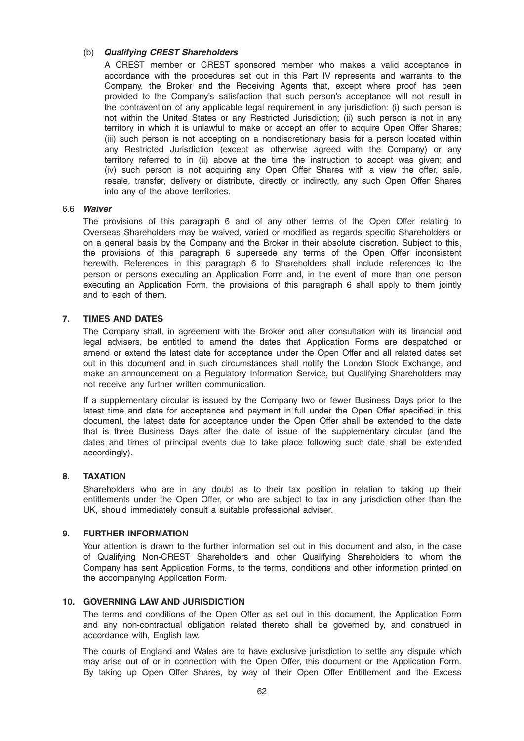# (b) Qualifying CREST Shareholders

A CREST member or CREST sponsored member who makes a valid acceptance in accordance with the procedures set out in this Part IV represents and warrants to the Company, the Broker and the Receiving Agents that, except where proof has been provided to the Company's satisfaction that such person's acceptance will not result in the contravention of any applicable legal requirement in any jurisdiction: (i) such person is not within the United States or any Restricted Jurisdiction; (ii) such person is not in any territory in which it is unlawful to make or accept an offer to acquire Open Offer Shares; (iii) such person is not accepting on a nondiscretionary basis for a person located within any Restricted Jurisdiction (except as otherwise agreed with the Company) or any territory referred to in (ii) above at the time the instruction to accept was given; and (iv) such person is not acquiring any Open Offer Shares with a view the offer, sale, resale, transfer, delivery or distribute, directly or indirectly, any such Open Offer Shares into any of the above territories.

#### 6.6 Waiver

The provisions of this paragraph 6 and of any other terms of the Open Offer relating to Overseas Shareholders may be waived, varied or modified as regards specific Shareholders or on a general basis by the Company and the Broker in their absolute discretion. Subject to this, the provisions of this paragraph 6 supersede any terms of the Open Offer inconsistent herewith. References in this paragraph 6 to Shareholders shall include references to the person or persons executing an Application Form and, in the event of more than one person executing an Application Form, the provisions of this paragraph 6 shall apply to them jointly and to each of them.

#### 7. TIMES AND DATES

The Company shall, in agreement with the Broker and after consultation with its financial and legal advisers, be entitled to amend the dates that Application Forms are despatched or amend or extend the latest date for acceptance under the Open Offer and all related dates set out in this document and in such circumstances shall notify the London Stock Exchange, and make an announcement on a Regulatory Information Service, but Qualifying Shareholders may not receive any further written communication.

If a supplementary circular is issued by the Company two or fewer Business Days prior to the latest time and date for acceptance and payment in full under the Open Offer specified in this document, the latest date for acceptance under the Open Offer shall be extended to the date that is three Business Days after the date of issue of the supplementary circular (and the dates and times of principal events due to take place following such date shall be extended accordingly).

#### 8. TAXATION

Shareholders who are in any doubt as to their tax position in relation to taking up their entitlements under the Open Offer, or who are subject to tax in any jurisdiction other than the UK, should immediately consult a suitable professional adviser.

#### 9. FURTHER INFORMATION

Your attention is drawn to the further information set out in this document and also, in the case of Qualifying Non-CREST Shareholders and other Qualifying Shareholders to whom the Company has sent Application Forms, to the terms, conditions and other information printed on the accompanying Application Form.

# 10. GOVERNING LAW AND JURISDICTION

The terms and conditions of the Open Offer as set out in this document, the Application Form and any non-contractual obligation related thereto shall be governed by, and construed in accordance with, English law.

The courts of England and Wales are to have exclusive jurisdiction to settle any dispute which may arise out of or in connection with the Open Offer, this document or the Application Form. By taking up Open Offer Shares, by way of their Open Offer Entitlement and the Excess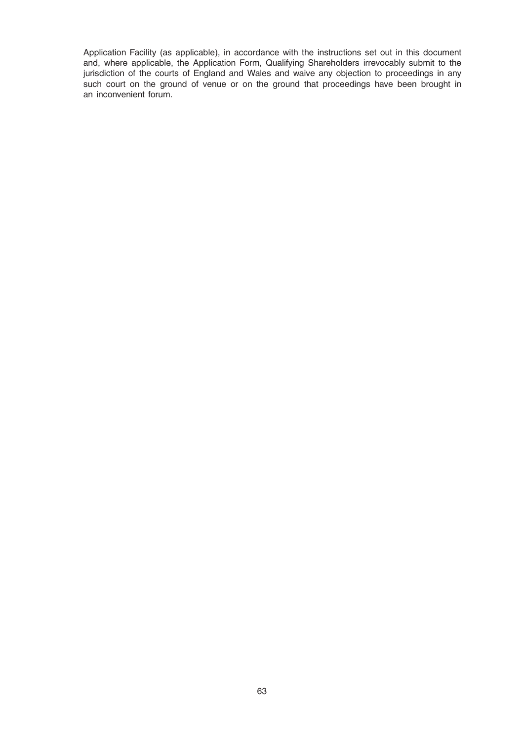Application Facility (as applicable), in accordance with the instructions set out in this document and, where applicable, the Application Form, Qualifying Shareholders irrevocably submit to the jurisdiction of the courts of England and Wales and waive any objection to proceedings in any such court on the ground of venue or on the ground that proceedings have been brought in an inconvenient forum.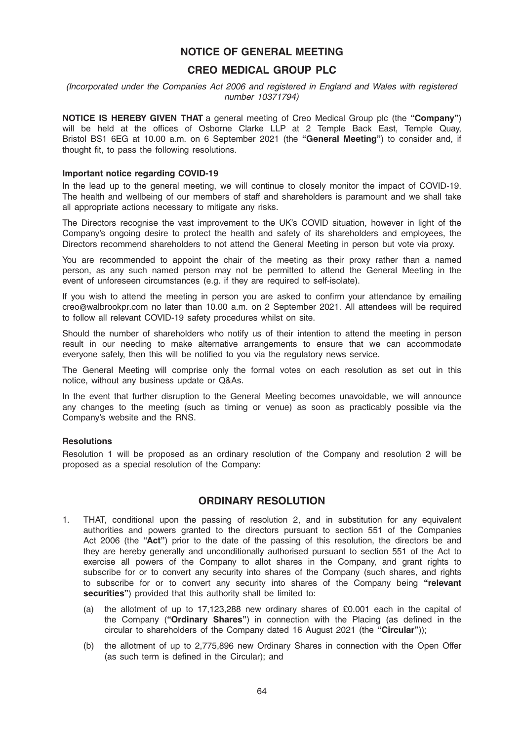# NOTICE OF GENERAL MEETING

# CREO MEDICAL GROUP PLC

(Incorporated under the Companies Act 2006 and registered in England and Wales with registered number 10371794)

NOTICE IS HEREBY GIVEN THAT a general meeting of Creo Medical Group plc (the "Company") will be held at the offices of Osborne Clarke LLP at 2 Temple Back East, Temple Quay, Bristol BS1 6EG at 10.00 a.m. on 6 September 2021 (the "General Meeting") to consider and, if thought fit, to pass the following resolutions.

#### Important notice regarding COVID-19

In the lead up to the general meeting, we will continue to closely monitor the impact of COVID-19. The health and wellbeing of our members of staff and shareholders is paramount and we shall take all appropriate actions necessary to mitigate any risks.

The Directors recognise the vast improvement to the UK's COVID situation, however in light of the Company's ongoing desire to protect the health and safety of its shareholders and employees, the Directors recommend shareholders to not attend the General Meeting in person but vote via proxy.

You are recommended to appoint the chair of the meeting as their proxy rather than a named person, as any such named person may not be permitted to attend the General Meeting in the event of unforeseen circumstances (e.g. if they are required to self-isolate).

If you wish to attend the meeting in person you are asked to confirm your attendance by emailing creo@walbrookpr.com no later than 10.00 a.m. on 2 September 2021. All attendees will be required to follow all relevant COVID-19 safety procedures whilst on site.

Should the number of shareholders who notify us of their intention to attend the meeting in person result in our needing to make alternative arrangements to ensure that we can accommodate everyone safely, then this will be notified to you via the regulatory news service.

The General Meeting will comprise only the formal votes on each resolution as set out in this notice, without any business update or Q&As.

In the event that further disruption to the General Meeting becomes unavoidable, we will announce any changes to the meeting (such as timing or venue) as soon as practicably possible via the Company's website and the RNS.

#### **Resolutions**

Resolution 1 will be proposed as an ordinary resolution of the Company and resolution 2 will be proposed as a special resolution of the Company:

# ORDINARY RESOLUTION

- 1. THAT, conditional upon the passing of resolution 2, and in substitution for any equivalent authorities and powers granted to the directors pursuant to section 551 of the Companies Act 2006 (the "Act") prior to the date of the passing of this resolution, the directors be and they are hereby generally and unconditionally authorised pursuant to section 551 of the Act to exercise all powers of the Company to allot shares in the Company, and grant rights to subscribe for or to convert any security into shares of the Company (such shares, and rights to subscribe for or to convert any security into shares of the Company being "relevant securities") provided that this authority shall be limited to:
	- (a) the allotment of up to 17,123,288 new ordinary shares of £0.001 each in the capital of the Company ("Ordinary Shares") in connection with the Placing (as defined in the circular to shareholders of the Company dated 16 August 2021 (the "Circular"));
	- (b) the allotment of up to 2,775,896 new Ordinary Shares in connection with the Open Offer (as such term is defined in the Circular); and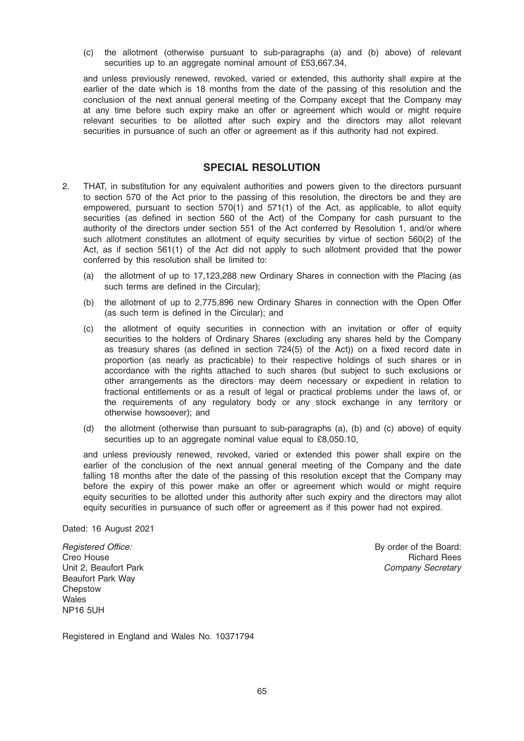(c) the allotment (otherwise pursuant to sub-paragraphs (a) and (b) above) of relevant securities up to an aggregate nominal amount of £53,667.34,

and unless previously renewed, revoked, varied or extended, this authority shall expire at the earlier of the date which is 18 months from the date of the passing of this resolution and the conclusion of the next annual general meeting of the Company except that the Company may at any time before such expiry make an offer or agreement which would or might require relevant securities to be allotted after such expiry and the directors may allot relevant securities in pursuance of such an offer or agreement as if this authority had not expired.

# SPECIAL RESOLUTION

- 2. THAT, in substitution for any equivalent authorities and powers given to the directors pursuant to section 570 of the Act prior to the passing of this resolution, the directors be and they are empowered, pursuant to section 570(1) and 571(1) of the Act, as applicable, to allot equity securities (as defined in section 560 of the Act) of the Company for cash pursuant to the authority of the directors under section 551 of the Act conferred by Resolution 1, and/or where such allotment constitutes an allotment of equity securities by virtue of section 560(2) of the Act, as if section 561(1) of the Act did not apply to such allotment provided that the power conferred by this resolution shall be limited to:
	- (a) the allotment of up to 17,123,288 new Ordinary Shares in connection with the Placing (as such terms are defined in the Circular);
	- (b) the allotment of up to 2,775,896 new Ordinary Shares in connection with the Open Offer (as such term is defined in the Circular); and
	- (c) the allotment of equity securities in connection with an invitation or offer of equity securities to the holders of Ordinary Shares (excluding any shares held by the Company as treasury shares (as defined in section 724(5) of the Act)) on a fixed record date in proportion (as nearly as practicable) to their respective holdings of such shares or in accordance with the rights attached to such shares (but subject to such exclusions or other arrangements as the directors may deem necessary or expedient in relation to fractional entitlements or as a result of legal or practical problems under the laws of, or the requirements of any regulatory body or any stock exchange in any territory or otherwise howsoever); and
	- (d) the allotment (otherwise than pursuant to sub-paragraphs (a), (b) and (c) above) of equity securities up to an aggregate nominal value equal to £8,050.10,

and unless previously renewed, revoked, varied or extended this power shall expire on the earlier of the conclusion of the next annual general meeting of the Company and the date falling 18 months after the date of the passing of this resolution except that the Company may before the expiry of this power make an offer or agreement which would or might require equity securities to be allotted under this authority after such expiry and the directors may allot equity securities in pursuance of such offer or agreement as if this power had not expired.

Dated: 16 August 2021

Registered Office: Creo House Unit 2, Beaufort Park Beaufort Park Way **Chepstow** Wales NP16 5UH

By order of the Board: Richard Rees Company Secretary

Registered in England and Wales No. 10371794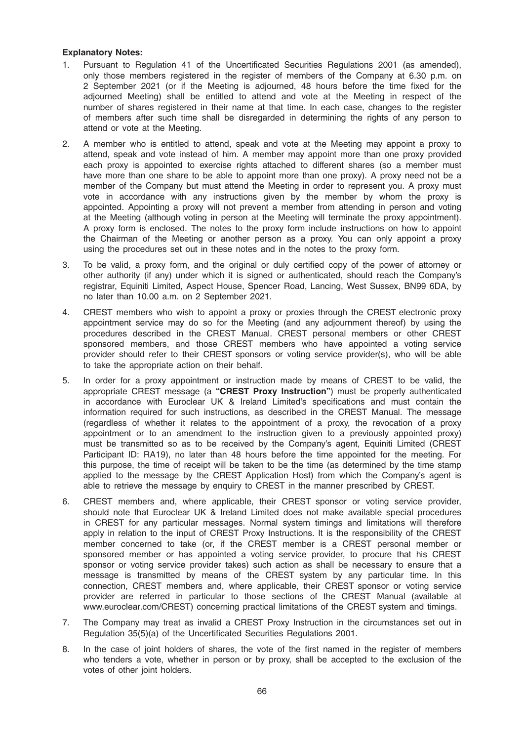# Explanatory Notes:

- 1. Pursuant to Regulation 41 of the Uncertificated Securities Regulations 2001 (as amended), only those members registered in the register of members of the Company at 6.30 p.m. on 2 September 2021 (or if the Meeting is adjourned, 48 hours before the time fixed for the adjourned Meeting) shall be entitled to attend and vote at the Meeting in respect of the number of shares registered in their name at that time. In each case, changes to the register of members after such time shall be disregarded in determining the rights of any person to attend or vote at the Meeting.
- 2. A member who is entitled to attend, speak and vote at the Meeting may appoint a proxy to attend, speak and vote instead of him. A member may appoint more than one proxy provided each proxy is appointed to exercise rights attached to different shares (so a member must have more than one share to be able to appoint more than one proxy). A proxy need not be a member of the Company but must attend the Meeting in order to represent you. A proxy must vote in accordance with any instructions given by the member by whom the proxy is appointed. Appointing a proxy will not prevent a member from attending in person and voting at the Meeting (although voting in person at the Meeting will terminate the proxy appointment). A proxy form is enclosed. The notes to the proxy form include instructions on how to appoint the Chairman of the Meeting or another person as a proxy. You can only appoint a proxy using the procedures set out in these notes and in the notes to the proxy form.
- 3. To be valid, a proxy form, and the original or duly certified copy of the power of attorney or other authority (if any) under which it is signed or authenticated, should reach the Company's registrar, Equiniti Limited, Aspect House, Spencer Road, Lancing, West Sussex, BN99 6DA, by no later than 10.00 a.m. on 2 September 2021.
- 4. CREST members who wish to appoint a proxy or proxies through the CREST electronic proxy appointment service may do so for the Meeting (and any adjournment thereof) by using the procedures described in the CREST Manual. CREST personal members or other CREST sponsored members, and those CREST members who have appointed a voting service provider should refer to their CREST sponsors or voting service provider(s), who will be able to take the appropriate action on their behalf.
- 5. In order for a proxy appointment or instruction made by means of CREST to be valid, the appropriate CREST message (a "CREST Proxy Instruction") must be properly authenticated in accordance with Euroclear UK & Ireland Limited's specifications and must contain the information required for such instructions, as described in the CREST Manual. The message (regardless of whether it relates to the appointment of a proxy, the revocation of a proxy appointment or to an amendment to the instruction given to a previously appointed proxy) must be transmitted so as to be received by the Company's agent, Equiniti Limited (CREST Participant ID: RA19), no later than 48 hours before the time appointed for the meeting. For this purpose, the time of receipt will be taken to be the time (as determined by the time stamp applied to the message by the CREST Application Host) from which the Company's agent is able to retrieve the message by enquiry to CREST in the manner prescribed by CREST.
- 6. CREST members and, where applicable, their CREST sponsor or voting service provider, should note that Euroclear UK & Ireland Limited does not make available special procedures in CREST for any particular messages. Normal system timings and limitations will therefore apply in relation to the input of CREST Proxy Instructions. It is the responsibility of the CREST member concerned to take (or, if the CREST member is a CREST personal member or sponsored member or has appointed a voting service provider, to procure that his CREST sponsor or voting service provider takes) such action as shall be necessary to ensure that a message is transmitted by means of the CREST system by any particular time. In this connection, CREST members and, where applicable, their CREST sponsor or voting service provider are referred in particular to those sections of the CREST Manual (available at www.euroclear.com/CREST) concerning practical limitations of the CREST system and timings.
- 7. The Company may treat as invalid a CREST Proxy Instruction in the circumstances set out in Regulation 35(5)(a) of the Uncertificated Securities Regulations 2001.
- 8. In the case of joint holders of shares, the vote of the first named in the register of members who tenders a vote, whether in person or by proxy, shall be accepted to the exclusion of the votes of other joint holders.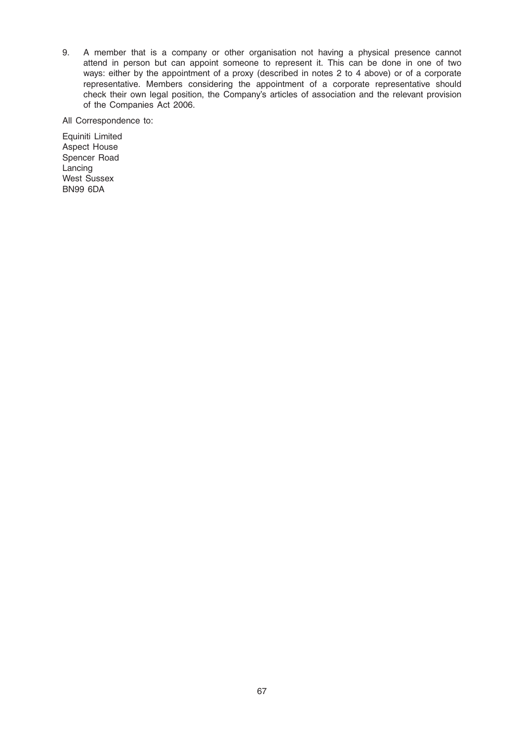9. A member that is a company or other organisation not having a physical presence cannot attend in person but can appoint someone to represent it. This can be done in one of two ways: either by the appointment of a proxy (described in notes 2 to 4 above) or of a corporate representative. Members considering the appointment of a corporate representative should check their own legal position, the Company's articles of association and the relevant provision of the Companies Act 2006.

All Correspondence to:

Equiniti Limited Aspect House Spencer Road Lancing West Sussex BN99 6DA